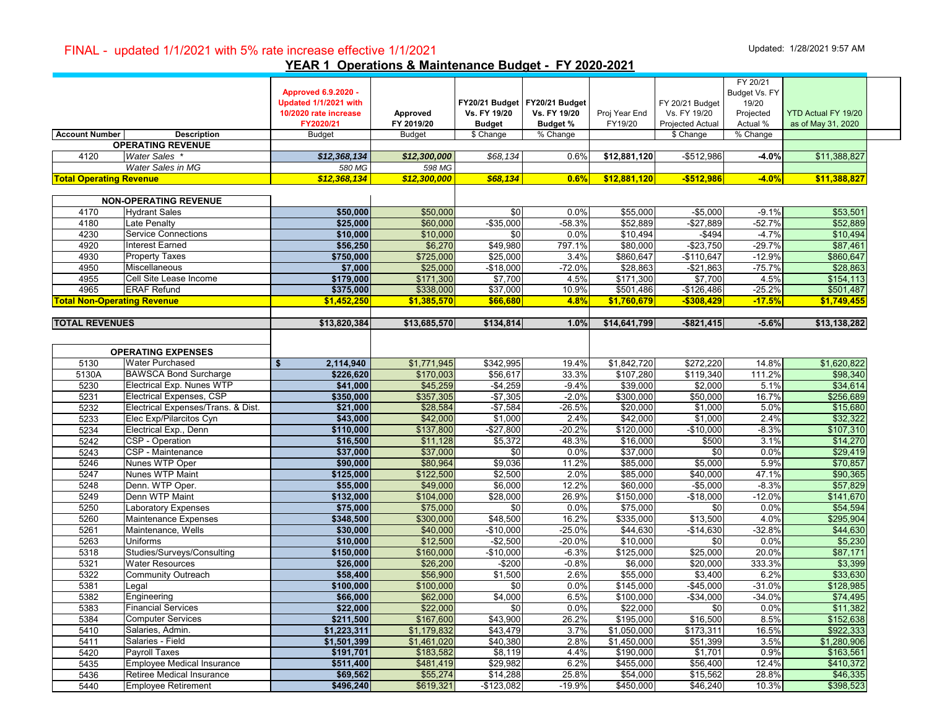#### FINAL - updated 1/1/2021 with 5% rate increase effective 1/1/2021 Updated: 1/28/2021 9:57 AM

**YEAR 1 Operations & Maintenance Budget - FY 2020-2021**

|                                    |                                    | <b>Approved 6.9.2020 -</b><br>Updated 1/1/2021 with<br>10/2020 rate increase<br>FY2020/21 | Approved<br>FY 2019/20 | FY20/21 Budget   FY20/21 Budget<br>Vs. FY 19/20<br><b>Budget</b> | Vs. FY 19/20<br><b>Budget %</b> | Proj Year End<br>FY19/20 | FY 20/21 Budget<br>Vs. FY 19/20<br>Projected Actual | FY 20/21<br>Budget Vs. FY<br>19/20<br>Projected<br>Actual % | YTD Actual FY 19/20<br>as of May 31, 2020 |
|------------------------------------|------------------------------------|-------------------------------------------------------------------------------------------|------------------------|------------------------------------------------------------------|---------------------------------|--------------------------|-----------------------------------------------------|-------------------------------------------------------------|-------------------------------------------|
| <b>Account Number</b>              | <b>Description</b>                 | <b>Budget</b>                                                                             | <b>Budget</b>          | \$ Change                                                        | % Change                        |                          | \$ Change                                           | % Change                                                    |                                           |
|                                    | <b>OPERATING REVENUE</b>           |                                                                                           |                        |                                                                  |                                 |                          |                                                     |                                                             |                                           |
| 4120                               | <b>Water Sales</b>                 | \$12,368,134                                                                              | \$12,300,000           | \$68,134                                                         | 0.6%                            | \$12,881,120             | $-$ \$512,986                                       | $-4.0%$                                                     | \$11,388,827                              |
|                                    | Water Sales in MG                  | 580 MG                                                                                    | 598 MG                 |                                                                  |                                 |                          |                                                     |                                                             |                                           |
| <b>Total Operating Revenue</b>     |                                    | \$12,368,134                                                                              | \$12,300,000           | \$68,134                                                         | 0.6%                            | \$12,881,120             | $-$512,986$                                         | $-4.0%$                                                     | \$11,388,827                              |
|                                    |                                    |                                                                                           |                        |                                                                  |                                 |                          |                                                     |                                                             |                                           |
|                                    | <b>NON-OPERATING REVENUE</b>       |                                                                                           |                        |                                                                  |                                 |                          |                                                     |                                                             |                                           |
| 4170                               | <b>Hydrant Sales</b>               | \$50.000                                                                                  | \$50,000               | \$0                                                              | 0.0%                            | \$55,000                 | $-$5,000$                                           | $-9.1%$                                                     | \$53,501                                  |
| 4180                               | Late Penalty                       | \$25,000                                                                                  | \$60,000               | $-$35,000$                                                       | $-58.3%$                        | \$52,889                 | $-$27,889$                                          | $-52.7%$                                                    | \$52,889                                  |
| 4230                               | <b>Service Connections</b>         | \$10,000                                                                                  | \$10,000               | \$0                                                              | 0.0%                            | \$10.494                 | $-$494$                                             | $-4.7%$                                                     | \$10,494                                  |
| 4920                               | Interest Earned                    | \$56,250                                                                                  | \$6,270                | \$49,980                                                         | 797.1%                          | \$80,000                 | $-$23,750$                                          | $-29.7%$                                                    | \$87,461                                  |
| 4930                               | <b>Property Taxes</b>              | \$750,000                                                                                 | \$725,000              | \$25,000                                                         | 3.4%                            | \$860,647                | $-$110,647$                                         | $-12.9%$                                                    | \$860,647                                 |
| 4950                               | Miscellaneous                      | \$7,000                                                                                   | \$25,000               | $-$18,000$                                                       | $-72.0%$                        | \$28,863                 | $-$21,863$                                          | $-75.7%$                                                    | \$28,863                                  |
| 4955                               | Cell Site Lease Income             | \$179,000                                                                                 | \$171,300              | \$7,700                                                          | 4.5%                            | \$171,300                | \$7,700                                             | 4.5%                                                        | \$154,113                                 |
| 4965                               | <b>ERAF Refund</b>                 | \$375,000                                                                                 | \$338,000              | \$37,000                                                         | 10.9%                           | \$501,486                | $-$126,486$                                         | $-25.2%$                                                    | \$501,487                                 |
| <b>Total Non-Operating Revenue</b> |                                    | \$1,452,250                                                                               | \$1,385,570            | \$66,680                                                         | 4.8%                            | \$1,760,679              | $-$308,429$                                         | $-17.5%$                                                    | \$1,749,455                               |
|                                    |                                    |                                                                                           |                        |                                                                  |                                 |                          |                                                     |                                                             |                                           |
| <b>TOTAL REVENUES</b>              |                                    | \$13,820,384                                                                              | \$13,685,570           | \$134,814                                                        | 1.0%                            | \$14,641,799             | $-$ \$821,415                                       | $-5.6%$                                                     | \$13,138,282                              |
|                                    |                                    |                                                                                           |                        |                                                                  |                                 |                          |                                                     |                                                             |                                           |
|                                    |                                    |                                                                                           |                        |                                                                  |                                 |                          |                                                     |                                                             |                                           |
|                                    | <b>OPERATING EXPENSES</b>          |                                                                                           |                        |                                                                  |                                 |                          |                                                     |                                                             |                                           |
| 5130                               | <b>Water Purchased</b>             | 2,114,940<br>\$                                                                           | \$1,771,945            | \$342,995                                                        | 19.4%                           | \$1,842,720              | \$272,220                                           | 14.8%                                                       | \$1,620,822                               |
| 5130A                              | <b>BAWSCA Bond Surcharge</b>       | \$226,620                                                                                 | \$170,003              | \$56,617                                                         | 33.3%                           | \$107,280                | \$119,340                                           | 111.2%                                                      | \$98,340                                  |
| 5230                               | Electrical Exp. Nunes WTP          | \$41,000                                                                                  | \$45,259               | $-$4,259$                                                        | $-9.4%$                         | \$39,000                 | \$2,000                                             | 5.1%                                                        | \$34,614                                  |
| 5231                               | <b>Electrical Expenses, CSP</b>    | \$350,000                                                                                 | \$357,305              | $-$7,305$                                                        | $-2.0%$                         | \$300,000                | \$50,000                                            | 16.7%                                                       | \$256,689                                 |
| 5232                               | Electrical Expenses/Trans. & Dist. | \$21,000                                                                                  | \$28,584               | $-$7,584$                                                        | $-26.5%$                        | \$20,000                 | \$1,000                                             | 5.0%                                                        | \$15,680                                  |
| 5233                               | Elec Exp/Pilarcitos Cyn            | \$43,000                                                                                  | \$42,000               | \$1,000                                                          | 2.4%                            | \$42,000                 | \$1,000                                             | 2.4%                                                        | \$32,322                                  |
| 5234                               | Electrical Exp., Denn              | \$110,000                                                                                 | \$137,800              | $-$27,800$                                                       | $-20.2%$                        | \$120,000                | $-$10,000$                                          | $-8.3%$                                                     | \$107,310                                 |
| 5242                               | CSP - Operation                    | \$16,500                                                                                  | \$11,128               | \$5,372                                                          | 48.3%                           | \$16,000                 | \$500                                               | 3.1%                                                        | \$14,270                                  |
| 5243                               | CSP - Maintenance                  | \$37,000                                                                                  | \$37,000               | \$0                                                              | 0.0%                            | \$37,000                 | \$0                                                 | 0.0%                                                        | \$29,419                                  |
| 5246                               | Nunes WTP Oper                     | \$90,000                                                                                  | \$80,964               | \$9,036                                                          | 11.2%                           | \$85,000                 | \$5,000                                             | 5.9%                                                        | \$70,857                                  |
| 5247                               | Nunes WTP Maint                    | \$125,000                                                                                 | \$122,500              | \$2,500                                                          | 2.0%                            | \$85,000                 | \$40,000                                            | 47.1%                                                       | \$90,365                                  |
| 5248                               | Denn. WTP Oper.                    | \$55,000                                                                                  | \$49,000               | \$6,000                                                          | 12.2%                           | \$60,000                 | $-$5,000$                                           | $-8.3%$                                                     | \$57,829                                  |
| 5249                               | Denn WTP Maint                     | \$132,000                                                                                 | \$104,000              | \$28,000                                                         | 26.9%                           | \$150,000                | $-$18,000$                                          | $-12.0%$                                                    | \$141,670                                 |
| 5250                               | <b>Laboratory Expenses</b>         | \$75,000                                                                                  | \$75,000               | \$0                                                              | 0.0%                            | \$75,000                 | \$0                                                 | 0.0%                                                        | \$54,594                                  |
| 5260                               | Maintenance Expenses               | \$348,500                                                                                 | \$300,000              | \$48,500                                                         | 16.2%                           | \$335,000                | \$13,500                                            | 4.0%                                                        | \$295,904                                 |
| 5261                               | Maintenance, Wells                 | \$30,000                                                                                  | \$40,000               | $-$10,000$                                                       | $-25.0%$                        | \$44,630                 | $-$14,630$                                          | $-32.8%$                                                    | \$44,630                                  |
| 5263                               | Uniforms                           | \$10,000                                                                                  | \$12,500               | $-$2,500$                                                        | $-20.0%$                        | \$10,000                 | \$0                                                 | 0.0%                                                        | \$5,230                                   |
| 5318                               | Studies/Surveys/Consulting         | \$150,000                                                                                 | \$160,000              | $-$10,000$                                                       | $-6.3%$                         | \$125,000                | \$25,000                                            | 20.0%                                                       | \$87,171                                  |
| 5321                               | <b>Water Resources</b>             | \$26,000                                                                                  | \$26,200               | $-$200$                                                          | $-0.8%$                         | \$6,000                  | \$20,000                                            | 333.3%                                                      | \$3,399                                   |
| 5322                               | <b>Community Outreach</b>          | \$58,400                                                                                  | \$56,900               | \$1,500                                                          | 2.6%                            | \$55,000                 | \$3,400                                             | 6.2%                                                        | \$33,630                                  |
| 5381                               | Legal                              | \$100,000                                                                                 | \$100,000              | \$0                                                              | 0.0%                            | \$145,000                | $-$45,000$                                          | $-31.0%$                                                    | \$128,985                                 |
| 5382                               | Engineering                        | \$66,000                                                                                  | \$62,000               | \$4,000                                                          | 6.5%                            | \$100,000                | $-$ \$34,000                                        | $-34.0%$                                                    | \$74,495                                  |
|                                    |                                    | \$22,000                                                                                  |                        | \$0                                                              | 0.0%                            | \$22,000                 | \$0                                                 | 0.0%                                                        | \$11,382                                  |
| 5383                               | <b>Financial Services</b>          |                                                                                           | \$22,000               |                                                                  |                                 |                          |                                                     |                                                             |                                           |
| 5384                               | <b>Computer Services</b>           | \$211,500                                                                                 | \$167,600              | \$43,900                                                         | 26.2%                           | \$195,000                | \$16,500                                            | 8.5%                                                        | \$152,638                                 |
| 5410                               | Salaries, Admin.                   | \$1,223,311                                                                               | \$1,179,832            | \$43,479                                                         | 3.7%                            | \$1,050,000              | \$173,311                                           | 16.5%                                                       | \$922,333                                 |
| 5411                               | Salaries - Field                   | \$1,501,399                                                                               | \$1,461,020            | \$40,380                                                         | 2.8%                            | \$1,450,000              | \$51,399                                            | 3.5%                                                        | \$1,280,906                               |
| 5420                               | Payroll Taxes                      | \$191,701                                                                                 | \$183,582              | \$8,119                                                          | 4.4%                            | \$190,000                | \$1,701                                             | 0.9%                                                        | \$163,561                                 |
| 5435                               | Employee Medical Insurance         | \$511,400                                                                                 | \$481,419              | \$29,982                                                         | 6.2%                            | \$455,000                | \$56,400                                            | 12.4%                                                       | \$410,372                                 |
| 5436                               | Retiree Medical Insurance          | \$69,562                                                                                  | \$55,274               | \$14,288                                                         | 25.8%                           | \$54,000                 | \$15,562                                            | 28.8%                                                       | \$46,335                                  |
| 5440                               | <b>Employee Retirement</b>         | \$496,240                                                                                 | \$619,321              | $-$123,082$                                                      | $-19.9%$                        | \$450,000                | \$46,240                                            | 10.3%                                                       | \$398,523                                 |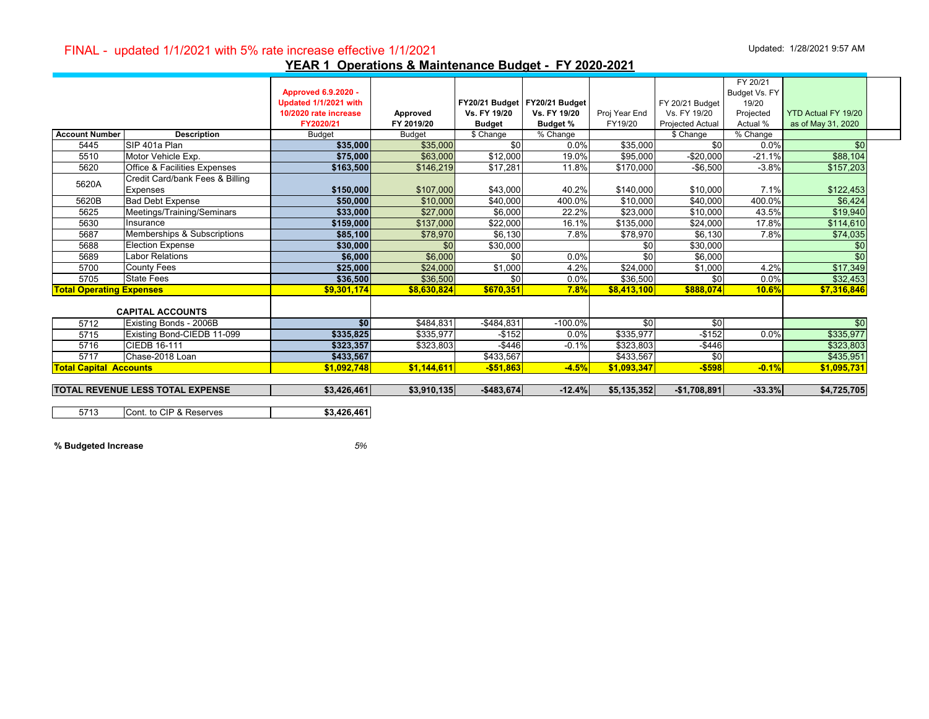# FINAL - updated 1/1/2021 with 5% rate increase effective 1/1/2021 Updated: 1/28/2021 9:57 AM

|                                 |                                         |                            |               |                        |                               |               |                         | FY 20/21      |                     |  |
|---------------------------------|-----------------------------------------|----------------------------|---------------|------------------------|-------------------------------|---------------|-------------------------|---------------|---------------------|--|
|                                 |                                         | <b>Approved 6.9.2020 -</b> |               |                        |                               |               |                         | Budget Vs. FY |                     |  |
|                                 |                                         | Updated 1/1/2021 with      |               |                        | FY20/21 Budget FY20/21 Budget |               | FY 20/21 Budget         | 19/20         |                     |  |
|                                 |                                         | 10/2020 rate increase      | Approved      | <b>Vs. FY 19/20</b>    | Vs. FY 19/20                  | Proj Year End | Vs. FY 19/20            | Projected     | YTD Actual FY 19/20 |  |
|                                 |                                         | FY2020/21                  | FY 2019/20    | <b>Budget</b>          | <b>Budget %</b>               | FY19/20       | <b>Projected Actual</b> | Actual %      | as of May 31, 2020  |  |
| <b>Account Number</b>           | <b>Description</b>                      | <b>Budget</b>              | <b>Budget</b> | $\overline{\$}$ Change | % Change                      |               | \$ Change               | % Change      |                     |  |
| 5445                            | SIP 401a Plan                           | \$35,000                   | \$35,000      | \$0                    | 0.0%                          | \$35,000      | \$0                     | $0.0\%$       | \$0                 |  |
| 5510                            | Motor Vehicle Exp.                      | \$75,000                   | \$63,000      | \$12,000               | 19.0%                         | \$95,000      | $-$20,000$              | $-21.1%$      | \$88,104            |  |
| 5620                            | <b>Office &amp; Facilities Expenses</b> | \$163,500                  | \$146,219     | \$17,281               | 11.8%                         | \$170,000     | $-$6,500$               | $-3.8%$       | \$157,203           |  |
| 5620A                           | Credit Card/bank Fees & Billing         |                            |               |                        |                               |               |                         |               |                     |  |
|                                 | <b>Expenses</b>                         | \$150,000                  | \$107,000     | \$43,000               | 40.2%                         | \$140,000     | \$10,000                | 7.1%          | \$122,453           |  |
| 5620B                           | <b>Bad Debt Expense</b>                 | \$50,000                   | \$10,000      | \$40,000               | 400.0%                        | \$10,000      | \$40,000                | 400.0%        | \$6,424             |  |
| 5625                            | Meetings/Training/Seminars              | \$33,000                   | \$27,000      | \$6,000                | 22.2%                         | \$23,000      | \$10,000                | 43.5%         | \$19,940            |  |
| 5630                            | Insurance                               | \$159,000                  | \$137,000     | \$22,000               | 16.1%                         | \$135,000     | \$24,000                | 17.8%         | \$114,610           |  |
| 5687                            | Memberships & Subscriptions             | \$85,100                   | \$78,970      | \$6,130                | 7.8%                          | \$78,970      | \$6,130                 | 7.8%          | \$74,035            |  |
| 5688                            | <b>Election Expense</b>                 | \$30,000                   | \$0           | \$30,000               |                               | \$0           | \$30,000                |               | \$0                 |  |
| 5689                            | <b>Labor Relations</b>                  | \$6,000                    | \$6,000       | \$0                    | 0.0%                          | $\frac{1}{2}$ | \$6,000                 |               | \$0                 |  |
| 5700                            | <b>County Fees</b>                      | \$25,000                   | \$24,000      | \$1,000                | 4.2%                          | \$24,000      | \$1,000                 | 4.2%          | \$17,349            |  |
| 5705                            | <b>State Fees</b>                       | \$36,500                   | \$36,500      | \$0                    | 0.0%                          | \$36,500      | \$0                     | 0.0%          | \$32,453            |  |
| <b>Total Operating Expenses</b> |                                         | \$9,301,174                | \$8.630.824   | \$670,351              | 7.8%                          | \$8,413,100   | \$888,074               | 10.6%         | \$7,316,846         |  |
|                                 |                                         |                            |               |                        |                               |               |                         |               |                     |  |
|                                 | <b>CAPITAL ACCOUNTS</b>                 |                            |               |                        |                               |               |                         |               |                     |  |
| 5712                            | Existing Bonds - 2006B                  | \$0                        | \$484.831     | $-$ \$484,831          | $-100.0%$                     | \$0           | \$0                     |               | \$0                 |  |
| 5715                            | Existing Bond-CIEDB 11-099              | \$335,825                  | \$335,977     | $-$152$                | 0.0%                          | \$335,977     | $-$152$                 | 0.0%          | \$335,977           |  |
| 5716                            | CIEDB 16-111                            | \$323,357                  | \$323,803     | $-$446$                | $-0.1%$                       | \$323,803     | $-$ \$446               |               | \$323,803           |  |
| 5717                            | Chase-2018 Loan                         | \$433,567                  |               | \$433,567              |                               | \$433,567     | \$0                     |               | \$435,951           |  |
| <b>Total Capital Accounts</b>   |                                         | \$1,092,748                | \$1,144,611   | $-$51,863$             | $-4.5%$                       | \$1,093,347   | $-$598$                 | $-0.1%$       | \$1,095,731         |  |
|                                 | <b>TOTAL REVENUE LESS TOTAL EXPENSE</b> | \$3,426,461                | \$3,910,135   | $-$483,674$            | $-12.4%$                      | \$5,135,352   | $-$1,708,891$           | $-33.3%$      | \$4,725,705         |  |
|                                 |                                         |                            |               |                        |                               |               |                         |               |                     |  |
| 5713                            | Cont. to CIP & Reserves                 | \$3,426,461                |               |                        |                               |               |                         |               |                     |  |

**% Budgeted Increase** *5%*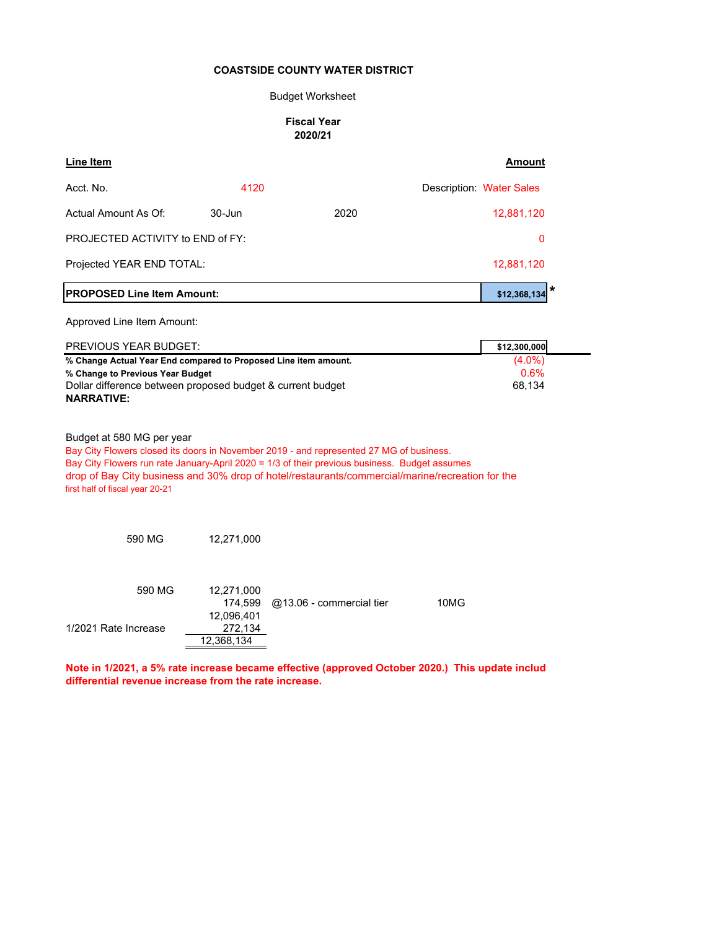#### Budget Worksheet

#### **Fiscal Year 2020/21**

| <b>Line Item</b>                                                                               |                       |                                                                                                                                                                                                                                                                                              | <b>Amount</b>            |
|------------------------------------------------------------------------------------------------|-----------------------|----------------------------------------------------------------------------------------------------------------------------------------------------------------------------------------------------------------------------------------------------------------------------------------------|--------------------------|
| Acct. No.                                                                                      | 4120                  |                                                                                                                                                                                                                                                                                              | Description: Water Sales |
| Actual Amount As Of:                                                                           | $30 - Jun$            | 2020                                                                                                                                                                                                                                                                                         | 12,881,120               |
| PROJECTED ACTIVITY to END of FY:                                                               | 0                     |                                                                                                                                                                                                                                                                                              |                          |
| Projected YEAR END TOTAL:                                                                      |                       |                                                                                                                                                                                                                                                                                              | 12,881,120               |
| <b>PROPOSED Line Item Amount:</b>                                                              |                       |                                                                                                                                                                                                                                                                                              | *<br>\$12,368,134        |
| Approved Line Item Amount:                                                                     |                       |                                                                                                                                                                                                                                                                                              |                          |
| PREVIOUS YEAR BUDGET:                                                                          |                       |                                                                                                                                                                                                                                                                                              | \$12,300,000             |
| % Change Actual Year End compared to Proposed Line item amount.                                |                       |                                                                                                                                                                                                                                                                                              | $(4.0\%)$                |
| % Change to Previous Year Budget<br>Dollar difference between proposed budget & current budget |                       |                                                                                                                                                                                                                                                                                              | 0.6%<br>68,134           |
| <b>NARRATIVE:</b>                                                                              |                       |                                                                                                                                                                                                                                                                                              |                          |
| Budget at 580 MG per year<br>first half of fiscal year 20-21                                   |                       | Bay City Flowers closed its doors in November 2019 - and represented 27 MG of business.<br>Bay City Flowers run rate January-April 2020 = 1/3 of their previous business. Budget assumes<br>drop of Bay City business and 30% drop of hotel/restaurants/commercial/marine/recreation for the |                          |
| 590 MG                                                                                         | 12,271,000            |                                                                                                                                                                                                                                                                                              |                          |
| 590 MG                                                                                         | 12,271,000<br>174,599 | @13.06 - commercial tier                                                                                                                                                                                                                                                                     | 10MG                     |
| 1/2021 Rate Increase                                                                           | 12,096,401<br>272,134 |                                                                                                                                                                                                                                                                                              |                          |
|                                                                                                | 12,368,134            |                                                                                                                                                                                                                                                                                              |                          |

**Note in 1/2021, a 5% rate increase became effective (approved October 2020.) This update includ differential revenue increase from the rate increase.**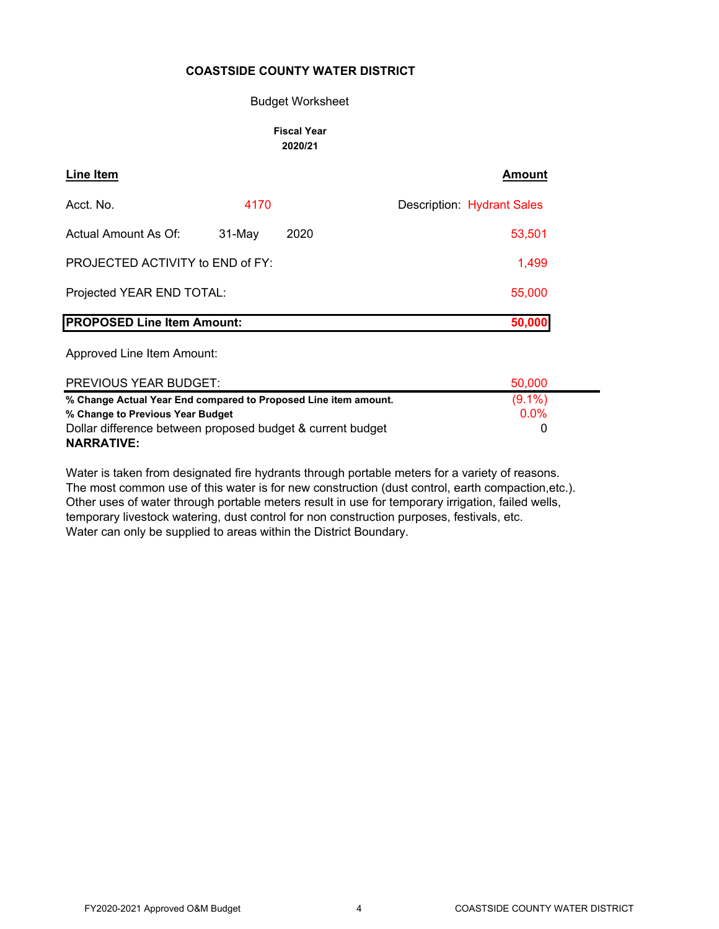#### Budget Worksheet

#### **Fiscal Year 2020/21**

| <b>Line Item</b>                  |           |      | <b>Amount</b>              |
|-----------------------------------|-----------|------|----------------------------|
| Acct. No.                         | 4170      |      | Description: Hydrant Sales |
| Actual Amount As Of:              | $31$ -May | 2020 | 53,501                     |
| PROJECTED ACTIVITY to END of FY:  |           |      | 1,499                      |
| Projected YEAR END TOTAL:         |           |      | 55,000                     |
| <b>PROPOSED Line Item Amount:</b> |           |      | 50,000                     |

Approved Line Item Amount:

| PREVIOUS YEAR BUDGET:                                           | 50,000    |
|-----------------------------------------------------------------|-----------|
| % Change Actual Year End compared to Proposed Line item amount. | $(9.1\%)$ |
| % Change to Previous Year Budget                                | $0.0\%$   |
| Dollar difference between proposed budget & current budget      | $\left($  |
| <b>NARRATIVE:</b>                                               |           |

Water is taken from designated fire hydrants through portable meters for a variety of reasons. The most common use of this water is for new construction (dust control, earth compaction,etc.). Other uses of water through portable meters result in use for temporary irrigation, failed wells, temporary livestock watering, dust control for non construction purposes, festivals, etc. Water can only be supplied to areas within the District Boundary.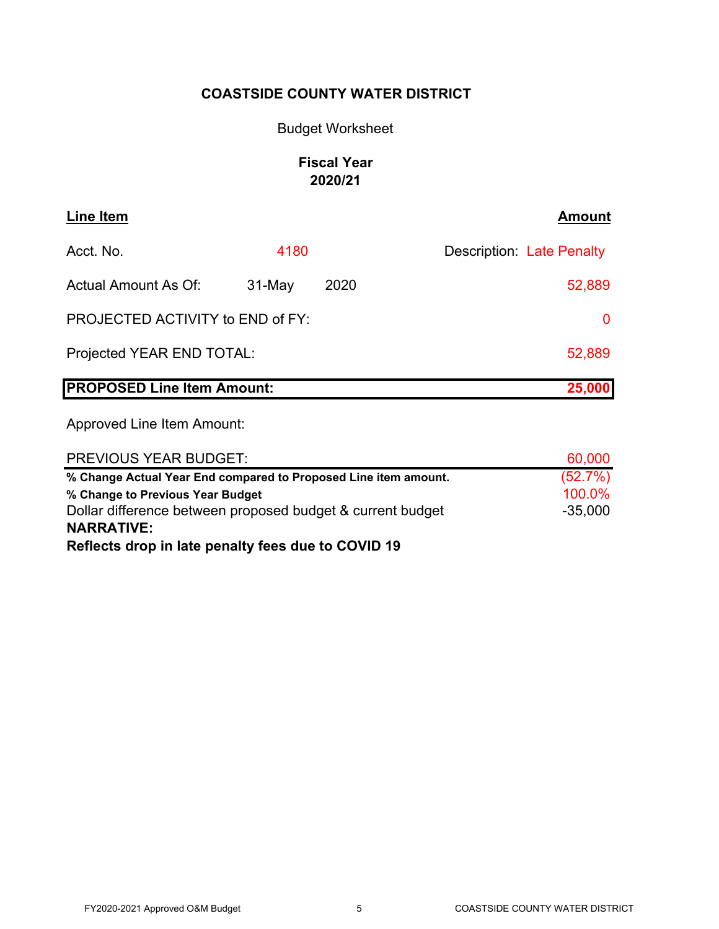# Budget Worksheet

# **Fiscal Year 2020/21**

| <b>Line Item</b>                  |          |      | <b>Amount</b>             |
|-----------------------------------|----------|------|---------------------------|
| Acct. No.                         | 4180     |      | Description: Late Penalty |
| <b>Actual Amount As Of:</b>       | $31-May$ | 2020 | 52,889                    |
| PROJECTED ACTIVITY to END of FY:  |          |      | $\Omega$                  |
| Projected YEAR END TOTAL:         |          |      | 52,889                    |
| <b>PROPOSED Line Item Amount:</b> |          |      | 25,000                    |

| <b>PREVIOUS YEAR BUDGET:</b>                                    | 60,000    |
|-----------------------------------------------------------------|-----------|
| % Change Actual Year End compared to Proposed Line item amount. | (52.7%)   |
| % Change to Previous Year Budget                                | 100.0%    |
| Dollar difference between proposed budget & current budget      | $-35,000$ |
| <b>NARRATIVE:</b>                                               |           |
| Reflects drop in late penalty fees due to COVID 19              |           |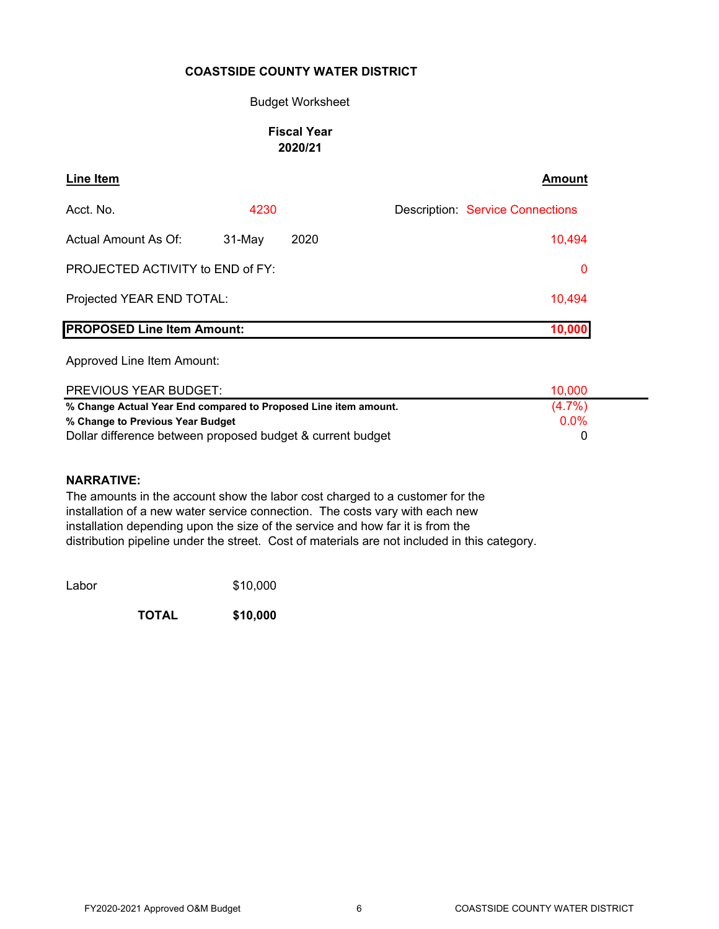#### Budget Worksheet

# **Fiscal Year 2020/21**

| Line Item                         |          |      | <b>Amount</b>                           |
|-----------------------------------|----------|------|-----------------------------------------|
| Acct. No.                         | 4230     |      | <b>Description: Service Connections</b> |
| Actual Amount As Of:              | $31-May$ | 2020 | 10,494                                  |
| PROJECTED ACTIVITY to END of FY:  |          |      | $\mathbf{0}$                            |
| Projected YEAR END TOTAL:         |          |      | 10,494                                  |
| <b>PROPOSED Line Item Amount:</b> |          |      |                                         |

Approved Line Item Amount:

| <b>PREVIOUS YEAR BUDGET:</b>                                    | 10.000    |
|-----------------------------------------------------------------|-----------|
| % Change Actual Year End compared to Proposed Line item amount. | $(4.7\%)$ |
| % Change to Previous Year Budget                                | 0.0%      |
| Dollar difference between proposed budget & current budget      |           |

#### **NARRATIVE:**

The amounts in the account show the labor cost charged to a customer for the installation of a new water service connection. The costs vary with each new installation depending upon the size of the service and how far it is from the distribution pipeline under the street. Cost of materials are not included in this category.

Labor \$10,000

**TOTAL \$10,000**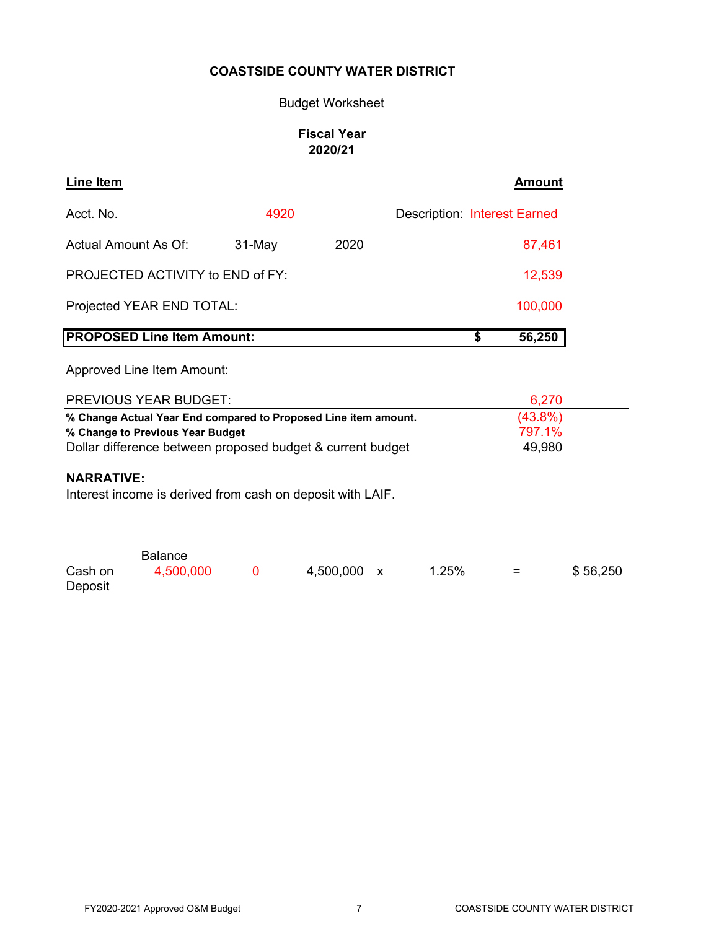# Budget Worksheet

# **Fiscal Year 2020/21**

| <b>Line Item</b>     |                                                                                                                                                                                                                                 |        |           |   |                                     | <b>Amount</b>                  |          |
|----------------------|---------------------------------------------------------------------------------------------------------------------------------------------------------------------------------------------------------------------------------|--------|-----------|---|-------------------------------------|--------------------------------|----------|
| Acct. No.            |                                                                                                                                                                                                                                 | 4920   |           |   | <b>Description: Interest Earned</b> |                                |          |
| Actual Amount As Of: |                                                                                                                                                                                                                                 | 31-May | 2020      |   |                                     | 87,461                         |          |
|                      | PROJECTED ACTIVITY to END of FY:                                                                                                                                                                                                |        |           |   |                                     | 12,539                         |          |
|                      | Projected YEAR END TOTAL:                                                                                                                                                                                                       |        |           |   |                                     | 100,000                        |          |
|                      | <b>PROPOSED Line Item Amount:</b>                                                                                                                                                                                               |        |           |   | \$                                  | 56,250                         |          |
|                      | Approved Line Item Amount:                                                                                                                                                                                                      |        |           |   |                                     |                                |          |
|                      | <b>PREVIOUS YEAR BUDGET:</b>                                                                                                                                                                                                    |        |           |   |                                     | 6,270                          |          |
| <b>NARRATIVE:</b>    | % Change Actual Year End compared to Proposed Line item amount.<br>% Change to Previous Year Budget<br>Dollar difference between proposed budget & current budget<br>Interest income is derived from cash on deposit with LAIF. |        |           |   |                                     | $(43.8\%)$<br>797.1%<br>49,980 |          |
| Cash on<br>Deposit   | <b>Balance</b><br>4,500,000                                                                                                                                                                                                     | 0      | 4,500,000 | X | 1.25%                               | $=$                            | \$56,250 |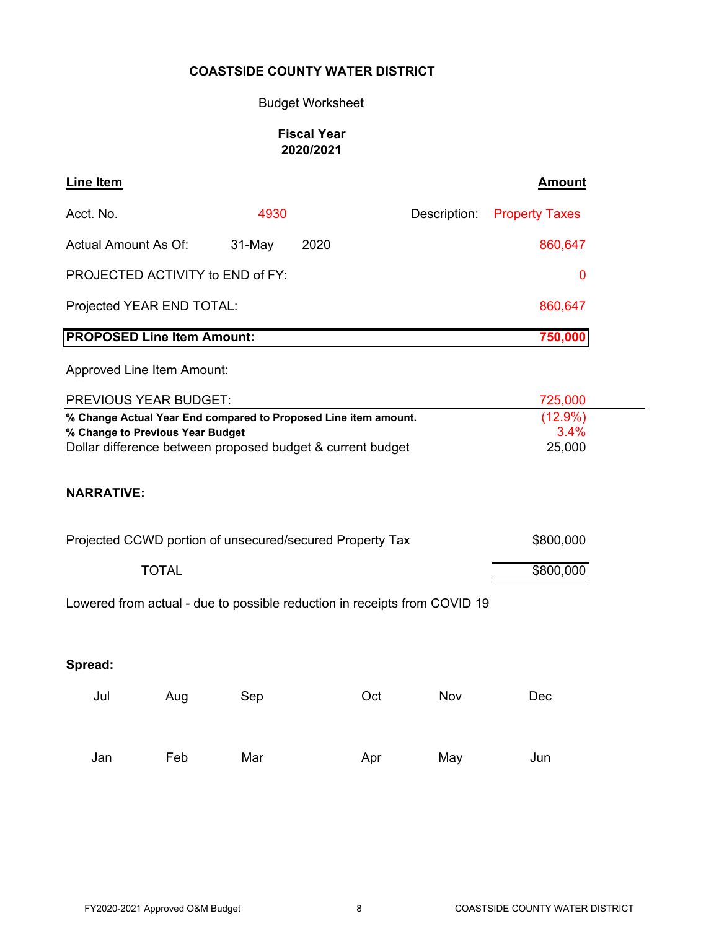# Budget Worksheet

# **Fiscal Year 2020/2021**

| Line Item                                                       |            |      |              | Amount                |
|-----------------------------------------------------------------|------------|------|--------------|-----------------------|
| Acct. No.                                                       | 4930       |      | Description: | <b>Property Taxes</b> |
| Actual Amount As Of:                                            | $31-May$   | 2020 |              | 860,647               |
| PROJECTED ACTIVITY to END of FY:                                | 0          |      |              |                       |
| Projected YEAR END TOTAL:                                       | 860,647    |      |              |                       |
| <b>PROPOSED Line Item Amount:</b>                               |            |      |              | 750,000               |
| Approved Line Item Amount:                                      |            |      |              |                       |
| PREVIOUS YEAR BUDGET:                                           | 725,000    |      |              |                       |
| % Change Actual Year End compared to Proposed Line item amount. | $(12.9\%)$ |      |              |                       |
| % Change to Previous Year Budget                                | 3.4%       |      |              |                       |
| Dollar difference between proposed budget & current budget      | 25,000     |      |              |                       |

# **NARRATIVE:**

| Projected CCWD portion of unsecured/secured Property Tax | \$800,000 |
|----------------------------------------------------------|-----------|
| TOTAL                                                    | \$800,000 |

Lowered from actual - due to possible reduction in receipts from COVID 19

# **Spread:**

| Jul | Aug | Sep | Oct | Nov | Dec |
|-----|-----|-----|-----|-----|-----|
| Jan | Feb | Mar | Apr | May | Jun |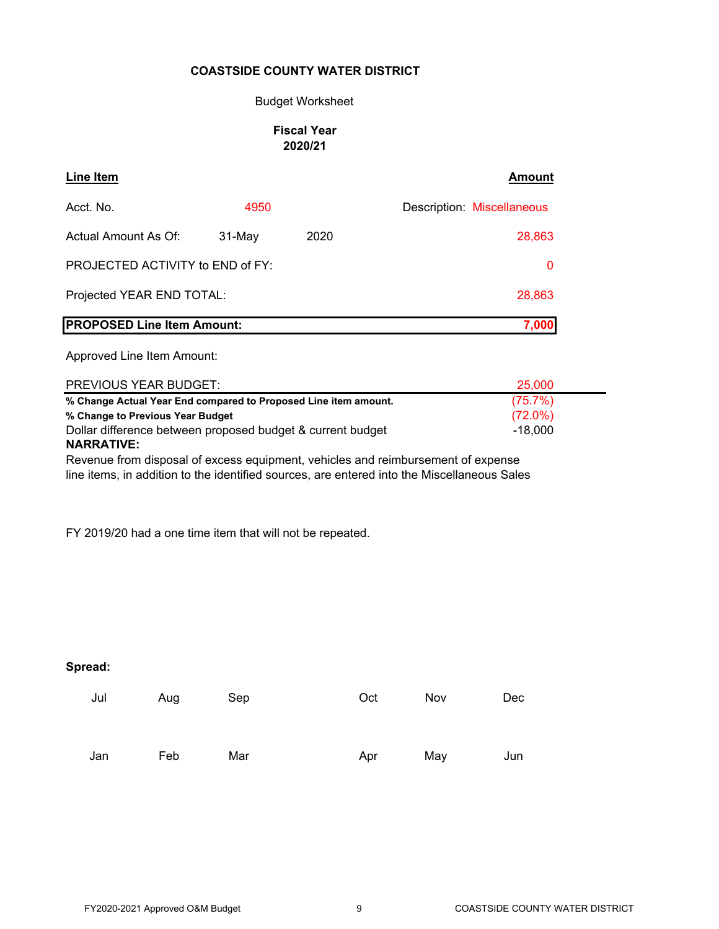#### Budget Worksheet

### **Fiscal Year 2020/21**

| <b>Line Item</b>                  |           |      | <b>Amount</b>              |
|-----------------------------------|-----------|------|----------------------------|
| Acct. No.                         | 4950      |      | Description: Miscellaneous |
| Actual Amount As Of:              | $31$ -May | 2020 | 28,863                     |
| PROJECTED ACTIVITY to END of FY:  |           |      | 0                          |
| Projected YEAR END TOTAL:         |           |      | 28,863                     |
| <b>PROPOSED Line Item Amount:</b> |           |      | 7,000                      |

Approved Line Item Amount:

| PREVIOUS YEAR BUDGET:                                           | 25,000     |
|-----------------------------------------------------------------|------------|
| % Change Actual Year End compared to Proposed Line item amount. | (75.7%)    |
| % Change to Previous Year Budget                                | $(72.0\%)$ |
| Dollar difference between proposed budget & current budget      | $-18.000$  |
| <b>NARRATIVE:</b>                                               |            |

Revenue from disposal of excess equipment, vehicles and reimbursement of expense line items, in addition to the identified sources, are entered into the Miscellaneous Sales

FY 2019/20 had a one time item that will not be repeated.

**Spread:**

| Jul | Aug | Sep | Oct | Nov | Dec |
|-----|-----|-----|-----|-----|-----|
| Jan | Feb | Mar | Apr | May | Jun |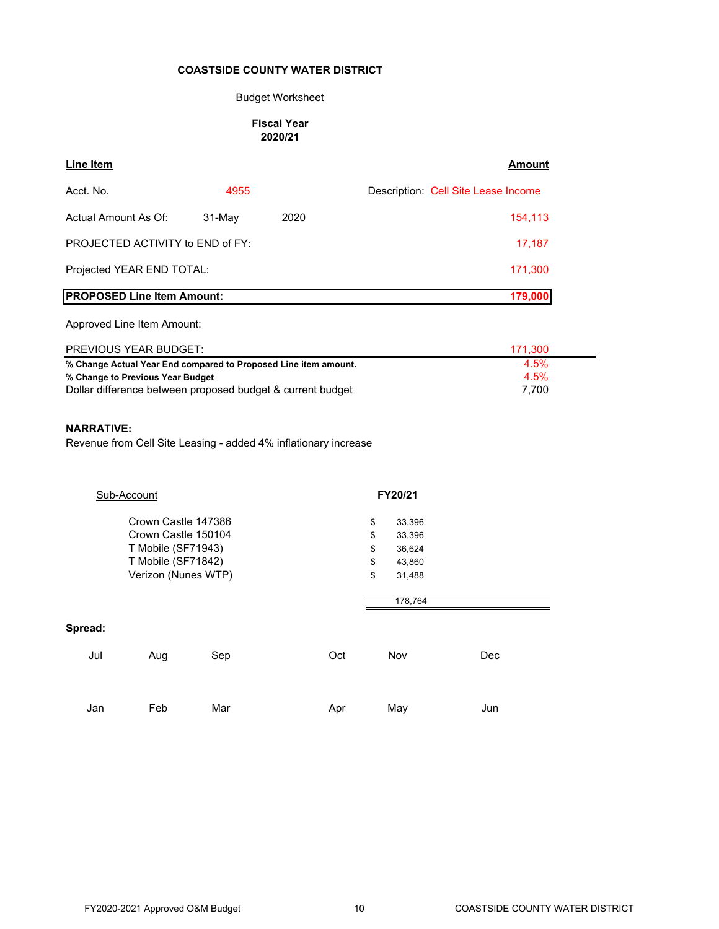#### Budget Worksheet

#### **Fiscal Year 2020/21**

| Line Item                                                      |          |      | <b>Amount</b>                       |
|----------------------------------------------------------------|----------|------|-------------------------------------|
| Acct. No.                                                      | 4955     |      | Description: Cell Site Lease Income |
| Actual Amount As Of:                                           | $31-Mav$ | 2020 | 154,113                             |
| <b>PROJECTED ACTIVITY to END of FY:</b>                        |          |      | 17,187                              |
| Projected YEAR END TOTAL:                                      | 171,300  |      |                                     |
| <b>PROPOSED Line Item Amount:</b>                              |          |      | 179,000                             |
| Approved Line Item Amount:                                     |          |      |                                     |
| <b>PREVIOUS YEAR BUDGET:</b>                                   |          |      | 171,300                             |
| % Change Actual Year End compared to Proposed Line item amount |          |      | 4.5%                                |

**% Change Actual Year End compared to Proposed Line item amount.** 4.5% **% Change to Previous Year Budget** 4.5% Dollar difference between proposed budget & current budget  $7,700$ 

#### **NARRATIVE:**

Revenue from Cell Site Leasing - added 4% inflationary increase

|                | Sub-Account                                                                                                   |     |     | FY20/21                                                                                 |     |
|----------------|---------------------------------------------------------------------------------------------------------------|-----|-----|-----------------------------------------------------------------------------------------|-----|
|                | Crown Castle 147386<br>Crown Castle 150104<br>T Mobile (SF71943)<br>T Mobile (SF71842)<br>Verizon (Nunes WTP) |     |     | \$<br>33,396<br>\$<br>33,396<br>\$<br>36,624<br>\$<br>43,860<br>\$<br>31,488<br>178,764 |     |
| Spread:<br>Jul | Aug                                                                                                           | Sep | Oct | Nov                                                                                     | Dec |
| Jan            | Feb                                                                                                           | Mar | Apr | May                                                                                     | Jun |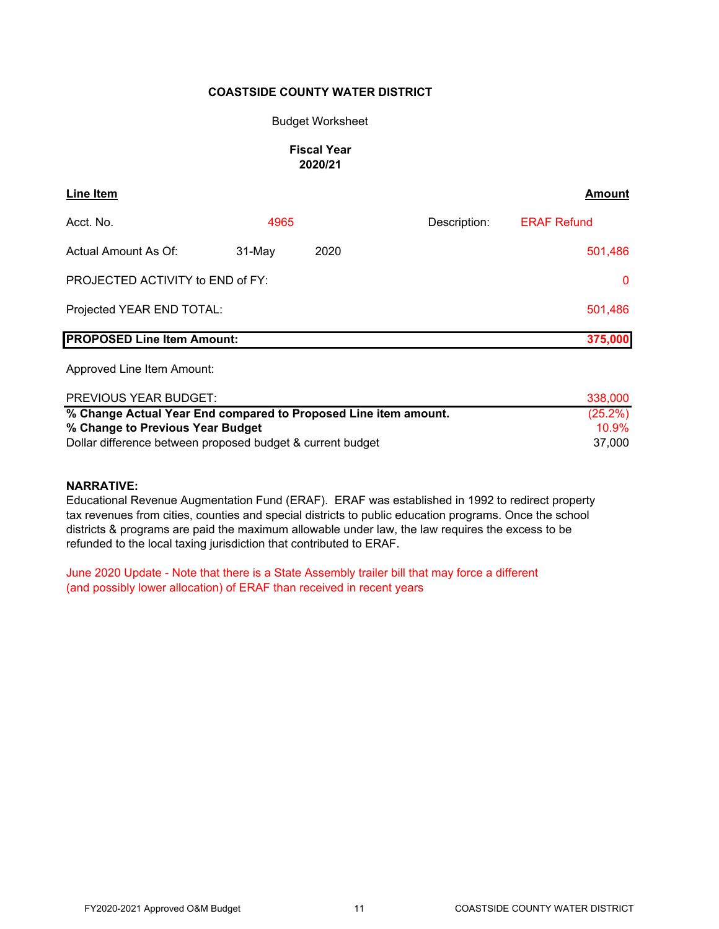#### Budget Worksheet

#### **Fiscal Year 2020/21**

| Line Item                         |        |      |              | <b>Amount</b>      |
|-----------------------------------|--------|------|--------------|--------------------|
| Acct. No.                         | 4965   |      | Description: | <b>ERAF Refund</b> |
| Actual Amount As Of:              | 31-May | 2020 |              | 501,486            |
| PROJECTED ACTIVITY to END of FY:  |        |      |              | $\Omega$           |
| Projected YEAR END TOTAL:         |        |      |              | 501,486            |
| <b>PROPOSED Line Item Amount:</b> |        |      |              | 375,000            |

Approved Line Item Amount:

| PREVIOUS YEAR BUDGET:                                           | 338,000    |
|-----------------------------------------------------------------|------------|
| % Change Actual Year End compared to Proposed Line item amount. | $(25.2\%)$ |
| % Change to Previous Year Budget                                | $10.9\%$   |
| Dollar difference between proposed budget & current budget      | 37.000     |

#### **NARRATIVE:**

Educational Revenue Augmentation Fund (ERAF). ERAF was established in 1992 to redirect property tax revenues from cities, counties and special districts to public education programs. Once the school districts & programs are paid the maximum allowable under law, the law requires the excess to be refunded to the local taxing jurisdiction that contributed to ERAF.

June 2020 Update - Note that there is a State Assembly trailer bill that may force a different (and possibly lower allocation) of ERAF than received in recent years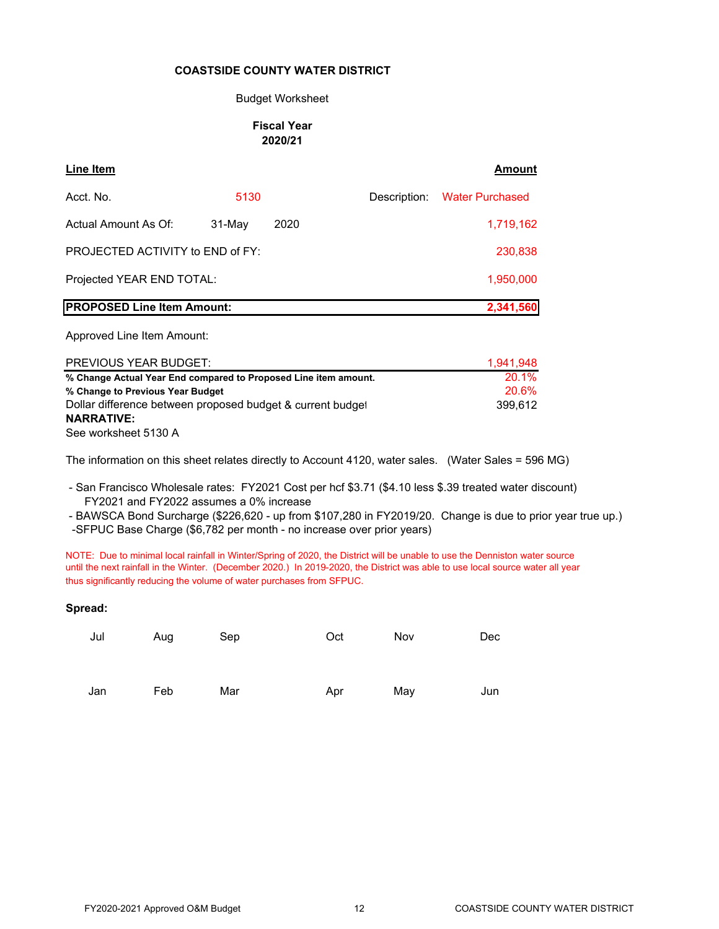#### Budget Worksheet

#### **Fiscal Year 2020/21**

| Line Item                               |          |      |              | Amount                 |
|-----------------------------------------|----------|------|--------------|------------------------|
| Acct. No.                               | 5130     |      | Description: | <b>Water Purchased</b> |
| Actual Amount As Of:                    | $31-Mav$ | 2020 |              | 1,719,162              |
| <b>PROJECTED ACTIVITY to END of FY:</b> |          |      |              | 230,838                |
| Projected YEAR END TOTAL:               |          |      |              | 1,950,000              |
| <b>PROPOSED Line Item Amount:</b>       |          |      |              | 2,341,560              |

Approved Line Item Amount:

| <b>PREVIOUS YEAR BUDGET:</b>                                    | 1.941.948 |
|-----------------------------------------------------------------|-----------|
| % Change Actual Year End compared to Proposed Line item amount. | 20.1%     |
| % Change to Previous Year Budget                                | 20.6%     |
| Dollar difference between proposed budget & current budget      | 399.612   |
| <b>NARRATIVE:</b>                                               |           |
| See worksheet 5130 A                                            |           |

The information on this sheet relates directly to Account 4120, water sales. (Water Sales = 596 MG)

 - San Francisco Wholesale rates: FY2021 Cost per hcf \$3.71 (\$4.10 less \$.39 treated water discount) FY2021 and FY2022 assumes a 0% increase

 - BAWSCA Bond Surcharge (\$226,620 - up from \$107,280 in FY2019/20. Change is due to prior year true up.) -SFPUC Base Charge (\$6,782 per month - no increase over prior years)

NOTE: Due to minimal local rainfall in Winter/Spring of 2020, the District will be unable to use the Denniston water source until the next rainfall in the Winter. (December 2020.) In 2019-2020, the District was able to use local source water all year thus significantly reducing the volume of water purchases from SFPUC.

#### **Spread:**

| Jul | Aug | Sep | Oct | Nov | Dec |
|-----|-----|-----|-----|-----|-----|
|     |     |     |     |     |     |
| Jan | Feb | Mar | Apr | May | Jun |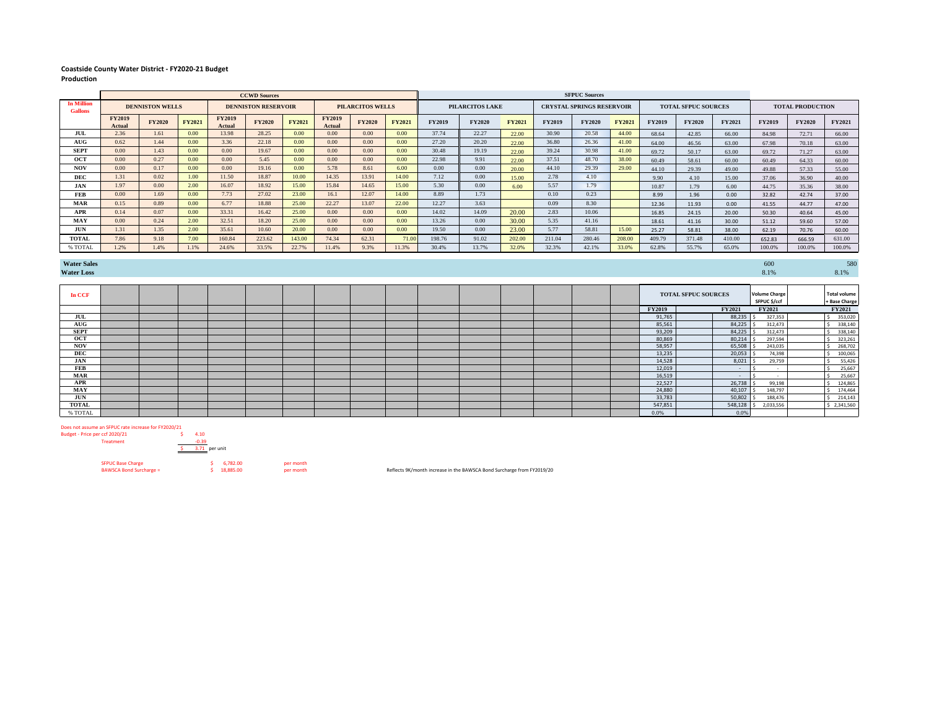#### **Coastside County Water District - FY2020-21 Budget Production**

|                                     |                                                                                 | <b>CCWD Sources</b> |               |                         |               |               |                                  |               | <b>SFPUC Sources</b>       |               |               |               |                         |               |               |               |               |               |               |               |        |
|-------------------------------------|---------------------------------------------------------------------------------|---------------------|---------------|-------------------------|---------------|---------------|----------------------------------|---------------|----------------------------|---------------|---------------|---------------|-------------------------|---------------|---------------|---------------|---------------|---------------|---------------|---------------|--------|
| <b>In Million</b><br><b>Gallons</b> | <b>PILARCITOS WELLS</b><br><b>DENNISTON WELLS</b><br><b>DENNISTON RESERVOIR</b> |                     |               | <b>PILARCITOS LAKE</b>  |               |               | <b>CRYSTAL SPRINGS RESERVOIR</b> |               | <b>TOTAL SFPUC SOURCES</b> |               |               |               | <b>TOTAL PRODUCTION</b> |               |               |               |               |               |               |               |        |
|                                     | <b>FY2019</b><br>Actual                                                         | <b>FY2020</b>       | <b>FY2021</b> | <b>FY2019</b><br>Actual | <b>FY2020</b> | <b>FY2021</b> | <b>FY2019</b><br>Actual          | <b>FY2020</b> | <b>FY2021</b>              | <b>FY2019</b> | <b>FY2020</b> | <b>FY2021</b> | <b>FY2019</b>           | <b>FY2020</b> | <b>FY2021</b> | <b>FY2019</b> | <b>FY2020</b> | <b>FY2021</b> | <b>FY2019</b> | <b>FY2020</b> | FY2021 |
| JUL                                 | 2.36                                                                            | 1.61                | 0.00          | 13.98                   | 28.25         | 0.00          | 0.00                             | $0.00 -$      | 0.00                       | 37.74         | 22.27         | 22.00         | 30.90                   | 20.58         | 44.00         | 68.64         | 42.85         | 66.00         | 84.98         | 72.71         | 66.00  |
| AUG                                 | 0.62                                                                            | 1.44                | 0.00          | 3.36                    | 22.18         | 0.00          | 0.00                             | 0.00          | 0.00                       | 27.20         | 20.20         | 22.00         | 36.80                   | 26.36         | 41.00         | 64.00         | 46.56         | 63.00         | 67.98         | 70.18         | 63.00  |
| <b>SEPT</b>                         | 0.00                                                                            | 1.43                | 0.00          | 0.00                    | 19.67         | 0.00          | 0.00                             | 0.00          | 0.00                       | 30.48         | 19.19         | 22.00         | 39.24                   | 30.98         | 41.00         | 69.72         | 50.17         | 63.00         | 69.72         | 71.27         | 63.00  |
| OCT                                 | 0.00                                                                            | 0.27                | 0.00          | 0.00                    | 5.45          | 0.00          | 0.00                             | $0.00 -$      | 0.00                       | 22.98         | 9.91          | 22.00         | 37.51                   | 48.70         | 38.00         | 60.49         | 58.61         | 60.00         | 60.49         | 64.33         | 60.00  |
| <b>NOV</b>                          | 0.00                                                                            | 0.17                | 0.00          | 0.00                    | 19.16         | 0.00          | 5.78                             | 8.61          | 6.00                       | 0.00          | 0.00          | 20.00         | 44.10                   | 29.39         | 29.00         | 44.10         | 29.39         | 49.00         | 49.88         | 57.33         | 55.00  |
| DEC                                 | 1.31                                                                            | 0.02                | 1.00          | 11.50                   | 18.87         | 10.00         | 14.35                            | 13.91         | 14.00                      | 7.12          | 0.00          | 15.00         | 2.78                    | 4.10          |               | 9.90          | 4.10          | 15.00         | 37.06         | 36.90         | 40.00  |
| JAN                                 | 1.97                                                                            | 0.00                | 2.00          | 16.07                   | 18.92         | 15.00         | 15.84                            | 14.65         | 15.00                      | 5.30          | 0.00          | 6.00          | 5.57                    | 1.79          |               | 10.87         | 1.79          | 6.00          | 44.75         | 35.36         | 38.00  |
| FEB                                 | 0.00                                                                            | 1.69                | 0.00          | 7.73                    | 27.02         | 23.00         | 16.1                             | 12.07         | 14.00                      | 8.89          | 1.73          |               | 0.10                    | 0.23          |               | 8.99          | 1.96          | 0.00          | 32.82         | 42.74         | 37.00  |
| MAR                                 | 0.15                                                                            | 0.89                | 0.00          | 6.77                    | 18.88         | 25.00         | 22.27                            | 13.07         | 22.00                      | 12.27         | 3.63          |               | 0.09                    | 8.30          |               | 12.36         | 11.93         | 0.00          | 41.55         | 44.77         | 47.00  |
| <b>APR</b>                          | 0.14                                                                            | 0.07                | 0.00          | 33.31                   | 16.42         | 25.00         | 0.00                             | $0.00 -$      | 0.00                       | 14.02         | 14.09         | 20.00         | 2.83                    | 10.06         |               | 16.85         | 24.15         | 20.00         | 50.30         | 40.64         | 45.00  |
| MAY                                 | 0.00                                                                            | 0.24                | 2.00          | 32.51                   | 18.20         | 25.00         | 0.00                             | $0.00 -$      | 0.00                       | 13.26         | 0.00          | 30.00         | 5.35                    | 41.16         |               | 18.61         | 41.16         | 30.00         | 51.12         | 59.60         | 57.00  |
| JUN                                 | 1.31                                                                            | 1.35                | 2.00          | 35.61                   | 10.60         | 20.00         | 0.00                             | 0.00          | 0.00                       | 19.50         | 0.00          | 23.00         | 5.77                    | 58.81         | 15.00         | 25.27         | 58.81         | 38.00         | 62.19         | 70.76         | 60.00  |
| TOTAL                               | 7.86                                                                            | 9.18                | 7.00          | 160.84                  | 223.62        | 143.00        | 74.34                            | 62.31         | 71.00                      | 198.76        | 91.02         | 202.00        | 211.04                  | 280.46        | 208.00        | 409.79        | 371.48        | 410.00        | 652.83        | 666.59        | 631.00 |
| % TOTAL                             | 1.2%                                                                            | 1.4%                |               | 24.6%                   | 33.5%         | 22.7%         | 11.4%                            | 9.3%          | 11.3%                      | 30.4%         | 13.7%         | 32.0%         | 32.3%                   | 42.1%         | 33.0%         | 62.8%         | 55.7%         | 65.0%         | 100.0%        | 100.0%        | 100.0% |

**Water Sales** 600 580 **600** 580 **Water Loss** 8.1% 8.1%

| In CCF       |  |  |  |  |  |  |  |               | <b>TOTAL SFPUC SOURCES</b> | <b>Volume Charge</b><br>SFPUC \$/ccf | <b>Total volume</b><br>+ Base Charge |
|--------------|--|--|--|--|--|--|--|---------------|----------------------------|--------------------------------------|--------------------------------------|
|              |  |  |  |  |  |  |  | <b>FY2019</b> | <b>FY2021</b>              | <b>FY2021</b>                        | <b>FY2021</b>                        |
| JUL          |  |  |  |  |  |  |  | 91,765        | 88,235                     | 327,353                              | 353,020                              |
| AUG          |  |  |  |  |  |  |  | 85,561        | 84,225                     | 312,473                              | 338,140                              |
| <b>SEPT</b>  |  |  |  |  |  |  |  | 93,209        | 84,225                     | 312,473                              | 338,140                              |
| <b>OCT</b>   |  |  |  |  |  |  |  | 80,869        | 80,214                     | 297,594                              | 323,261                              |
| <b>NOV</b>   |  |  |  |  |  |  |  | 58,957        | 65,508                     | 243,035                              | 268,702                              |
| DEC          |  |  |  |  |  |  |  | 13,235        | 20,053                     | 74,398                               | 100,065                              |
| JAN          |  |  |  |  |  |  |  | 14,528        | 8,021                      | 29,759                               | 55,426                               |
| FEB          |  |  |  |  |  |  |  | 12,019        | $\sim$                     |                                      | 25,667                               |
| MAR          |  |  |  |  |  |  |  | 16,519        | $\sim$                     |                                      | 25,667                               |
| <b>APR</b>   |  |  |  |  |  |  |  | 22,527        | 26,738                     | 99,198                               | 124,865                              |
| MAY          |  |  |  |  |  |  |  | 24,880        | 40,107                     | 148,797                              | 174,464                              |
| JUN          |  |  |  |  |  |  |  | 33,783        | 50,802                     | 188,476                              | 214,143                              |
| <b>TOTAL</b> |  |  |  |  |  |  |  | 547,851       | 548,128                    | 2,033,556                            | \$2,341,560                          |
| % TOTAL      |  |  |  |  |  |  |  | 0.0%          | 0.0%                       |                                      |                                      |

Does not assume an SFPUC rate increase for FY2020/21

| Budget - Price per ccf 2020/21 | 4.10          |           |           |  |  |  |
|--------------------------------|---------------|-----------|-----------|--|--|--|
| <b>Treatment</b>               | $-0.39$       |           |           |  |  |  |
|                                | 3.71 per unit |           |           |  |  |  |
| <b>SFPUC Base Charge</b>       |               | 6.782.00  | per month |  |  |  |
| <b>BAWSCA Bond Surcharge =</b> |               | 18,885.00 | per month |  |  |  |

Reflects 9K/month increase in the BAWSCA Bond Surcharge from FY2019/20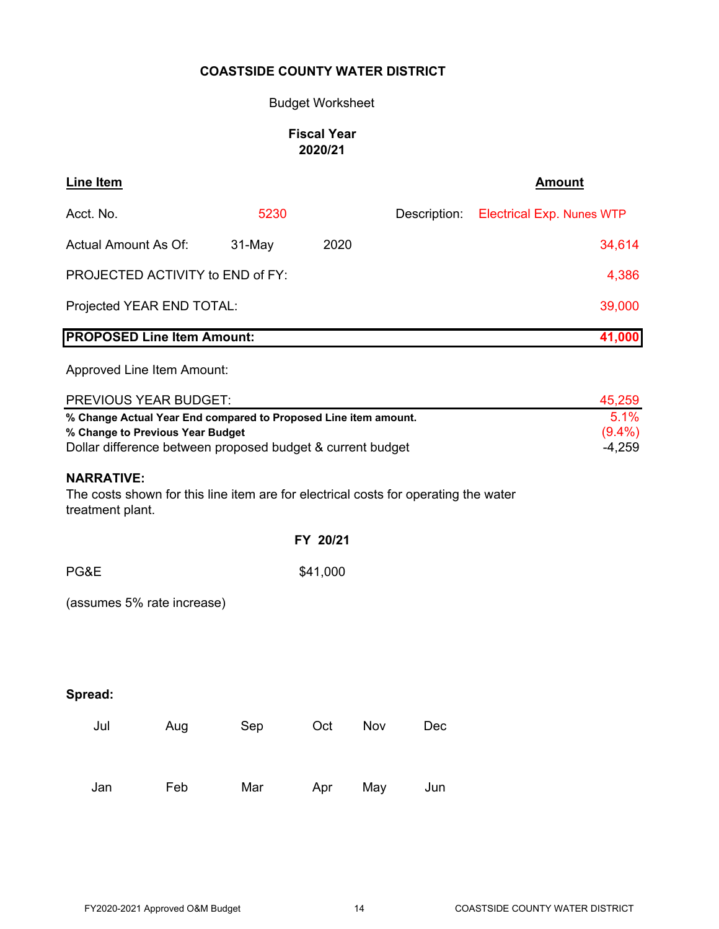# Budget Worksheet

# **Fiscal Year 2020/21**

| <b>Line Item</b>                                                                                                                                                                                                                                                                                               |     |        |          |     |              | <b>Amount</b>                    |  |  |  |
|----------------------------------------------------------------------------------------------------------------------------------------------------------------------------------------------------------------------------------------------------------------------------------------------------------------|-----|--------|----------|-----|--------------|----------------------------------|--|--|--|
| Acct. No.                                                                                                                                                                                                                                                                                                      |     | 5230   |          |     | Description: | <b>Electrical Exp. Nunes WTP</b> |  |  |  |
| <b>Actual Amount As Of:</b>                                                                                                                                                                                                                                                                                    |     | 31-May | 2020     |     |              | 34,614                           |  |  |  |
| PROJECTED ACTIVITY to END of FY:                                                                                                                                                                                                                                                                               |     |        |          |     |              | 4,386                            |  |  |  |
| Projected YEAR END TOTAL:                                                                                                                                                                                                                                                                                      |     |        |          |     |              | 39,000                           |  |  |  |
| <b>PROPOSED Line Item Amount:</b>                                                                                                                                                                                                                                                                              |     |        |          |     |              | 41,000                           |  |  |  |
| Approved Line Item Amount:                                                                                                                                                                                                                                                                                     |     |        |          |     |              |                                  |  |  |  |
| PREVIOUS YEAR BUDGET:                                                                                                                                                                                                                                                                                          |     |        |          |     |              | 45,259                           |  |  |  |
| 5.1%<br>% Change Actual Year End compared to Proposed Line item amount.<br>$(9.4\%)$<br>% Change to Previous Year Budget<br>Dollar difference between proposed budget & current budget<br>$-4,259$<br><b>NARRATIVE:</b><br>The costs shown for this line item are for electrical costs for operating the water |     |        |          |     |              |                                  |  |  |  |
| treatment plant.                                                                                                                                                                                                                                                                                               |     |        |          |     |              |                                  |  |  |  |
|                                                                                                                                                                                                                                                                                                                |     |        | FY 20/21 |     |              |                                  |  |  |  |
| PG&E                                                                                                                                                                                                                                                                                                           |     |        | \$41,000 |     |              |                                  |  |  |  |
| (assumes 5% rate increase)                                                                                                                                                                                                                                                                                     |     |        |          |     |              |                                  |  |  |  |
|                                                                                                                                                                                                                                                                                                                |     |        |          |     |              |                                  |  |  |  |
| Spread:                                                                                                                                                                                                                                                                                                        |     |        |          |     |              |                                  |  |  |  |
| Jul                                                                                                                                                                                                                                                                                                            | Aug | Sep    | Oct      | Nov | Dec          |                                  |  |  |  |
| Jan                                                                                                                                                                                                                                                                                                            | Feb | Mar    | Apr      | May | Jun          |                                  |  |  |  |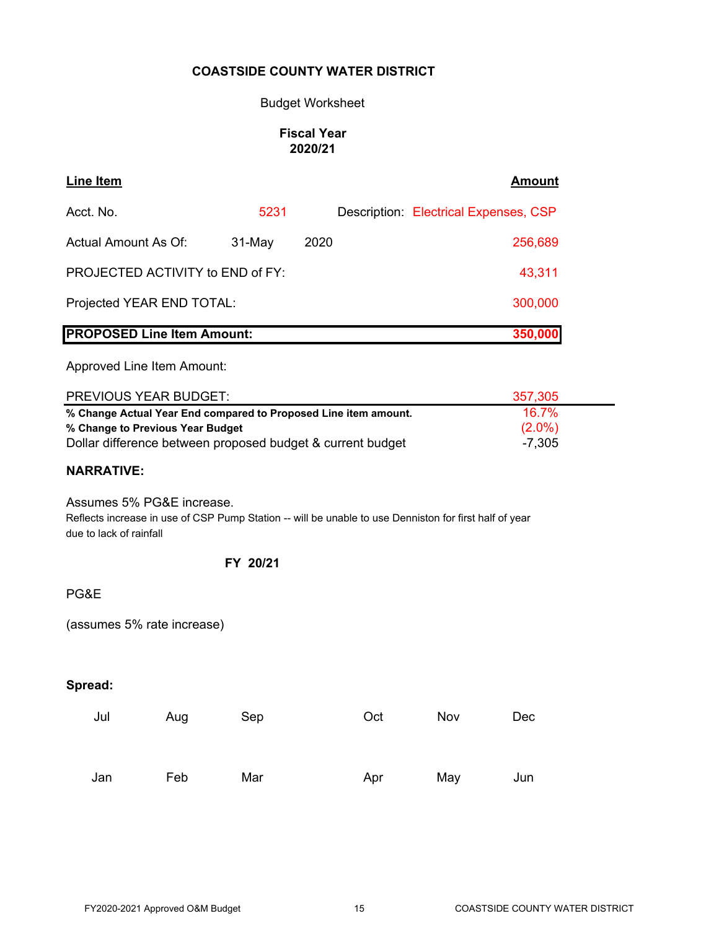# Budget Worksheet

# **Fiscal Year 2020/21**

| <b>Line Item</b>                                                                                                                                                  |          |  |  |                                       | <b>Amount</b>                  |  |  |  |
|-------------------------------------------------------------------------------------------------------------------------------------------------------------------|----------|--|--|---------------------------------------|--------------------------------|--|--|--|
| Acct. No.                                                                                                                                                         | 5231     |  |  | Description: Electrical Expenses, CSP |                                |  |  |  |
| Actual Amount As Of:<br>2020<br>31-May<br>256,689                                                                                                                 |          |  |  |                                       |                                |  |  |  |
| PROJECTED ACTIVITY to END of FY:<br>43,311                                                                                                                        |          |  |  |                                       |                                |  |  |  |
| Projected YEAR END TOTAL:<br>300,000                                                                                                                              |          |  |  |                                       |                                |  |  |  |
| <b>PROPOSED Line Item Amount:</b>                                                                                                                                 |          |  |  |                                       | 350,000                        |  |  |  |
| Approved Line Item Amount:                                                                                                                                        |          |  |  |                                       |                                |  |  |  |
| PREVIOUS YEAR BUDGET:                                                                                                                                             |          |  |  |                                       | 357,305                        |  |  |  |
| % Change Actual Year End compared to Proposed Line item amount.<br>% Change to Previous Year Budget<br>Dollar difference between proposed budget & current budget |          |  |  |                                       | 16.7%<br>$(2.0\%)$<br>$-7,305$ |  |  |  |
| <b>NARRATIVE:</b>                                                                                                                                                 |          |  |  |                                       |                                |  |  |  |
| Assumes 5% PG&E increase.<br>Reflects increase in use of CSP Pump Station -- will be unable to use Denniston for first half of year<br>due to lack of rainfall    |          |  |  |                                       |                                |  |  |  |
|                                                                                                                                                                   | FY 20/21 |  |  |                                       |                                |  |  |  |
|                                                                                                                                                                   |          |  |  |                                       |                                |  |  |  |
| PG&E                                                                                                                                                              |          |  |  |                                       |                                |  |  |  |

# **Spread:**

| Jul | Aug | Sep | Oct | Nov | Dec |
|-----|-----|-----|-----|-----|-----|
|     |     |     |     |     |     |
| Jan | Feb | Mar | Apr | May | Jun |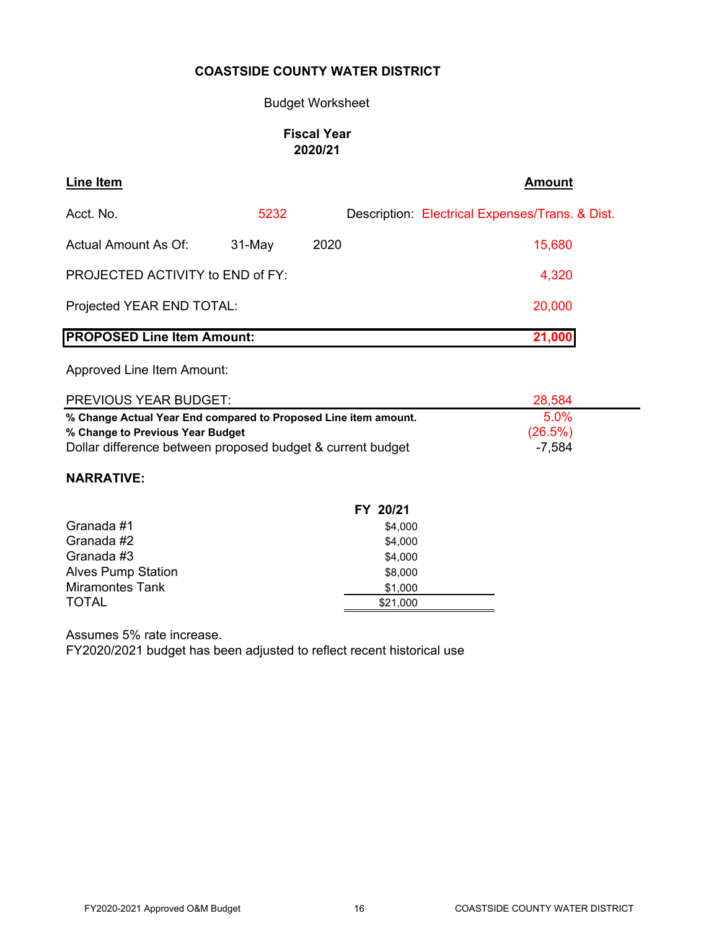### Budget Worksheet

# **Fiscal Year 2020/21**

| Line Item                                   |          |      | <b>Amount</b>                                   |  |  |  |  |  |
|---------------------------------------------|----------|------|-------------------------------------------------|--|--|--|--|--|
| Acct. No.                                   | 5232     |      | Description: Electrical Expenses/Trans. & Dist. |  |  |  |  |  |
| Actual Amount As Of:                        | $31-May$ | 2020 | 15,680                                          |  |  |  |  |  |
| <b>PROJECTED ACTIVITY to END of FY:</b>     |          |      | 4,320                                           |  |  |  |  |  |
| Projected YEAR END TOTAL:                   |          |      | 20,000                                          |  |  |  |  |  |
| <b>PROPOSED Line Item Amount:</b><br>21,000 |          |      |                                                 |  |  |  |  |  |

Approved Line Item Amount:

| <b>PREVIOUS YEAR BUDGET:</b>                                    | 28,584  |  |
|-----------------------------------------------------------------|---------|--|
| % Change Actual Year End compared to Proposed Line item amount. | $5.0\%$ |  |
| % Change to Previous Year Budget                                | (26.5%) |  |
| Dollar difference between proposed budget & current budget      | -7.584  |  |

# **NARRATIVE:**

|                           | FY 20/21 |
|---------------------------|----------|
| Granada #1                | \$4,000  |
| Granada #2                | \$4,000  |
| Granada #3                | \$4,000  |
| <b>Alves Pump Station</b> | \$8,000  |
| <b>Miramontes Tank</b>    | \$1,000  |
| <b>TOTAL</b>              | \$21,000 |

Assumes 5% rate increase.

FY2020/2021 budget has been adjusted to reflect recent historical use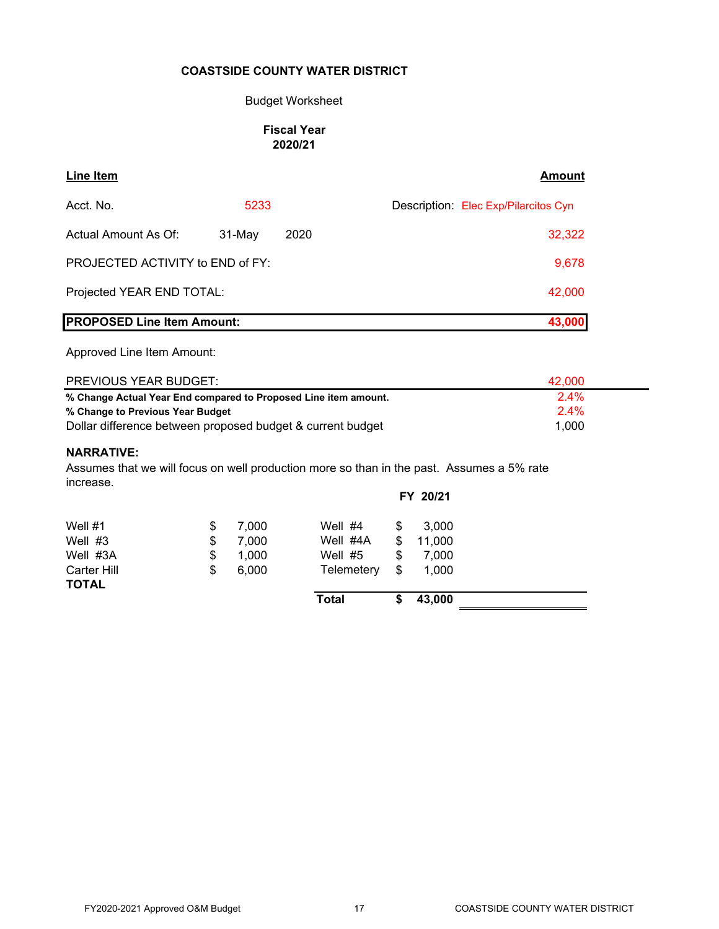#### Budget Worksheet

# **Fiscal Year 2020/21**

| Line Item                                                       |          |      | Amount                               |  |  |  |  |  |
|-----------------------------------------------------------------|----------|------|--------------------------------------|--|--|--|--|--|
| Acct. No.                                                       | 5233     |      | Description: Elec Exp/Pilarcitos Cyn |  |  |  |  |  |
| Actual Amount As Of:                                            | $31-May$ | 2020 | 32,322                               |  |  |  |  |  |
| <b>PROJECTED ACTIVITY to END of FY:</b><br>9,678                |          |      |                                      |  |  |  |  |  |
| Projected YEAR END TOTAL:<br>42,000                             |          |      |                                      |  |  |  |  |  |
| <b>PROPOSED Line Item Amount:</b>                               |          |      | 43,000                               |  |  |  |  |  |
| Approved Line Item Amount:                                      |          |      |                                      |  |  |  |  |  |
| <b>PREVIOUS YEAR BUDGET:</b>                                    |          |      | 42,000                               |  |  |  |  |  |
| % Change Actual Year End compared to Proposed Line item amount. |          | 2.4% |                                      |  |  |  |  |  |
| % Change to Previous Year Budget                                |          | 2.4% |                                      |  |  |  |  |  |

Dollar difference between proposed budget & current budget 1,000

#### **NARRATIVE:**

Assumes that we will focus on well production more so than in the past. Assumes a 5% rate increase.

|                             |             |              |    | FY 20/21 |  |
|-----------------------------|-------------|--------------|----|----------|--|
| Well #1                     | \$<br>7,000 | Well $#4$    | S  | 3.000    |  |
| Well #3                     | \$<br>7,000 | Well #4A     | \$ | 11,000   |  |
| Well #3A                    | \$<br>1,000 | Well $#5$    | \$ | 7.000    |  |
| Carter Hill<br><b>TOTAL</b> | \$<br>6,000 | Telemetery   | \$ | 1,000    |  |
|                             |             | <b>Total</b> | S  | 43,000   |  |
|                             |             |              |    |          |  |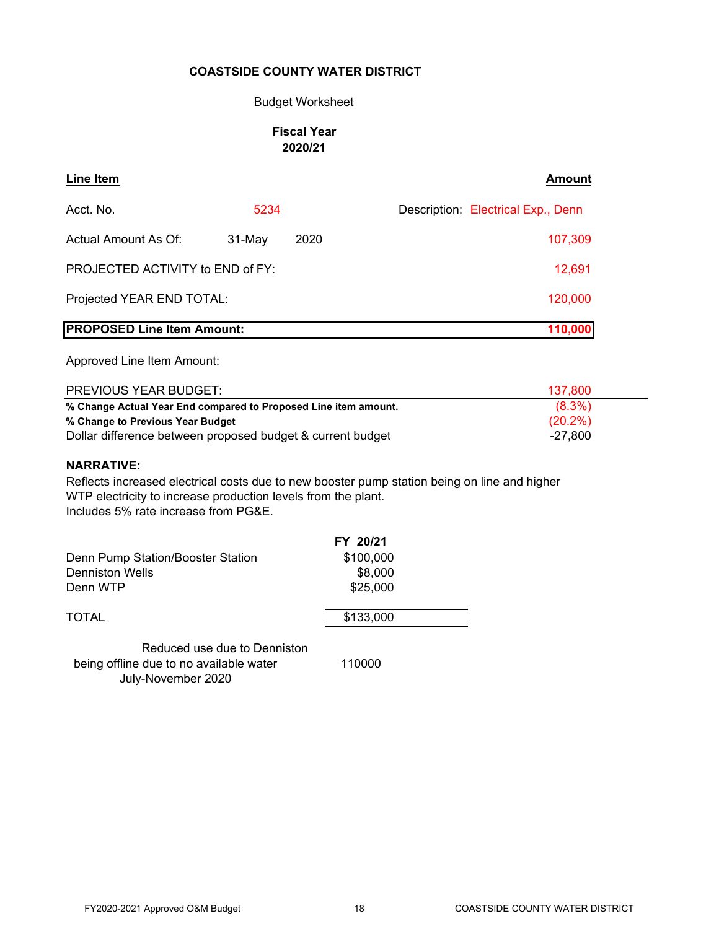### Budget Worksheet

### **Fiscal Year 2020/21**

| Line Item                         |          |         | <b>Amount</b>                      |
|-----------------------------------|----------|---------|------------------------------------|
| Acct. No.                         | 5234     |         | Description: Electrical Exp., Denn |
| <b>Actual Amount As Of:</b>       | $31-May$ | 2020    | 107,309                            |
| PROJECTED ACTIVITY to END of FY:  |          | 12,691  |                                    |
| Projected YEAR END TOTAL:         |          | 120,000 |                                    |
| <b>PROPOSED Line Item Amount:</b> |          | 110,000 |                                    |

Approved Line Item Amount:

| <b>PREVIOUS YEAR BUDGET:</b>                                    | 137,800    |
|-----------------------------------------------------------------|------------|
| % Change Actual Year End compared to Proposed Line item amount. | $(8.3\%)$  |
| % Change to Previous Year Budget                                | $(20.2\%)$ |
| Dollar difference between proposed budget & current budget      | -27.800    |

#### **NARRATIVE:**

Reflects increased electrical costs due to new booster pump station being on line and higher WTP electricity to increase production levels from the plant. Includes 5% rate increase from PG&E.

|                                   | FY 20/21  |  |
|-----------------------------------|-----------|--|
| Denn Pump Station/Booster Station | \$100,000 |  |
| <b>Denniston Wells</b>            | \$8,000   |  |
| Denn WTP                          | \$25,000  |  |
| <b>TOTAL</b>                      | \$133,000 |  |
|                                   |           |  |

Reduced use due to Denniston being offline due to no available water 110000 July-November 2020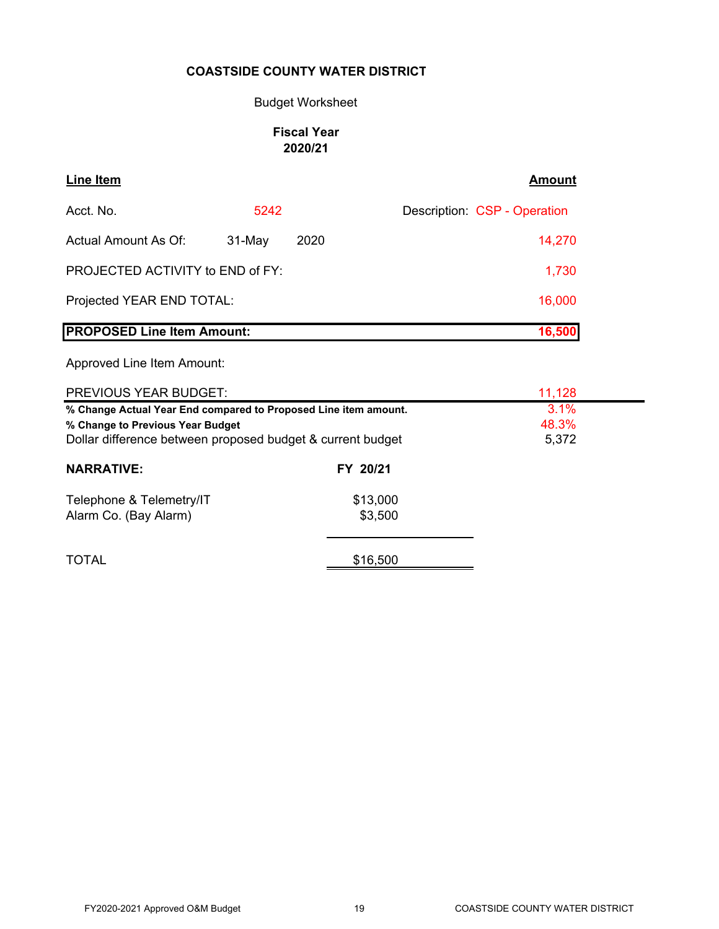### Budget Worksheet

# **Fiscal Year 2020/21**

| <b>Line Item</b>                  |          |      | Amount                       |
|-----------------------------------|----------|------|------------------------------|
| Acct. No.                         | 5242     |      | Description: CSP - Operation |
| Actual Amount As Of:              | $31-May$ | 2020 | 14,270                       |
| PROJECTED ACTIVITY to END of FY:  |          |      | 1,730                        |
| Projected YEAR END TOTAL:         |          |      | 16,000                       |
| <b>PROPOSED Line Item Amount:</b> |          |      | 16,500                       |

| PREVIOUS YEAR BUDGET:                                           |          | 11,128 |
|-----------------------------------------------------------------|----------|--------|
| % Change Actual Year End compared to Proposed Line item amount. |          | 3.1%   |
| % Change to Previous Year Budget                                |          | 48.3%  |
| Dollar difference between proposed budget & current budget      |          | 5,372  |
| <b>NARRATIVE:</b>                                               | FY 20/21 |        |
| Telephone & Telemetry/IT                                        | \$13,000 |        |
| Alarm Co. (Bay Alarm)                                           | \$3,500  |        |
|                                                                 |          |        |
| <b>TOTAL</b>                                                    | \$16,500 |        |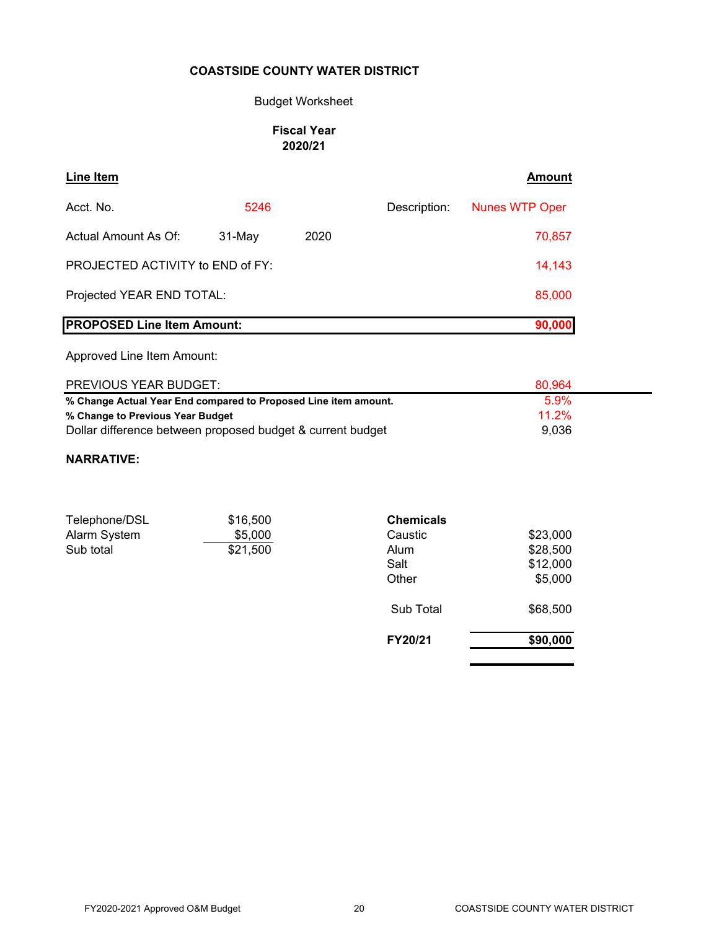# Budget Worksheet

# **Fiscal Year 2020/21**

| <b>Line Item</b>                  |           |      |              | Amount                |
|-----------------------------------|-----------|------|--------------|-----------------------|
| Acct. No.                         | 5246      |      | Description: | <b>Nunes WTP Oper</b> |
| Actual Amount As Of:              | $31$ -May | 2020 |              | 70,857                |
| PROJECTED ACTIVITY to END of FY:  |           |      |              | 14,143                |
| Projected YEAR END TOTAL:         |           |      |              | 85,000                |
| <b>PROPOSED Line Item Amount:</b> |           |      |              | 90,000                |

# Approved Line Item Amount:

| <b>PREVIOUS YEAR BUDGET:</b>                                    | 80.964   |  |
|-----------------------------------------------------------------|----------|--|
| % Change Actual Year End compared to Proposed Line item amount. | $5.9\%$  |  |
| % Change to Previous Year Budget                                | 11 $2\%$ |  |
| Dollar difference between proposed budget & current budget      | 9.036    |  |

#### **NARRATIVE:**

| Telephone/DSL | \$16,500 | <b>Chemicals</b> |          |
|---------------|----------|------------------|----------|
| Alarm System  | \$5,000  | Caustic          | \$23,000 |
| Sub total     | \$21,500 | Alum             | \$28,500 |
|               |          | Salt             | \$12,000 |
|               |          | Other            | \$5,000  |
|               |          | Sub Total        | \$68,500 |
|               |          | FY20/21          | \$90,000 |
|               |          |                  |          |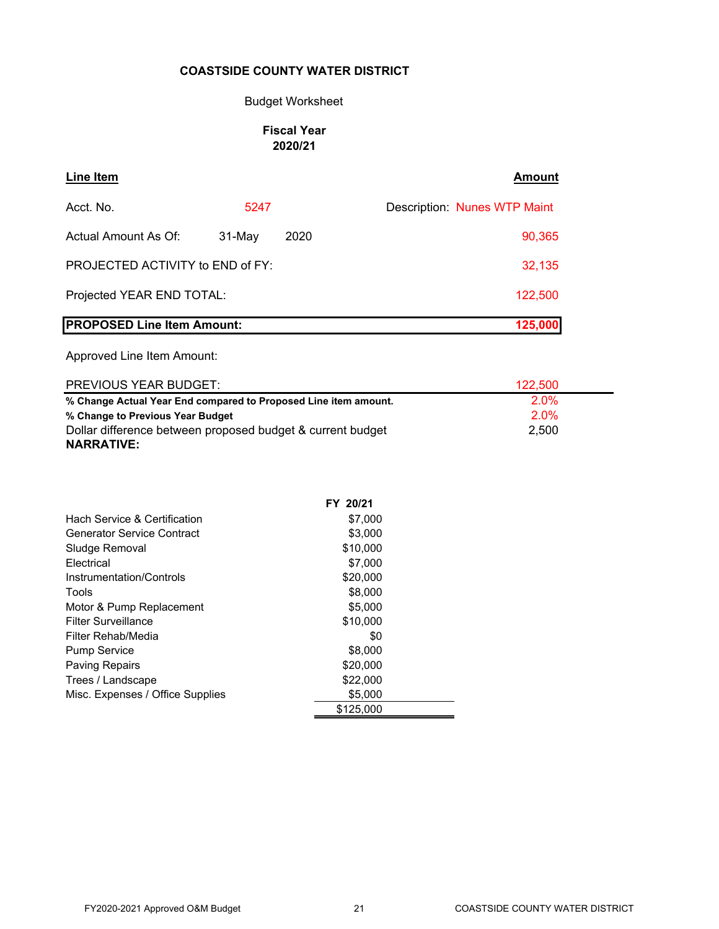# Budget Worksheet

# **Fiscal Year 2020/21**

| <b>Line Item</b>                        |        |      | Amount                       |
|-----------------------------------------|--------|------|------------------------------|
| Acct. No.                               | 5247   |      | Description: Nunes WTP Maint |
| Actual Amount As Of:                    | 31-May | 2020 | 90,365                       |
| <b>PROJECTED ACTIVITY to END of FY:</b> |        |      | 32,135                       |
| Projected YEAR END TOTAL:               |        |      | 122,500                      |
| <b>PROPOSED Line Item Amount:</b>       |        |      | 125,000                      |

| <b>PREVIOUS YEAR BUDGET:</b>                                    | 122,500 |
|-----------------------------------------------------------------|---------|
| % Change Actual Year End compared to Proposed Line item amount. | $2.0\%$ |
| % Change to Previous Year Budget                                | 2.0%    |
| Dollar difference between proposed budget & current budget      | 2,500   |
| <b>NARRATIVE:</b>                                               |         |

|                                         | FY 20/21  |  |
|-----------------------------------------|-----------|--|
| <b>Hach Service &amp; Certification</b> | \$7,000   |  |
| Generator Service Contract              | \$3,000   |  |
| Sludge Removal                          | \$10,000  |  |
| Electrical                              | \$7,000   |  |
| Instrumentation/Controls                | \$20,000  |  |
| Tools                                   | \$8,000   |  |
| Motor & Pump Replacement                | \$5,000   |  |
| Filter Surveillance                     | \$10,000  |  |
| Filter Rehab/Media                      | \$0       |  |
| <b>Pump Service</b>                     | \$8,000   |  |
| <b>Paving Repairs</b>                   | \$20,000  |  |
| Trees / Landscape                       | \$22,000  |  |
| Misc. Expenses / Office Supplies        | \$5,000   |  |
|                                         | \$125,000 |  |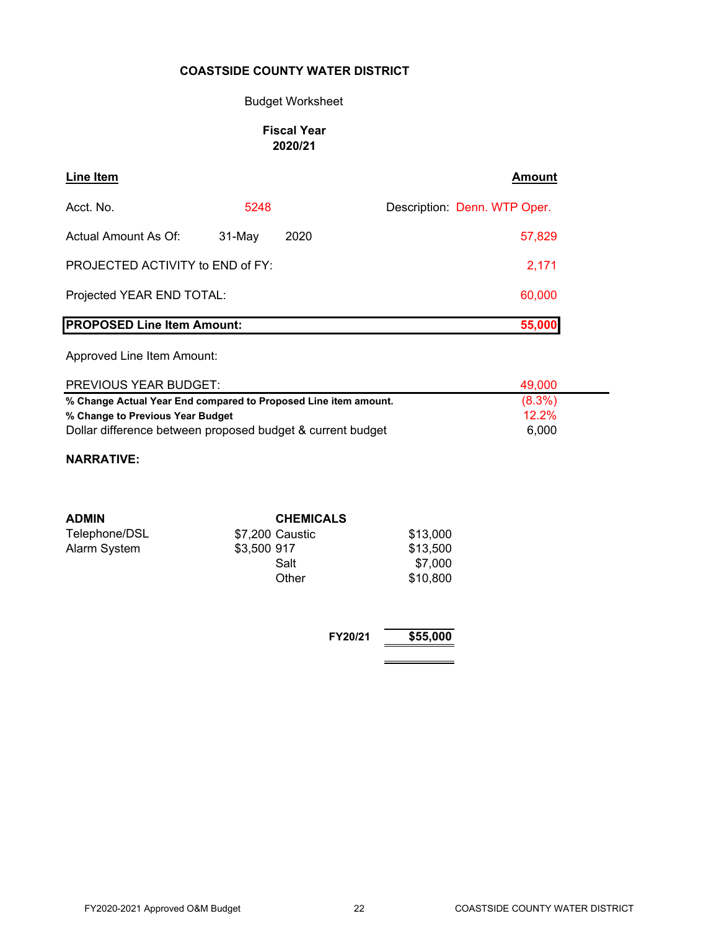# Budget Worksheet

# **Fiscal Year 2020/21**

| Line Item                               |        |      | <b>Amount</b>                |
|-----------------------------------------|--------|------|------------------------------|
| Acct. No.                               | 5248   |      | Description: Denn. WTP Oper. |
| Actual Amount As Of:                    | 31-May | 2020 | 57,829                       |
| <b>PROJECTED ACTIVITY to END of FY:</b> |        |      | 2,171                        |
| Projected YEAR END TOTAL:               |        |      | 60,000                       |
| <b>PROPOSED Line Item Amount:</b>       |        |      | 55,000                       |

Approved Line Item Amount:

| <b>PREVIOUS YEAR BUDGET:</b>                                    | 49.000    |
|-----------------------------------------------------------------|-----------|
| % Change Actual Year End compared to Proposed Line item amount. | $(8.3\%)$ |
| % Change to Previous Year Budget                                | $12.2\%$  |
| Dollar difference between proposed budget & current budget      | 6.000     |

### **NARRATIVE:**

| <b>ADMIN</b>  | <b>CHEMICALS</b> |          |
|---------------|------------------|----------|
| Telephone/DSL | \$7,200 Caustic  | \$13,000 |
| Alarm System  | \$3,500 917      | \$13,500 |
|               | Salt             | \$7,000  |
|               | Other            | \$10,800 |

**FY20/21 \$55,000**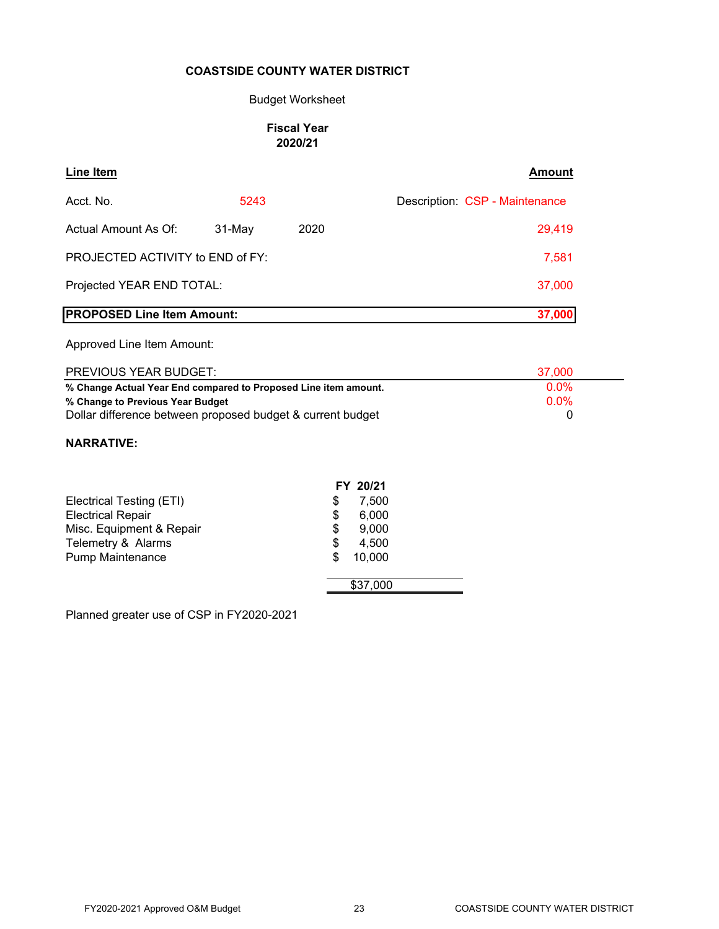#### Budget Worksheet

#### **Fiscal Year 2020/21**

| Line Item                               |        |      | Amount                         |
|-----------------------------------------|--------|------|--------------------------------|
| Acct. No.                               | 5243   |      | Description: CSP - Maintenance |
| Actual Amount As Of:                    | 31-May | 2020 | 29,419                         |
| <b>PROJECTED ACTIVITY to END of FY:</b> |        |      | 7,581                          |
| Projected YEAR END TOTAL:               |        |      | 37,000                         |
| <b>PROPOSED Line Item Amount:</b>       |        |      | 37,000                         |
| Approved Line Item Amount:              |        |      |                                |

| <b>PREVIOUS YEAR BUDGET:</b>                                    | 37.000       |
|-----------------------------------------------------------------|--------------|
| % Change Actual Year End compared to Proposed Line item amount. | $0.0\%$      |
| % Change to Previous Year Budget                                | <u>በ በ% </u> |
| Dollar difference between proposed budget & current budget      |              |

#### **NARRATIVE:**

|                          | FY 20/21     |
|--------------------------|--------------|
| Electrical Testing (ETI) | \$<br>7.500  |
| <b>Electrical Repair</b> | 6,000<br>\$  |
| Misc. Equipment & Repair | 9,000<br>\$  |
| Telemetry & Alarms       | 4,500<br>\$  |
| <b>Pump Maintenance</b>  | 10,000<br>\$ |
|                          | \$37,000     |

Planned greater use of CSP in FY2020-2021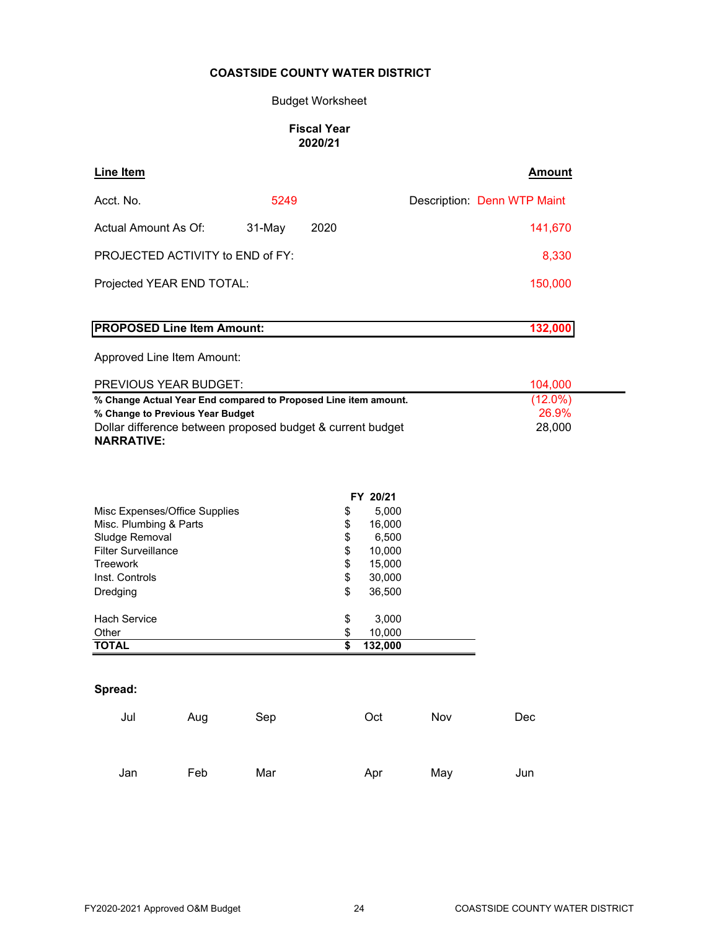# Budget Worksheet

#### **Fiscal Year 2020/21**

| Line Item                                                                                                                                                                              |     |        |          |                 |     | <b>Amount</b>                 |
|----------------------------------------------------------------------------------------------------------------------------------------------------------------------------------------|-----|--------|----------|-----------------|-----|-------------------------------|
| Acct. No.                                                                                                                                                                              |     | 5249   |          |                 |     | Description: Denn WTP Maint   |
| Actual Amount As Of:                                                                                                                                                                   |     | 31-May | 2020     |                 |     | 141,670                       |
| PROJECTED ACTIVITY to END of FY:                                                                                                                                                       |     |        |          |                 |     | 8,330                         |
| Projected YEAR END TOTAL:                                                                                                                                                              |     |        |          |                 |     | 150,000                       |
| <b>PROPOSED Line Item Amount:</b>                                                                                                                                                      |     |        |          |                 |     | 132,000                       |
| Approved Line Item Amount:                                                                                                                                                             |     |        |          |                 |     |                               |
| PREVIOUS YEAR BUDGET:                                                                                                                                                                  |     |        |          |                 |     | 104,000                       |
| % Change Actual Year End compared to Proposed Line item amount.<br>% Change to Previous Year Budget<br>Dollar difference between proposed budget & current budget<br><b>NARRATIVE:</b> |     |        |          |                 |     | $(12.0\%)$<br>26.9%<br>28,000 |
|                                                                                                                                                                                        |     |        |          | FY 20/21        |     |                               |
| Misc Expenses/Office Supplies<br>Misc. Plumbing & Parts                                                                                                                                |     |        | \$<br>\$ | 5,000<br>16,000 |     |                               |
| Sludge Removal                                                                                                                                                                         |     |        | \$       | 6,500           |     |                               |
| <b>Filter Surveillance</b>                                                                                                                                                             |     |        | \$       | 10,000          |     |                               |
| <b>Treework</b>                                                                                                                                                                        |     |        | \$       | 15,000          |     |                               |
| Inst. Controls                                                                                                                                                                         |     |        | \$       | 30,000          |     |                               |
| Dredging                                                                                                                                                                               |     |        | \$       | 36,500          |     |                               |
| <b>Hach Service</b>                                                                                                                                                                    |     |        | \$       | 3,000           |     |                               |
| Other                                                                                                                                                                                  |     |        | \$       | 10,000          |     |                               |
| <b>TOTAL</b>                                                                                                                                                                           |     |        | \$       | 132,000         |     |                               |
| Spread:                                                                                                                                                                                |     |        |          |                 |     |                               |
| Jul                                                                                                                                                                                    | Aug | Sep    |          | Oct             | Nov | Dec                           |
| Jan                                                                                                                                                                                    | Feb | Mar    |          | Apr             | May | Jun                           |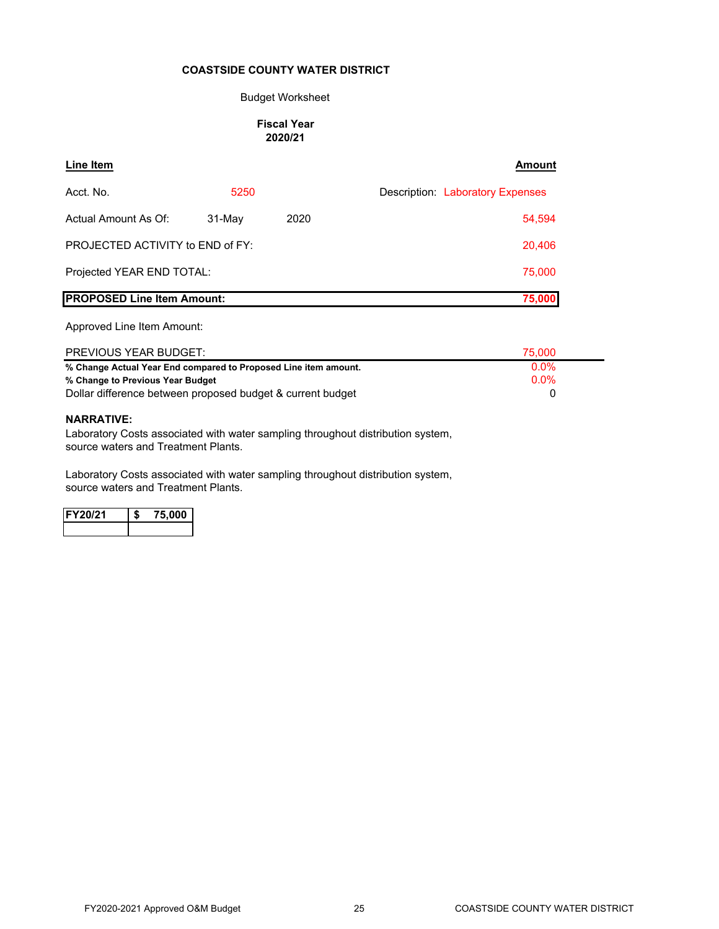#### Budget Worksheet

#### **Fiscal Year 2020/21**

#### **Line Item Amount**

| Acct. No.                          | 5250   |      | Description: Laboratory Expenses |
|------------------------------------|--------|------|----------------------------------|
| Actual Amount As Of:               | 31-May | 2020 | 54,594                           |
| PROJECTED ACTIVITY to END of FY:   |        |      | 20,406                           |
| Projected YEAR END TOTAL:          |        |      | 75,000                           |
| <b>IPROPOSED Line Item Amount:</b> |        |      | 75,000                           |

#### Approved Line Item Amount:

| PREVIOUS YEAR BUDGET:                                           | 75,000  |
|-----------------------------------------------------------------|---------|
| % Change Actual Year End compared to Proposed Line item amount. | $0.0\%$ |
| % Change to Previous Year Budget                                | $0.0\%$ |
| Dollar difference between proposed budget & current budget      |         |

#### **NARRATIVE:**

Laboratory Costs associated with water sampling throughout distribution system, source waters and Treatment Plants.

Laboratory Costs associated with water sampling throughout distribution system, source waters and Treatment Plants.

| 11 Z T | Ю<br>7 |
|--------|--------|
|        |        |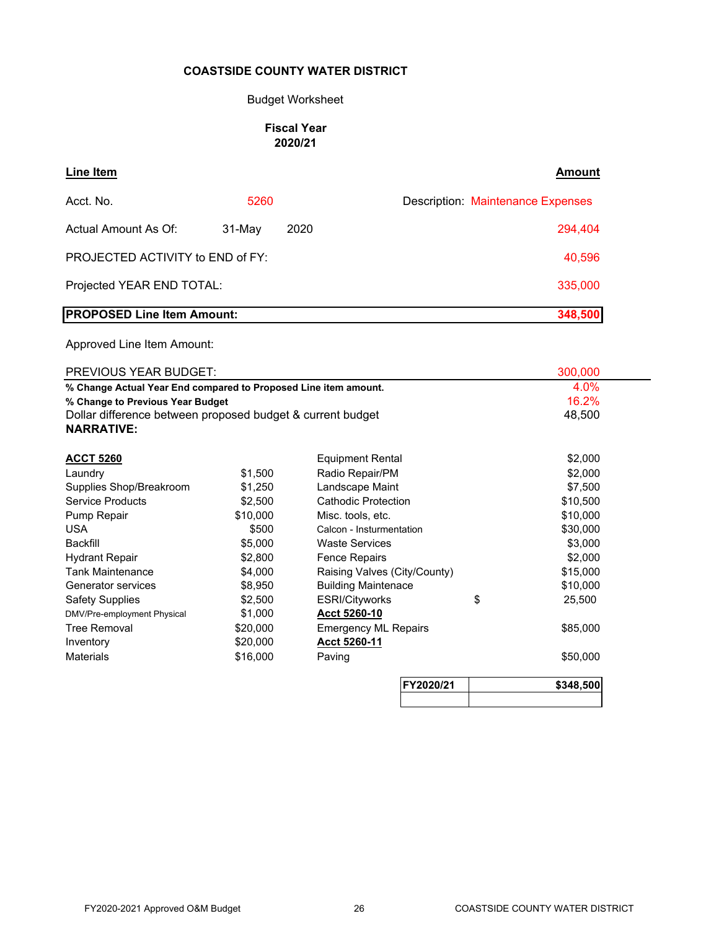#### Budget Worksheet

#### **Fiscal Year 2020/21**

| Line Item                         |                  | Amount                                   |
|-----------------------------------|------------------|------------------------------------------|
| Acct. No.                         | 5260             | <b>Description: Maintenance Expenses</b> |
| Actual Amount As Of:              | 2020<br>$31-May$ | 294,404                                  |
| PROJECTED ACTIVITY to END of FY:  |                  | 40,596                                   |
| Projected YEAR END TOTAL:         |                  | 335,000                                  |
| <b>PROPOSED Line Item Amount:</b> |                  | 348,500                                  |

| PREVIOUS YEAR BUDGET:                                           |          |                              |    | 300,000   |  |
|-----------------------------------------------------------------|----------|------------------------------|----|-----------|--|
| % Change Actual Year End compared to Proposed Line item amount. |          |                              |    | 4.0%      |  |
| % Change to Previous Year Budget                                |          |                              |    | 16.2%     |  |
| Dollar difference between proposed budget & current budget      |          |                              |    | 48,500    |  |
| <b>NARRATIVE:</b>                                               |          |                              |    |           |  |
| <b>ACCT 5260</b>                                                |          | <b>Equipment Rental</b>      |    | \$2,000   |  |
| Laundry                                                         | \$1,500  | Radio Repair/PM              |    | \$2,000   |  |
| Supplies Shop/Breakroom                                         | \$1,250  | Landscape Maint              |    | \$7,500   |  |
| <b>Service Products</b>                                         | \$2,500  | <b>Cathodic Protection</b>   |    | \$10,500  |  |
| Pump Repair                                                     | \$10,000 | Misc. tools, etc.            |    | \$10,000  |  |
| <b>USA</b>                                                      | \$500    | Calcon - Insturmentation     |    | \$30,000  |  |
| <b>Backfill</b>                                                 | \$5,000  | <b>Waste Services</b>        |    | \$3,000   |  |
| <b>Hydrant Repair</b>                                           | \$2,800  | <b>Fence Repairs</b>         |    | \$2,000   |  |
| <b>Tank Maintenance</b>                                         | \$4,000  | Raising Valves (City/County) |    | \$15,000  |  |
| Generator services                                              | \$8,950  | <b>Building Maintenace</b>   |    | \$10,000  |  |
| <b>Safety Supplies</b>                                          | \$2,500  | ESRI/Cityworks               | \$ | 25,500    |  |
| DMV/Pre-employment Physical                                     | \$1,000  | <b>Acct 5260-10</b>          |    |           |  |
| <b>Tree Removal</b>                                             | \$20,000 | <b>Emergency ML Repairs</b>  |    | \$85,000  |  |
| Inventory                                                       | \$20,000 | Acct 5260-11                 |    |           |  |
| <b>Materials</b>                                                | \$16,000 | Paving                       |    | \$50,000  |  |
|                                                                 |          | FY2020/21                    |    | \$348,500 |  |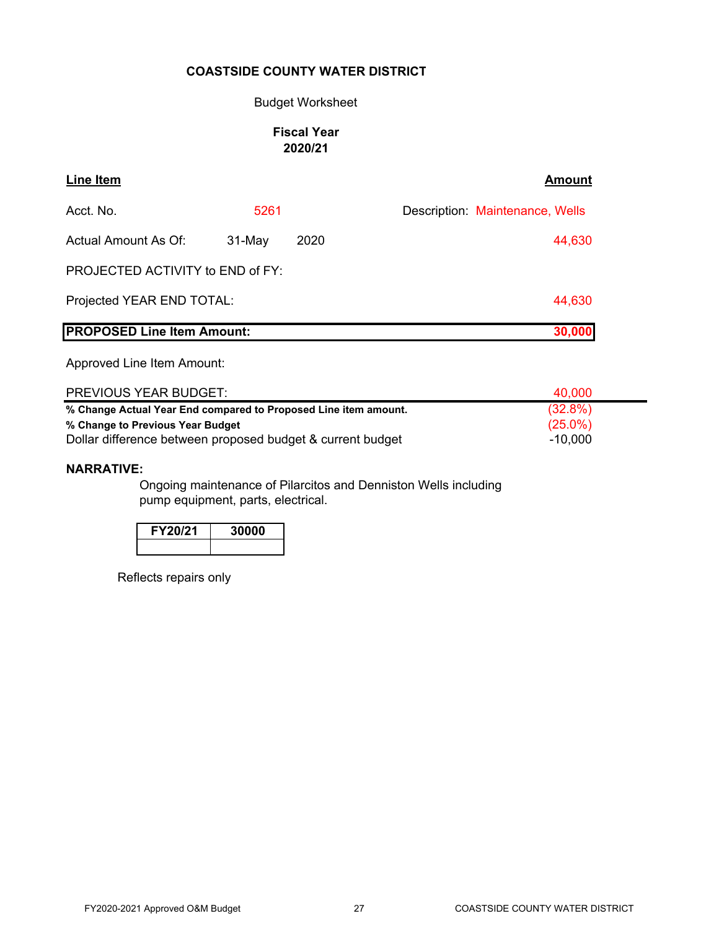### Budget Worksheet

# **Fiscal Year 2020/21**

| <b>Line Item</b>                  |          |      | <b>Amount</b>                   |
|-----------------------------------|----------|------|---------------------------------|
| Acct. No.                         | 5261     |      | Description: Maintenance, Wells |
| <b>Actual Amount As Of:</b>       | $31-May$ | 2020 | 44,630                          |
| PROJECTED ACTIVITY to END of FY:  |          |      |                                 |
| Projected YEAR END TOTAL:         |          |      | 44,630                          |
| <b>PROPOSED Line Item Amount:</b> |          |      | 30,000                          |

Approved Line Item Amount:

| <b>PREVIOUS YEAR BUDGET:</b>                                    | 40.000     |
|-----------------------------------------------------------------|------------|
| % Change Actual Year End compared to Proposed Line item amount. | $(32.8\%)$ |
| % Change to Previous Year Budget                                | $(25.0\%)$ |
| Dollar difference between proposed budget & current budget      | $-10,000$  |

#### **NARRATIVE:**

Ongoing maintenance of Pilarcitos and Denniston Wells including pump equipment, parts, electrical.

| <b>FY20/21</b> | 30000 |
|----------------|-------|
|                |       |

Reflects repairs only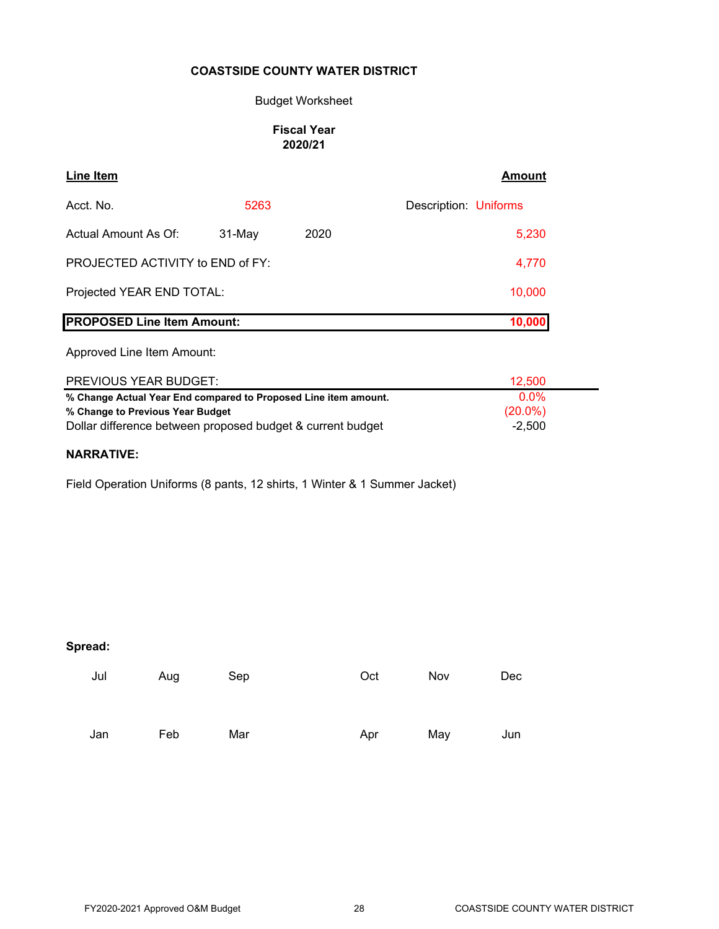# Budget Worksheet

### **Fiscal Year 2020/21**

| Line Item                               |          |       | <b>Amount</b>         |
|-----------------------------------------|----------|-------|-----------------------|
| Acct. No.                               | 5263     |       | Description: Uniforms |
| Actual Amount As Of:                    | $31-May$ | 2020  | 5,230                 |
| <b>PROJECTED ACTIVITY to END of FY:</b> |          | 4,770 |                       |
| Projected YEAR END TOTAL:               |          |       | 10,000                |
| <b>PROPOSED Line Item Amount:</b>       |          |       | 10,000                |

# Approved Line Item Amount:

| PREVIOUS YEAR BUDGET:                                           | 12.500     |
|-----------------------------------------------------------------|------------|
| % Change Actual Year End compared to Proposed Line item amount. | $0.0\%$    |
| % Change to Previous Year Budget                                | $(20.0\%)$ |
| Dollar difference between proposed budget & current budget      | $-2.500$   |

# **NARRATIVE:**

Field Operation Uniforms (8 pants, 12 shirts, 1 Winter & 1 Summer Jacket)

# **Spread:**

| Jul | Aug | Sep | Oct | Nov | Dec |
|-----|-----|-----|-----|-----|-----|
| Jan | Feb | Mar | Apr | May | Jun |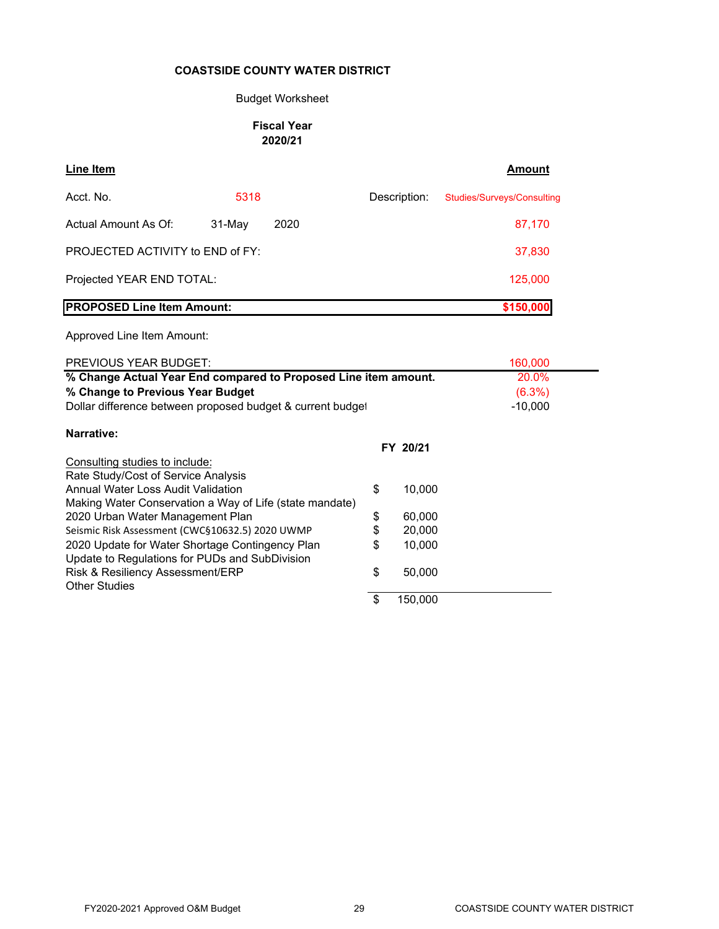# Budget Worksheet

#### **Fiscal Year 2020/21**

| <b>Line Item</b>                                                                                  |        |      |               | <b>Amount</b>                     |
|---------------------------------------------------------------------------------------------------|--------|------|---------------|-----------------------------------|
| Acct. No.                                                                                         | 5318   |      | Description:  | <b>Studies/Surveys/Consulting</b> |
| Actual Amount As Of:                                                                              | 31-May | 2020 |               | 87,170                            |
| PROJECTED ACTIVITY to END of FY:                                                                  |        |      |               | 37,830                            |
| Projected YEAR END TOTAL:                                                                         |        |      |               | 125,000                           |
| <b>PROPOSED Line Item Amount:</b>                                                                 |        |      |               | \$150,000                         |
| Approved Line Item Amount:                                                                        |        |      |               |                                   |
| <b>PREVIOUS YEAR BUDGET:</b>                                                                      |        |      |               | 160,000                           |
| % Change Actual Year End compared to Proposed Line item amount.                                   |        |      |               | 20.0%                             |
| % Change to Previous Year Budget                                                                  |        |      |               | $(6.3\%)$                         |
| Dollar difference between proposed budget & current budget                                        |        |      |               | $-10,000$                         |
| Narrative:                                                                                        |        |      |               |                                   |
|                                                                                                   |        |      | FY 20/21      |                                   |
| Consulting studies to include:                                                                    |        |      |               |                                   |
| Rate Study/Cost of Service Analysis                                                               |        |      |               |                                   |
| Annual Water Loss Audit Validation                                                                |        |      | \$<br>10,000  |                                   |
| Making Water Conservation a Way of Life (state mandate)                                           |        |      |               |                                   |
| 2020 Urban Water Management Plan                                                                  |        |      | \$<br>60,000  |                                   |
| Seismic Risk Assessment (CWC§10632.5) 2020 UWMP                                                   |        |      | \$<br>20,000  |                                   |
| 2020 Update for Water Shortage Contingency Plan<br>Update to Regulations for PUDs and SubDivision |        |      | \$<br>10,000  |                                   |
| Risk & Resiliency Assessment/ERP<br><b>Other Studies</b>                                          |        |      | \$<br>50,000  |                                   |
|                                                                                                   |        |      | \$<br>150,000 |                                   |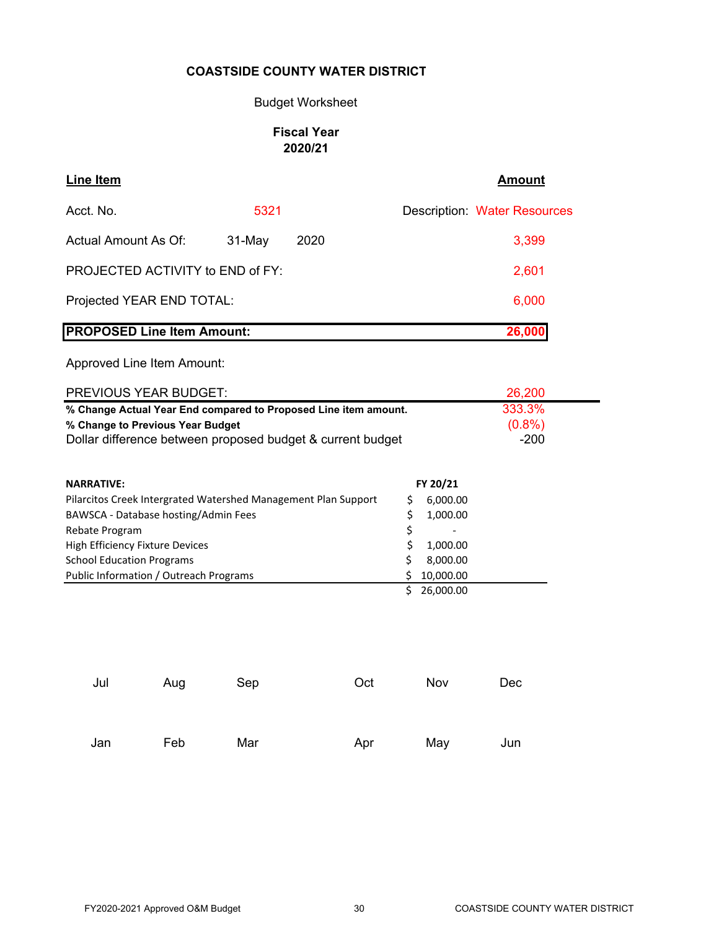### Budget Worksheet

# **Fiscal Year 2020/21**

| Line Item                               |          |      | <b>Amount</b>                       |
|-----------------------------------------|----------|------|-------------------------------------|
| Acct. No.                               | 5321     |      | <b>Description: Water Resources</b> |
| Actual Amount As Of:                    | $31-May$ | 2020 | 3,399                               |
| <b>PROJECTED ACTIVITY to END of FY:</b> |          |      | 2,601                               |
| Projected YEAR END TOTAL:               |          |      | 6,000                               |
| <b>PROPOSED Line Item Amount:</b>       |          |      | 26,000                              |

| PREVIOUS YEAR BUDGET:                                           | 26,200    |  |
|-----------------------------------------------------------------|-----------|--|
| % Change Actual Year End compared to Proposed Line item amount. | 333.3%    |  |
| % Change to Previous Year Budget                                | $(0.8\%)$ |  |
| Dollar difference between proposed budget & current budget      | $-200$    |  |

| <b>NARRATIVE:</b>                                              | FY 20/21                 |
|----------------------------------------------------------------|--------------------------|
| Pilarcitos Creek Intergrated Watershed Management Plan Support | 6,000.00                 |
| BAWSCA - Database hosting/Admin Fees                           | 1,000.00                 |
| Rebate Program                                                 | $\overline{\phantom{a}}$ |
| High Efficiency Fixture Devices                                | 1,000.00                 |
| <b>School Education Programs</b>                               | 8,000.00                 |
| Public Information / Outreach Programs                         | 10,000.00                |
|                                                                | 26,000.00                |

| Jul | Aug | Sep | Oct | Nov | Dec |
|-----|-----|-----|-----|-----|-----|
|     |     |     |     |     |     |
| Jan | Feb | Mar | Apr | May | Jun |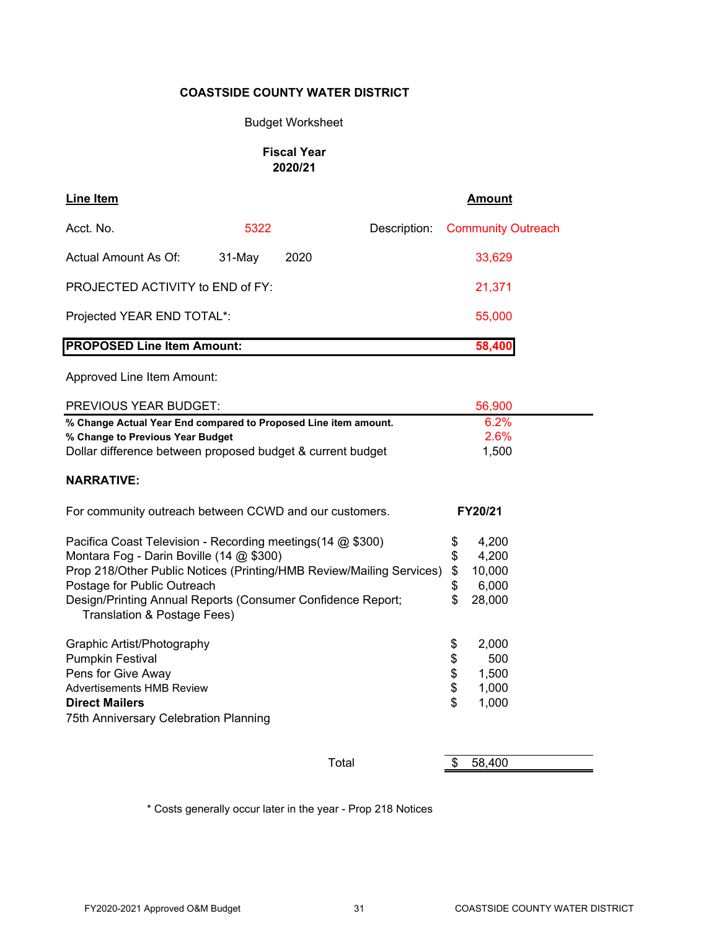### Budget Worksheet

### **Fiscal Year 2020/21**

| <b>Line Item</b>                                                                         |           |        |              | <b>Amount</b>             |
|------------------------------------------------------------------------------------------|-----------|--------|--------------|---------------------------|
| Acct. No.                                                                                | 5322      |        | Description: | <b>Community Outreach</b> |
| Actual Amount As Of:                                                                     | $31$ -May | 2020   |              | 33,629                    |
| <b>PROJECTED ACTIVITY to END of FY:</b>                                                  |           | 21,371 |              |                           |
| Projected YEAR END TOTAL*:                                                               |           | 55,000 |              |                           |
| <b>PROPOSED Line Item Amount:</b>                                                        |           | 58,400 |              |                           |
| Approved Line Item Amount:                                                               |           |        |              |                           |
| <b>PREVIOUS YEAR BUDGET:</b>                                                             |           | 56,900 |              |                           |
| <sup>0</sup> / <sub>c</sub> Change Actual Vear End compared to Proposed Line item amount |           |        |              | 6.2%                      |

|                                                                                            | 00,000       |
|--------------------------------------------------------------------------------------------|--------------|
| % Change Actual Year End compared to Proposed Line item amount.                            | 6.2%         |
| % Change to Previous Year Budget                                                           | 2.6%         |
| Dollar difference between proposed budget & current budget                                 | 1,500        |
| <b>NARRATIVE:</b>                                                                          |              |
| For community outreach between CCWD and our customers.                                     | FY20/21      |
| Pacifica Coast Television - Recording meetings (14 @ \$300)                                | \$<br>4,200  |
| Montara Fog - Darin Boville (14 @ \$300)                                                   | \$<br>4,200  |
| Prop 218/Other Public Notices (Printing/HMB Review/Mailing Services)                       | \$<br>10,000 |
| Postage for Public Outreach                                                                | \$<br>6,000  |
| Design/Printing Annual Reports (Consumer Confidence Report;<br>Translation & Postage Fees) | 28,000       |
| Graphic Artist/Photography                                                                 | \$<br>2,000  |
| <b>Pumpkin Festival</b>                                                                    | \$<br>500    |
| Pens for Give Away                                                                         | \$<br>1,500  |
| <b>Advertisements HMB Review</b>                                                           | \$<br>1,000  |
| <b>Direct Mailers</b>                                                                      | \$<br>1,000  |
| 75th Anniversary Celebration Planning                                                      |              |
|                                                                                            |              |
| Total                                                                                      | \$<br>58,400 |

\* Costs generally occur later in the year - Prop 218 Notices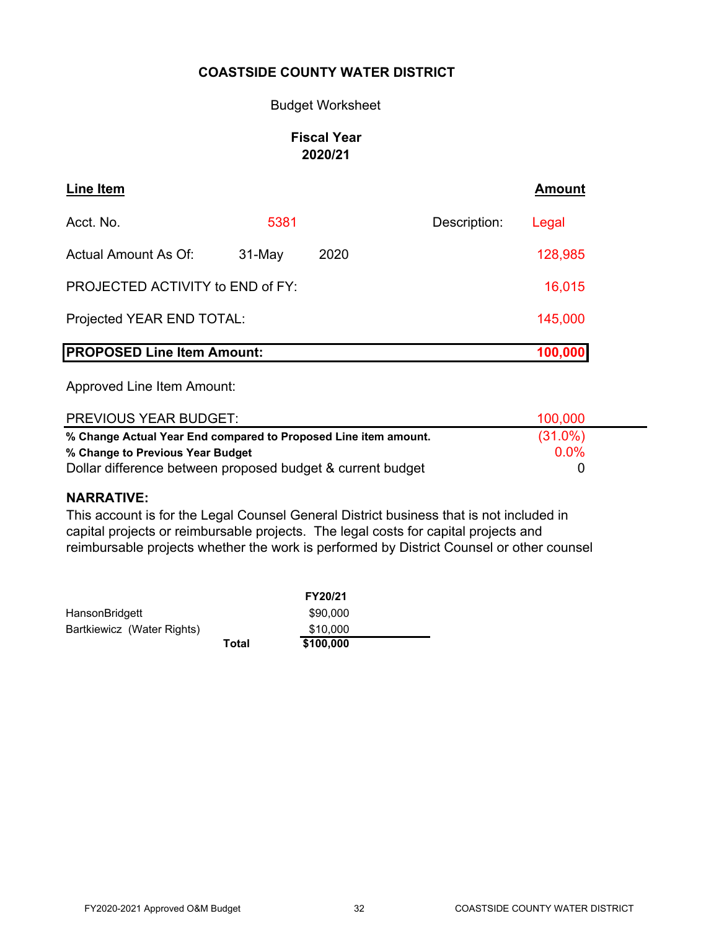# Budget Worksheet

# **Fiscal Year 2020/21**

| Line Item                         |          |        |  |              | <b>Amount</b> |
|-----------------------------------|----------|--------|--|--------------|---------------|
| Acct. No.                         | 5381     |        |  | Description: | Legal         |
| <b>Actual Amount As Of:</b>       | $31-May$ | 2020   |  |              | 128,985       |
| PROJECTED ACTIVITY to END of FY:  |          | 16,015 |  |              |               |
| Projected YEAR END TOTAL:         |          |        |  |              | 145,000       |
| <b>PROPOSED Line Item Amount:</b> |          |        |  |              | 100,000       |

Approved Line Item Amount:

| <b>PREVIOUS YEAR BUDGET:</b>                                    | 100,000    |  |
|-----------------------------------------------------------------|------------|--|
| % Change Actual Year End compared to Proposed Line item amount. | $(31.0\%)$ |  |
| % Change to Previous Year Budget                                | 0.0%       |  |
| Dollar difference between proposed budget & current budget      |            |  |

# **NARRATIVE:**

This account is for the Legal Counsel General District business that is not included in capital projects or reimbursable projects. The legal costs for capital projects and reimbursable projects whether the work is performed by District Counsel or other counsel

|                            |       | FY20/21   |
|----------------------------|-------|-----------|
| HansonBridgett             |       | \$90,000  |
| Bartkiewicz (Water Rights) |       | \$10,000  |
|                            | Total | \$100,000 |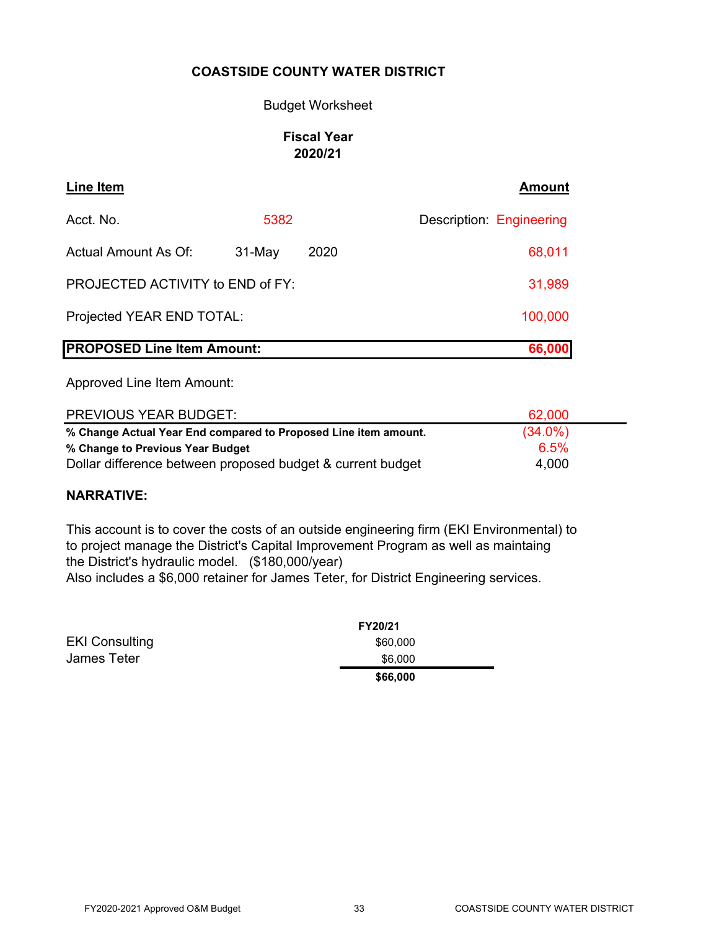# Budget Worksheet

# **Fiscal Year 2020/21**

| Line Item                         |          |      | <b>Amount</b>            |
|-----------------------------------|----------|------|--------------------------|
| Acct. No.                         | 5382     |      | Description: Engineering |
| Actual Amount As Of:              | $31-May$ | 2020 | 68,011                   |
| PROJECTED ACTIVITY to END of FY:  |          |      | 31,989                   |
| Projected YEAR END TOTAL:         |          |      | 100,000                  |
| <b>PROPOSED Line Item Amount:</b> |          |      | 66,000                   |

Approved Line Item Amount:

| <b>PREVIOUS YEAR BUDGET:</b>                                    | 62,000     |  |
|-----------------------------------------------------------------|------------|--|
| % Change Actual Year End compared to Proposed Line item amount. | $(34.0\%)$ |  |
| % Change to Previous Year Budget                                | 6.5%       |  |
| Dollar difference between proposed budget & current budget      | 4,000      |  |

# **NARRATIVE:**

This account is to cover the costs of an outside engineering firm (EKI Environmental) to to project manage the District's Capital Improvement Program as well as maintaing the District's hydraulic model. (\$180,000/year) Also includes a \$6,000 retainer for James Teter, for District Engineering services.

|                       | <b>FY20/21</b> |  |
|-----------------------|----------------|--|
| <b>EKI Consulting</b> | \$60,000       |  |
| <b>James Teter</b>    | \$6,000        |  |
|                       | \$66,000       |  |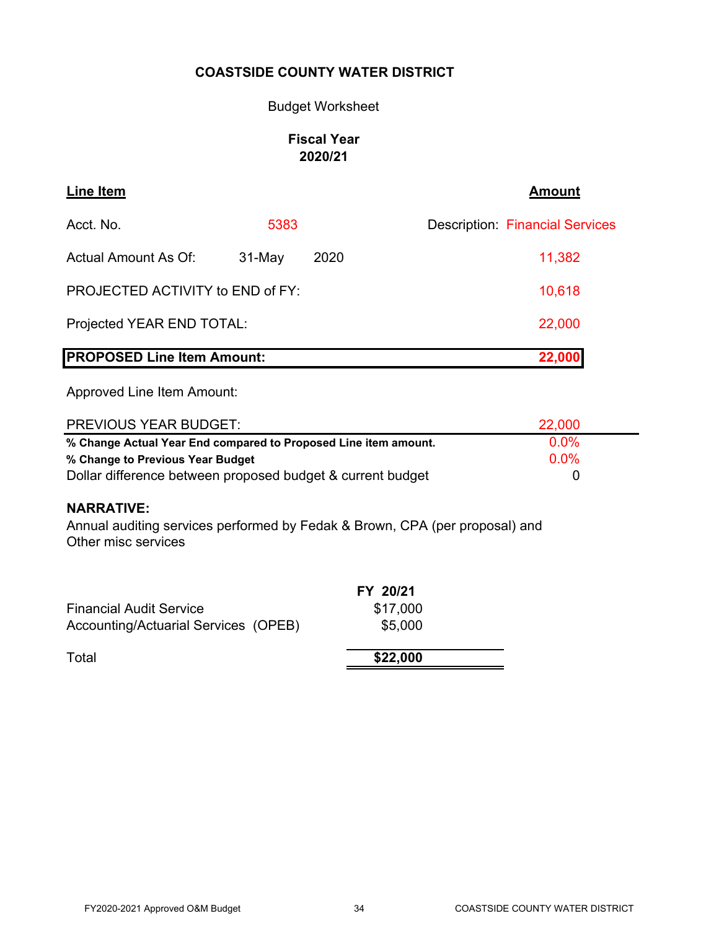# Budget Worksheet

# **Fiscal Year 2020/21**

| <b>Line Item</b>                  |           |      | <b>Amount</b>                          |
|-----------------------------------|-----------|------|----------------------------------------|
| Acct. No.                         | 5383      |      | <b>Description: Financial Services</b> |
| Actual Amount As Of:              | $31$ -May | 2020 | 11,382                                 |
| PROJECTED ACTIVITY to END of FY:  |           |      | 10,618                                 |
| Projected YEAR END TOTAL:         |           |      | 22,000                                 |
| <b>PROPOSED Line Item Amount:</b> |           |      | 22,000                                 |

Approved Line Item Amount:

| PREVIOUS YEAR BUDGET:                                           | 22,000  |  |
|-----------------------------------------------------------------|---------|--|
| % Change Actual Year End compared to Proposed Line item amount. | $0.0\%$ |  |
| % Change to Previous Year Budget                                | $0.0\%$ |  |
| Dollar difference between proposed budget & current budget      | O       |  |

# **NARRATIVE:**

Annual auditing services performed by Fedak & Brown, CPA (per proposal) and Other misc services

|                                      | FY 20/21 |  |
|--------------------------------------|----------|--|
| <b>Financial Audit Service</b>       | \$17,000 |  |
| Accounting/Actuarial Services (OPEB) | \$5,000  |  |
| Total                                | \$22,000 |  |
|                                      |          |  |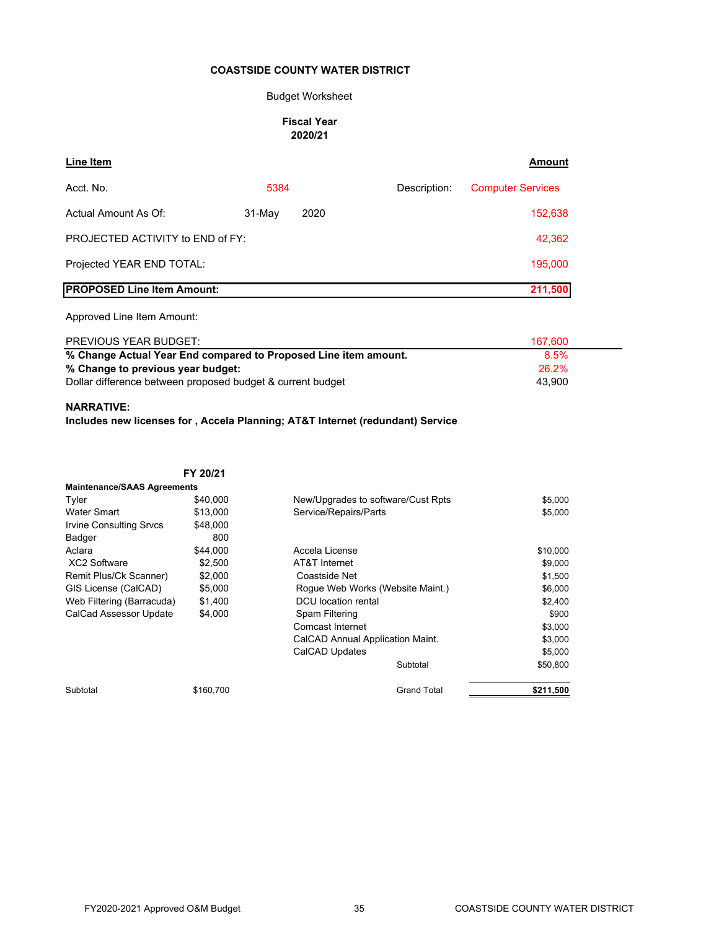#### Budget Worksheet

#### **Fiscal Year 2020/21**

| Line Item                         |          |      |              | <b>Amount</b>            |
|-----------------------------------|----------|------|--------------|--------------------------|
| Acct. No.                         | 5384     |      | Description: | <b>Computer Services</b> |
| Actual Amount As Of:              | $31-May$ | 2020 |              | 152,638                  |
| PROJECTED ACTIVITY to END of FY:  |          |      |              | 42,362                   |
| Projected YEAR END TOTAL:         |          |      |              | 195,000                  |
| <b>PROPOSED Line Item Amount:</b> |          |      |              | 211,500                  |
| Approved Line Item Amount:        |          |      |              |                          |
| <b>PREVIOUS YEAR BUDGET:</b>      |          |      |              | 167.600                  |

| % Change Actual Year End compared to Proposed Line item amount. | 8.5%   |
|-----------------------------------------------------------------|--------|
| % Change to previous year budget:                               | 26.2%  |
| Dollar difference between proposed budget & current budget      | 43.900 |

#### **NARRATIVE:**

**Includes new licenses for , Accela Planning; AT&T Internet (redundant) Service**

**FY 20/21** Tyler  $$40,000$  New/Upgrades to software/Cust Rpts  $$5,000$ Water Smart \$13,000 \$5,000 Service/Repairs/Parts Irvine Consulting Srvcs \$48,000 Badger 800 Aclara \$44,000 Accela License \$10,000 XC2 Software \$2,500 AT&T Internet \$9,000 AT&T Internet Remit Plus/Ck Scanner)  $$2,000$  Coastside Net  $$1,500$ GIS License (CalCAD) \$5,000 Rogue Web Works (Website Maint.) \$6,000 Web Filtering (Barracuda) \$1,400 DCU location rental \$2,400 \$2,400 CalCad Assessor Update \$4,000 Spam Filtering \$900 \$900 Comcast Internet \$3,000 CalCAD Annual Application Maint. **\$3,000** \$5,000 Subtotal \$50,800 Subtotal \$160,700 Grand Total **\$211,500 Maintenance/SAAS Agreements** CalCAD Updates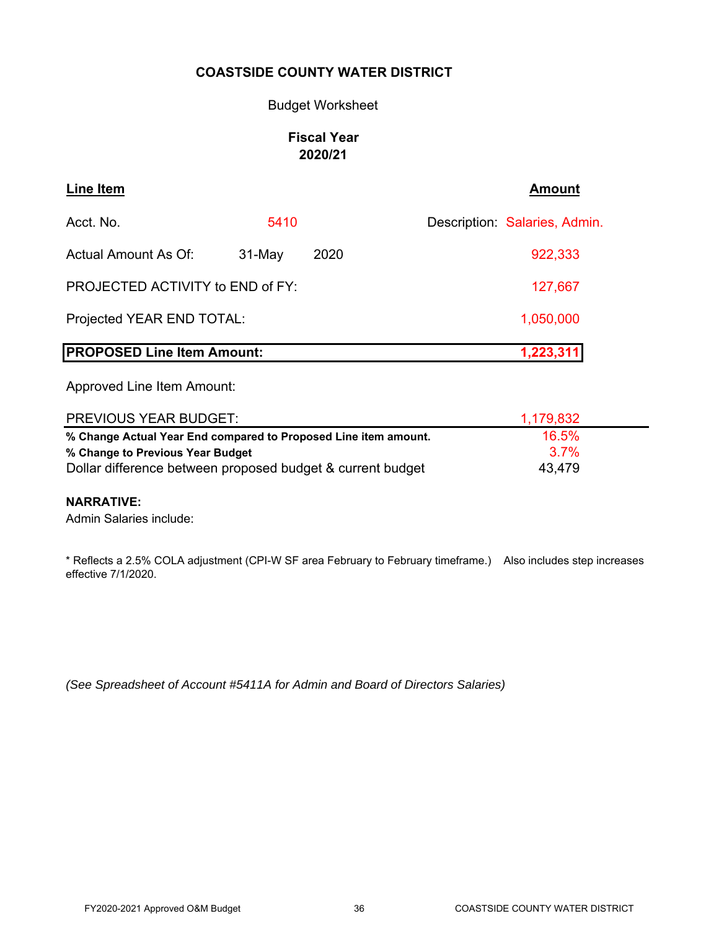### Budget Worksheet

# **Fiscal Year 2020/21**

| <b>Line Item</b>                                                |          |      | <b>Amount</b>                 |
|-----------------------------------------------------------------|----------|------|-------------------------------|
| Acct. No.                                                       | 5410     |      | Description: Salaries, Admin. |
| <b>Actual Amount As Of:</b>                                     | $31-May$ | 2020 | 922,333                       |
| PROJECTED ACTIVITY to END of FY:                                |          |      | 127,667                       |
| Projected YEAR END TOTAL:                                       |          |      | 1,050,000                     |
| <b>PROPOSED Line Item Amount:</b>                               |          |      | 1,223,311                     |
| Approved Line Item Amount:                                      |          |      |                               |
| <b>PREVIOUS YEAR BUDGET:</b>                                    |          |      | 1,179,832                     |
| % Change Actual Year End compared to Proposed Line item amount. |          |      | 16.5%                         |
| % Change to Previous Year Budget                                |          |      | 3.7%                          |

Dollar difference between proposed budget & current budget 43,479

#### **NARRATIVE:**

Admin Salaries include:

\* Reflects a 2.5% COLA adjustment (CPI-W SF area February to February timeframe.) Also includes step increases effective 7/1/2020.

*(See Spreadsheet of Account #5411A for Admin and Board of Directors Salaries)*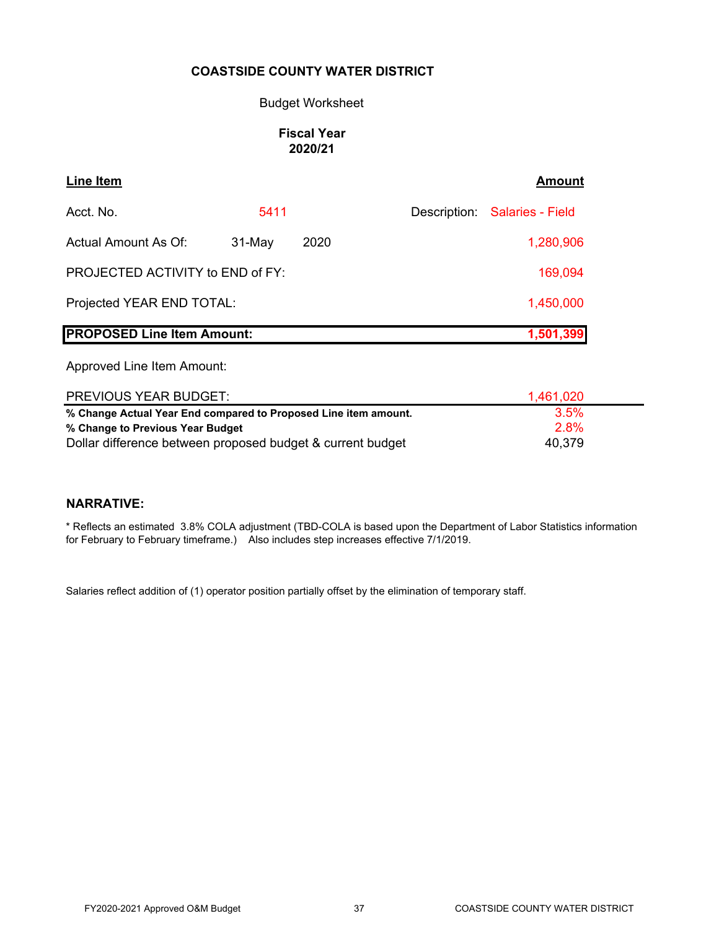### Budget Worksheet

# **Fiscal Year 2020/21**

| Line Item                               |          |      | Amount                        |
|-----------------------------------------|----------|------|-------------------------------|
| Acct. No.                               | 5411     |      | Description: Salaries - Field |
| <b>Actual Amount As Of:</b>             | $31-May$ | 2020 | 1,280,906                     |
| <b>PROJECTED ACTIVITY to END of FY:</b> |          |      | 169,094                       |
| Projected YEAR END TOTAL:               |          |      | 1,450,000                     |
| <b>PROPOSED Line Item Amount:</b>       |          |      | 1,501,399                     |

Approved Line Item Amount:

| PREVIOUS YEAR BUDGET:                                           | 1,461,020 |  |
|-----------------------------------------------------------------|-----------|--|
| % Change Actual Year End compared to Proposed Line item amount. | $3.5\%$   |  |
| % Change to Previous Year Budget                                | 2.8%      |  |
| Dollar difference between proposed budget & current budget      | 40,379    |  |

# **NARRATIVE:**

\* Reflects an estimated 3.8% COLA adjustment (TBD-COLA is based upon the Department of Labor Statistics information for February to February timeframe.) Also includes step increases effective 7/1/2019.

Salaries reflect addition of (1) operator position partially offset by the elimination of temporary staff.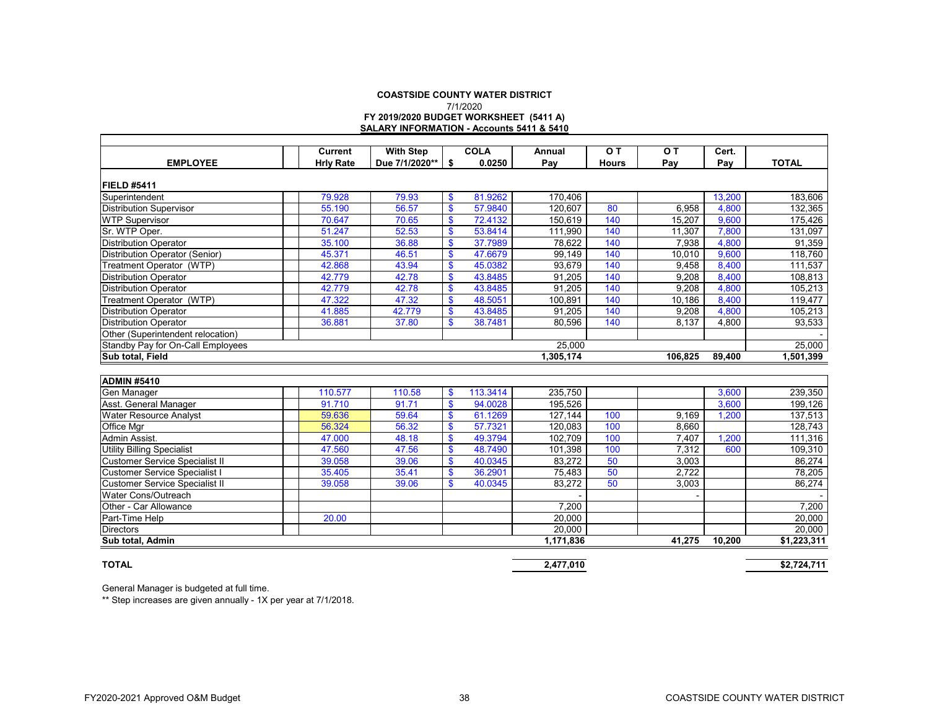#### **COASTSIDE COUNTY WATER DISTRICTFY 2019/2020 BUDGET WORKSHEET (5411 A) SALARY INFORMATION - Accounts 5411 & 5410** 7/1/2020

|                                       | <b>Current</b>   | <b>With Step</b> |                   | <b>COLA</b> | Annual           | OT.          | O T     | Cert.  |                  |
|---------------------------------------|------------------|------------------|-------------------|-------------|------------------|--------------|---------|--------|------------------|
| <b>EMPLOYEE</b>                       | <b>Hrly Rate</b> | Due 7/1/2020**   | \$                | 0.0250      | Pay              | <b>Hours</b> | Pay     | Pay    | <b>TOTAL</b>     |
| <b>FIELD #5411</b>                    |                  |                  |                   |             |                  |              |         |        |                  |
| Superintendent                        | 79.928           | 79.93            | $\mathbf{\$}$     | 81.9262     | 170,406          |              |         | 13,200 | 183,606          |
| <b>Distribution Supervisor</b>        | 55.190           | 56.57            | $\mathbf{s}$      | 57.9840     | 120.607          | 80           | 6.958   | 4,800  | 132,365          |
| <b>WTP Supervisor</b>                 | 70.647           | 70.65            | $\mathbf{\$}$     | 72.4132     | 150,619          | 140          | 15,207  | 9,600  | 175,426          |
| Sr. WTP Oper.                         | 51.247           | 52.53            | $\mathbf{\$}$     | 53.8414     | 111,990          | 140          | 11,307  | 7,800  | 131,097          |
| <b>Distribution Operator</b>          | 35.100           | 36.88            | $\mathbf{\$}$     | 37.7989     | 78,622           | 140          | 7,938   | 4,800  | 91,359           |
| Distribution Operator (Senior)        | 45.371           | 46.51            | $\boldsymbol{\$}$ | 47.6679     | 99,149           | 140          | 10,010  | 9,600  | 118,760          |
| Treatment Operator (WTP)              | 42.868           | 43.94            | $\mathbf{\$}$     | 45.0382     | 93,679           | 140          | 9,458   | 8,400  | 111,537          |
| Distribution Operator                 | 42.779           | 42.78            | $\mathbf{s}$      | 43.8485     | 91.205           | 140          | 9.208   | 8,400  | 108,813          |
| <b>Distribution Operator</b>          | 42.779           | 42.78            | $\mathbf{\$}$     | 43.8485     | 91,205           | 140          | 9,208   | 4,800  | 105,213          |
| Treatment Operator (WTP)              | 47.322           | 47.32            | $\mathbf{\$}$     | 48.5051     | 100,891          | 140          | 10,186  | 8,400  | 119,477          |
| <b>Distribution Operator</b>          | 41.885           | 42.779           | $\mathbf{\$}$     | 43.8485     | 91,205           | 140          | 9,208   | 4,800  | 105,213          |
| Distribution Operator                 | 36.881           | 37.80            | $\mathbf{\$}$     | 38.7481     | 80.596           | 140          | 8.137   | 4.800  | 93,533           |
| Other (Superintendent relocation)     |                  |                  |                   |             |                  |              |         |        |                  |
| Standby Pay for On-Call Employees     |                  |                  |                   |             | 25,000           |              |         |        | 25,000           |
| Sub total, Field                      |                  |                  |                   |             | 1,305,174        |              | 106.825 | 89,400 | 1,501,399        |
|                                       |                  |                  |                   |             |                  |              |         |        |                  |
| <b>ADMIN #5410</b>                    |                  |                  |                   |             |                  |              |         |        |                  |
| Gen Manager                           | 110.577          | 110.58           | \$                | 113.3414    | 235,750          |              |         | 3,600  | 239,350          |
| Asst. General Manager                 | 91.710           | 91.71            | $\mathbf{\$}$     | 94.0028     | 195,526          |              |         | 3,600  | 199,126          |
| Water Resource Analyst                | 59.636           | 59.64            | $\mathbf{s}$      | 61.1269     | 127,144          | 100          | 9.169   | 1,200  | 137,513          |
| Office Mgr                            | 56.324           | 56.32            | $\boldsymbol{\$}$ | 57.7321     | 120,083          | 100          | 8,660   |        | 128,743          |
| Admin Assist.                         | 47.000           | 48.18            | $\boldsymbol{\$}$ | 49.3794     | 102.709          | 100          | 7,407   | 1.200  | 111,316          |
| <b>Utility Billing Specialist</b>     | 47.560           | 47.56            | $\mathbf{\$}$     | 48.7490     | 101,398          | 100          | 7,312   | 600    | 109,310          |
| <b>Customer Service Specialist II</b> | 39.058           | 39.06            | $\boldsymbol{\$}$ | 40.0345     | 83,272           | 50           | 3,003   |        | 86,274           |
| <b>Customer Service Specialist I</b>  | 35.405           | 35.41            | $\mathbf{\$}$     | 36.2901     | 75,483           | 50           | 2,722   |        | 78,205           |
| <b>Customer Service Specialist II</b> | 39.058           | 39.06            | $\mathbf{s}$      | 40.0345     | 83.272           | 50           | 3,003   |        | 86,274           |
| Water Cons/Outreach                   |                  |                  |                   |             |                  |              |         |        |                  |
| Other - Car Allowance                 |                  |                  |                   |             | 7,200            |              |         |        | 7,200            |
|                                       | 20.00            |                  |                   |             |                  |              |         |        |                  |
| Part-Time Help<br><b>Directors</b>    |                  |                  |                   |             | 20,000<br>20,000 |              |         |        | 20,000<br>20.000 |

#### **TOTAL**

General Manager is budgeted at full time.

\*\* Step increases are given annually - 1X per year at 7/1/2018.

**Sub total, Admin 1,171,836 10,200 \$1,223,311** 

**2,477,010 \$2,724,711**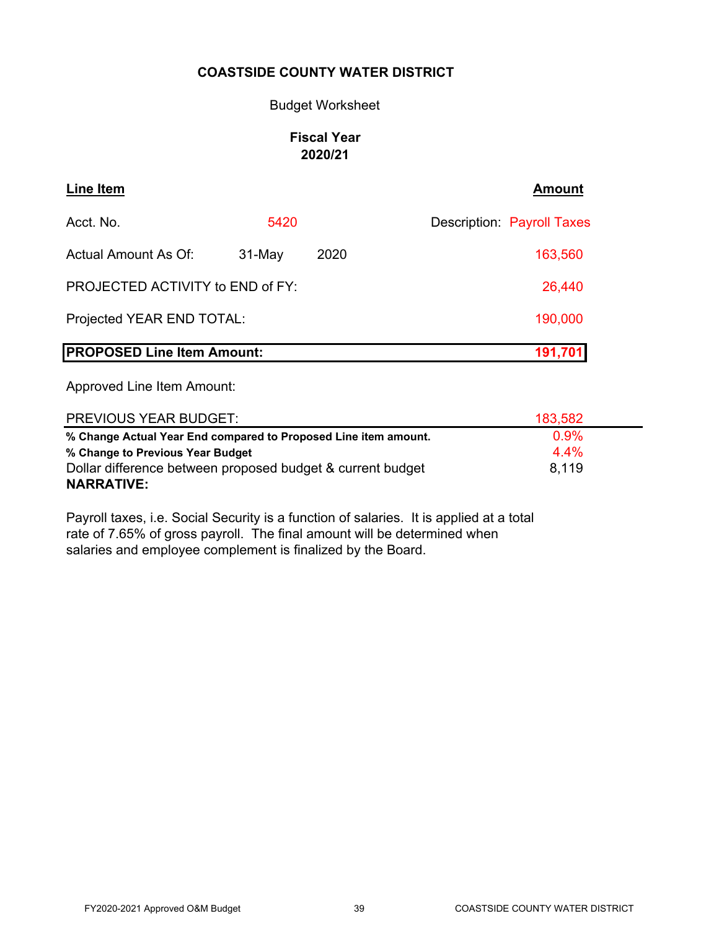### Budget Worksheet

# **Fiscal Year 2020/21**

| Line Item                         |          |      | <b>Amount</b>                     |
|-----------------------------------|----------|------|-----------------------------------|
| Acct. No.                         | 5420     |      | <b>Description: Payroll Taxes</b> |
| Actual Amount As Of:              | $31-May$ | 2020 | 163,560                           |
| PROJECTED ACTIVITY to END of FY:  |          |      | 26,440                            |
| Projected YEAR END TOTAL:         |          |      | 190,000                           |
| <b>PROPOSED Line Item Amount:</b> |          |      | 191,701                           |

Approved Line Item Amount:

| <b>PREVIOUS YEAR BUDGET:</b>                                    | 183,582 |  |
|-----------------------------------------------------------------|---------|--|
| % Change Actual Year End compared to Proposed Line item amount. | 0.9%    |  |
| % Change to Previous Year Budget                                | 4.4%    |  |
| Dollar difference between proposed budget & current budget      | 8.119   |  |
| <b>NARRATIVE:</b>                                               |         |  |

Payroll taxes, i.e. Social Security is a function of salaries. It is applied at a total rate of 7.65% of gross payroll. The final amount will be determined when salaries and employee complement is finalized by the Board.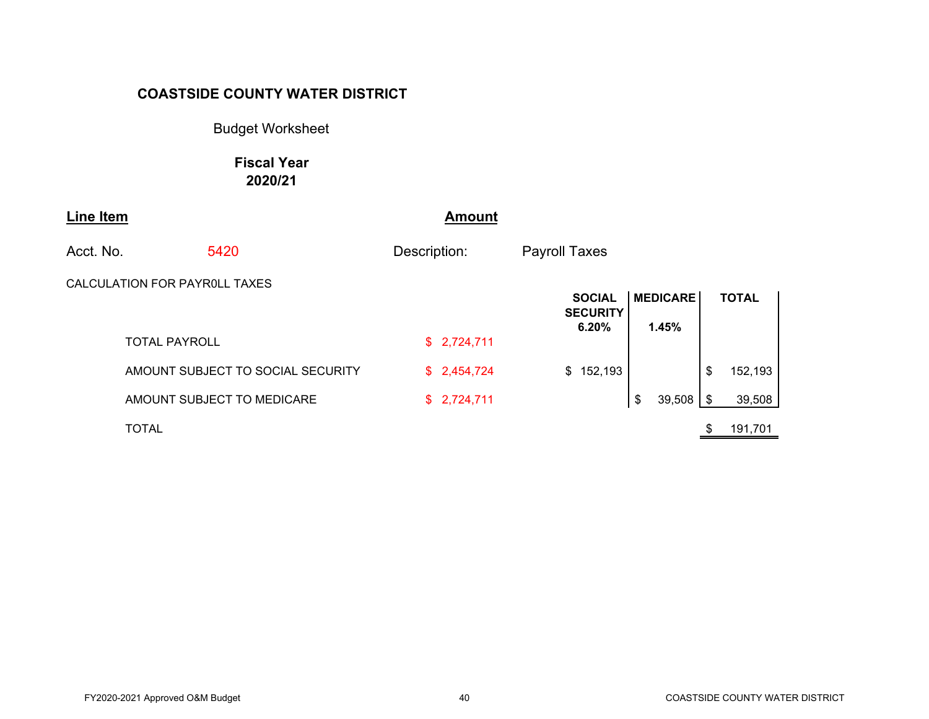Budget Worksheet

**Fiscal Year 2020/21**

| Line Item |                                   | <b>Amount</b> |                                           |                          |               |
|-----------|-----------------------------------|---------------|-------------------------------------------|--------------------------|---------------|
| Acct. No. | 5420                              | Description:  | <b>Payroll Taxes</b>                      |                          |               |
|           | CALCULATION FOR PAYROLL TAXES     |               | <b>SOCIAL</b><br><b>SECURITY</b><br>6.20% | <b>MEDICARE</b><br>1.45% | <b>TOTAL</b>  |
|           | <b>TOTAL PAYROLL</b>              | \$2,724,711   |                                           |                          |               |
|           | AMOUNT SUBJECT TO SOCIAL SECURITY | \$2,454,724   | \$152,193                                 |                          | \$<br>152,193 |
|           | AMOUNT SUBJECT TO MEDICARE        | \$2,724,711   |                                           | 39,508<br>\$             | \$<br>39,508  |
|           | <b>TOTAL</b>                      |               |                                           |                          | 191,701       |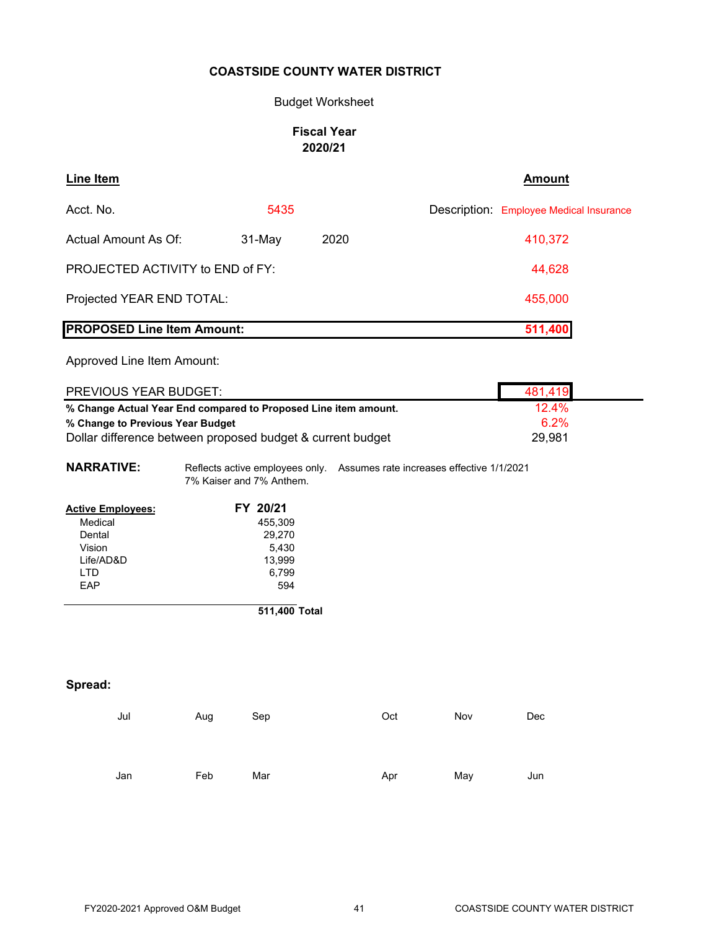### Budget Worksheet

### **Fiscal Year 2020/21**

| <b>Line Item</b>                  |                                                                                                        |      | <b>Amount</b>                           |
|-----------------------------------|--------------------------------------------------------------------------------------------------------|------|-----------------------------------------|
| Acct. No.                         | 5435                                                                                                   |      | Description: Employee Medical Insurance |
| Actual Amount As Of:              | 31-May                                                                                                 | 2020 | 410,372                                 |
| PROJECTED ACTIVITY to END of FY:  |                                                                                                        |      | 44,628                                  |
| Projected YEAR END TOTAL:         |                                                                                                        |      | 455,000                                 |
| <b>PROPOSED Line Item Amount:</b> |                                                                                                        |      | 511,400                                 |
| Approved Line Item Amount:        |                                                                                                        |      |                                         |
| <b>PREVIOUS YEAR BUDGET:</b>      |                                                                                                        |      | 481,419                                 |
|                                   | % Change Actual Year End compared to Proposed Line item amount.                                        |      | 12.4%                                   |
| % Change to Previous Year Budget  |                                                                                                        |      | 6.2%                                    |
|                                   | Dollar difference between proposed budget & current budget                                             |      | 29,981                                  |
| <b>NARRATIVE:</b>                 | Reflects active employees only.  Assumes rate increases effective 1/1/2021<br>7% Kaiser and 7% Anthem. |      |                                         |
| <b>Active Employees:</b>          | FY 20/21                                                                                               |      |                                         |
| Medical                           | 455,309                                                                                                |      |                                         |
| Dental                            | 29,270                                                                                                 |      |                                         |
| Vision                            | 5,430                                                                                                  |      |                                         |
| Life/AD&D                         | 13,999                                                                                                 |      |                                         |
| <b>LTD</b>                        | 6,799                                                                                                  |      |                                         |
| EAP                               | 594                                                                                                    |      |                                         |
|                                   | 511,400 Total                                                                                          |      |                                         |

# **Spread:**

| Jul | Aug | Sep | Oct | Nov | Dec |
|-----|-----|-----|-----|-----|-----|
|     |     |     |     |     |     |
|     |     |     |     |     |     |
|     |     |     |     |     |     |
| Jan | Feb | Mar | Apr | May | Jun |
|     |     |     |     |     |     |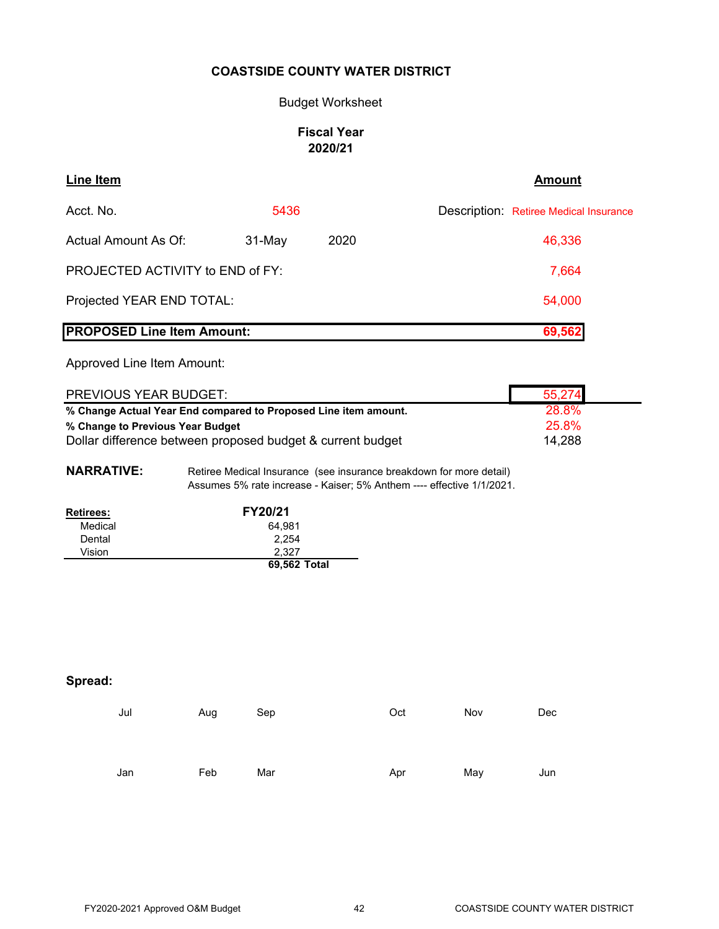#### Budget Worksheet

# **Fiscal Year 2020/21**

| Line Item                         |          |      | <b>Amount</b>                          |
|-----------------------------------|----------|------|----------------------------------------|
| Acct. No.                         | 5436     |      | Description: Retiree Medical Insurance |
| Actual Amount As Of:              | $31-May$ | 2020 | 46,336                                 |
| PROJECTED ACTIVITY to END of FY:  |          |      | 7,664                                  |
| Projected YEAR END TOTAL:         |          |      | 54,000                                 |
| <b>PROPOSED Line Item Amount:</b> |          |      | 69,562                                 |

Approved Line Item Amount:

| PREVIOUS YEAR BUDGET:                                           | 55,274       |
|-----------------------------------------------------------------|--------------|
| % Change Actual Year End compared to Proposed Line item amount. | <b>28.8%</b> |
| % Change to Previous Year Budget                                | 25.8%        |
| Dollar difference between proposed budget & current budget      | 14,288       |

**NARRATIVE:** Retiree Medical Insurance (see insurance breakdown for more detail) Assumes 5% rate increase - Kaiser; 5% Anthem ---- effective 1/1/2021.

| <b>Retirees:</b> | <b>FY20/21</b> |
|------------------|----------------|
| Medical          | 64.981         |
| Dental           | 2.254          |
| Vision           | 2.327          |
|                  | 69,562 Total   |

# **Spread:**

| Jul | Aug | Sep | Oct | Nov | Dec |
|-----|-----|-----|-----|-----|-----|
|     |     |     |     |     |     |
|     |     |     |     |     |     |
| Jan | Feb | Mar | Apr | May | Jun |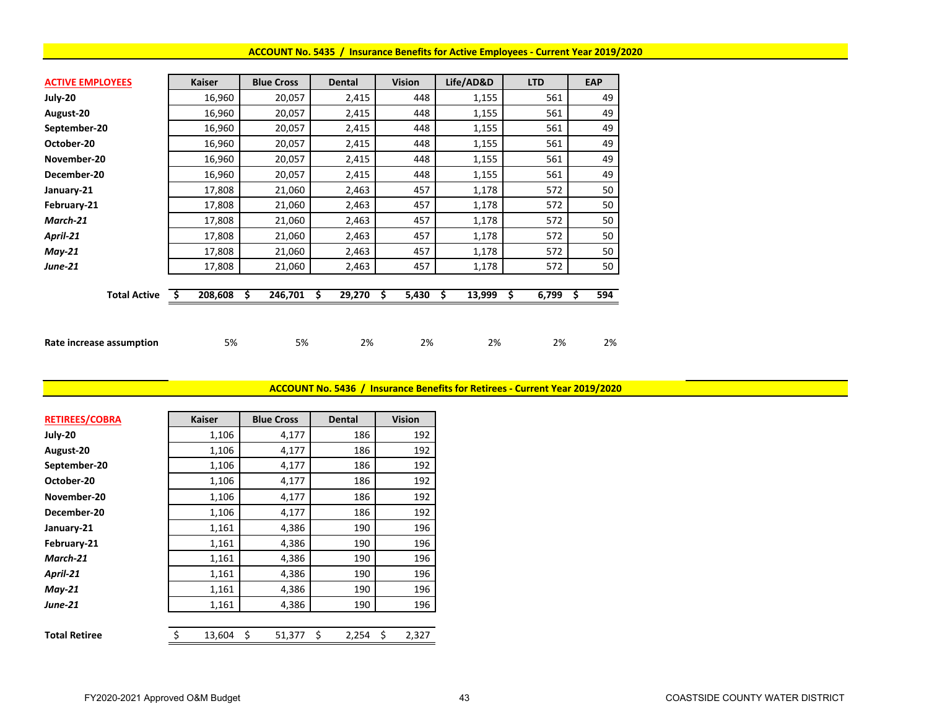#### **ACCOUNT No. 5435 / Insurance Benefits for Active Employees ‐ Current Year 2019/2020**

| <b>ACTIVE EMPLOYEES</b>  | <b>Kaiser</b> | <b>Blue Cross</b> | <b>Dental</b> | <b>Vision</b> | Life/AD&D    | <b>LTD</b> | <b>EAP</b> |
|--------------------------|---------------|-------------------|---------------|---------------|--------------|------------|------------|
| July-20                  | 16,960        | 20,057            | 2,415         | 448           | 1,155        | 561        | 49         |
| August-20                | 16,960        | 20,057            | 2,415         | 448           | 1,155        | 561        | 49         |
| September-20             | 16,960        | 20,057            | 2,415         | 448           | 1,155        | 561        | 49         |
| October-20               | 16,960        | 20,057            | 2,415         | 448           | 1,155        | 561        | 49         |
| November-20              | 16,960        | 20,057            | 2,415         | 448           | 1,155        | 561        | 49         |
| December-20              | 16,960        | 20,057            | 2,415         | 448           | 1,155        | 561        | 49         |
| January-21               | 17,808        | 21,060            | 2,463         | 457           | 1,178        | 572        | 50         |
| February-21              | 17,808        | 21,060            | 2,463         | 457           | 1,178        | 572        | 50         |
| March-21                 | 17,808        | 21,060            | 2,463         | 457           | 1,178        | 572        | 50         |
| April-21                 | 17,808        | 21,060            | 2,463         | 457           | 1,178        | 572        | 50         |
| $May-21$                 | 17,808        | 21,060            | 2,463         | 457           | 1,178        | 572        | 50         |
| <b>June-21</b>           | 17,808        | 21,060            | 2,463         | 457           | 1,178        | 572        | 50         |
|                          |               |                   |               |               |              |            |            |
| <b>Total Active</b>      | 208,608       | 246,701<br>Ŝ.     | 29,270<br>\$  | 5,430<br>\$   | 13,999<br>\$ | 6,799<br>s | 594        |
|                          |               |                   |               |               |              |            |            |
|                          |               |                   |               |               |              |            |            |
| Rate increase assumption | 5%            | 5%                | 2%            | 2%            | 2%           | 2%         | 2%         |

**ACCOUNT No. 5436 / Insurance Benefits for Retirees ‐ Current Year 2019/2020**

| <b>RETIREES/COBRA</b> | <b>Kaiser</b> | <b>Blue Cross</b> | <b>Dental</b> | <b>Vision</b> |
|-----------------------|---------------|-------------------|---------------|---------------|
| July-20               | 1,106         | 4,177             | 186           | 192           |
| August-20             | 1,106         | 4,177             | 186           | 192           |
| September-20          | 1,106         | 4,177             | 186           | 192           |
| October-20            | 1,106         | 4,177             | 186           | 192           |
| November-20           | 1,106         | 4,177             | 186           | 192           |
| December-20           | 1,106         | 4,177             | 186           | 192           |
| January-21            | 1,161         | 4,386             | 190           | 196           |
| February-21           | 1,161         | 4,386             | 190           | 196           |
| March-21              | 1,161         | 4,386             | 190           | 196           |
| April-21              | 1,161         | 4,386             | 190           | 196           |
| $May-21$              | 1,161         | 4,386             | 190           | 196           |
| <b>June-21</b>        | 1,161         | 4,386             | 190           | 196           |
|                       |               |                   |               |               |
| <b>Total Retiree</b>  | Ś<br>13,604   | \$<br>51,377      | \$<br>2,254   | \$<br>2,327   |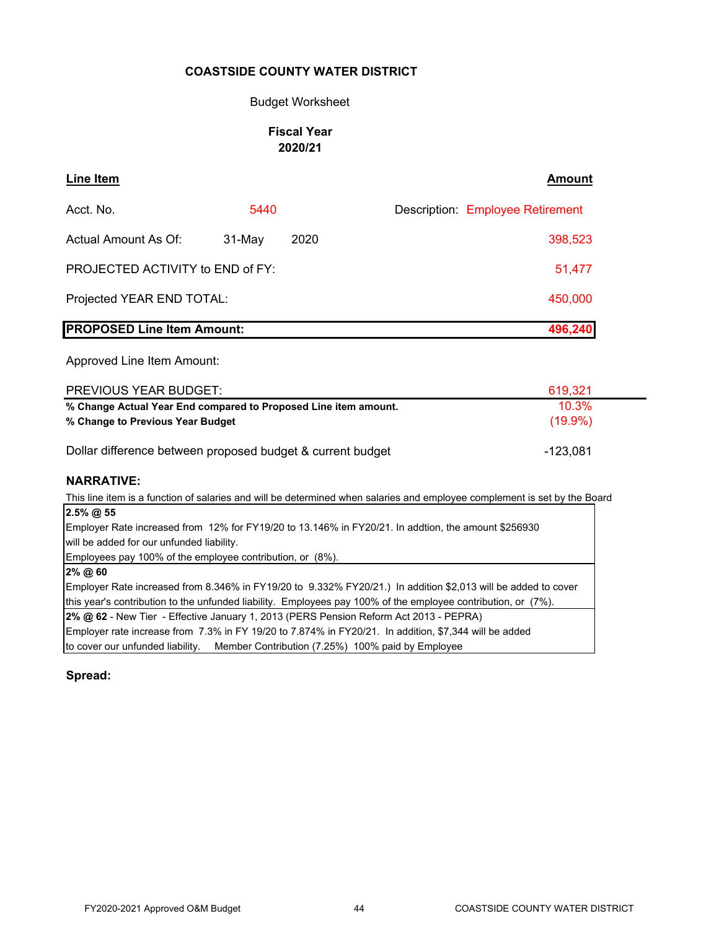### Budget Worksheet

# **Fiscal Year 2020/21**

| Line Item                         |          |      | <b>Amount</b>                           |
|-----------------------------------|----------|------|-----------------------------------------|
| Acct. No.                         | 5440     |      | <b>Description: Employee Retirement</b> |
| Actual Amount As Of:              | $31-May$ | 2020 | 398,523                                 |
| PROJECTED ACTIVITY to END of FY:  |          |      | 51,477                                  |
| Projected YEAR END TOTAL:         |          |      | 450,000                                 |
| <b>PROPOSED Line Item Amount:</b> |          |      | 496,240                                 |

Approved Line Item Amount:

| PREVIOUS YEAR BUDGET:                                           | 619.321  |  |  |  |
|-----------------------------------------------------------------|----------|--|--|--|
| % Change Actual Year End compared to Proposed Line item amount. | $10.3\%$ |  |  |  |
| % Change to Previous Year Budget                                |          |  |  |  |
|                                                                 |          |  |  |  |
| Dollar difference between proposed budget & current budget      | -123.081 |  |  |  |

# **NARRATIVE:**

This line item is a function of salaries and will be determined when salaries and employee complement is set by the Board

| $2.5\%$ @ 55                                                                                                  |
|---------------------------------------------------------------------------------------------------------------|
| Employer Rate increased from 12% for FY19/20 to 13.146% in FY20/21. In addtion, the amount \$256930           |
| will be added for our unfunded liability.                                                                     |
| Employees pay 100% of the employee contribution, or (8%).                                                     |
| $2\%$ @ 60                                                                                                    |
| Employer Rate increased from 8.346% in FY19/20 to 9.332% FY20/21.) In addition \$2,013 will be added to cover |
| this year's contribution to the unfunded liability. Employees pay 100% of the employee contribution, or (7%). |
| 2% @ 62 - New Tier - Effective January 1, 2013 (PERS Pension Reform Act 2013 - PEPRA)                         |
| Employer rate increase from 7.3% in FY 19/20 to 7.874% in FY20/21. In addition, \$7,344 will be added         |
| to cover our unfunded liability. Member Contribution (7.25%) 100% paid by Employee                            |

**Spread:**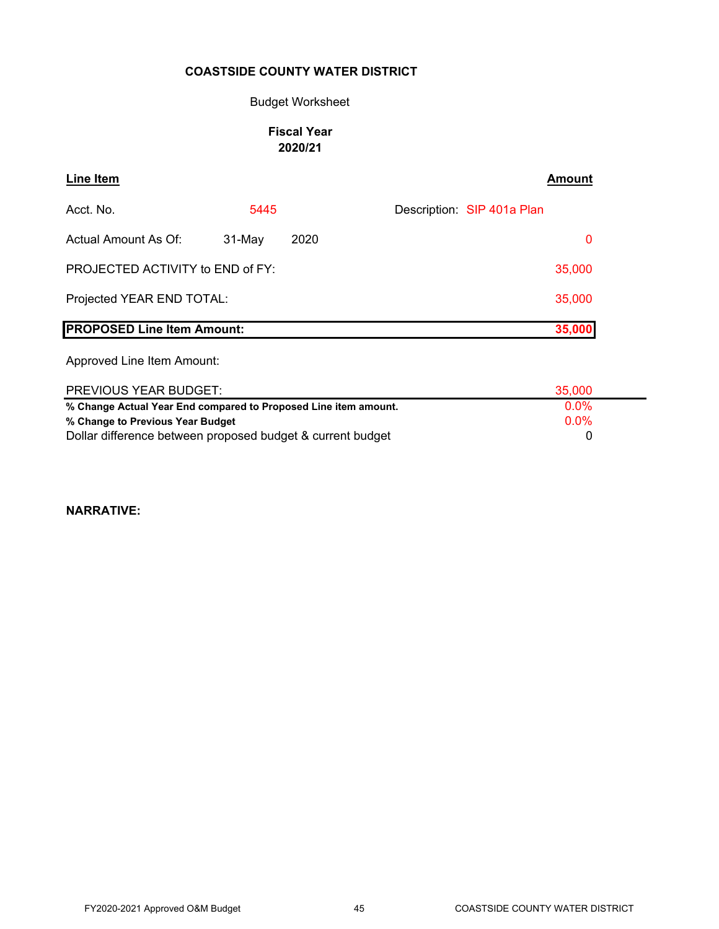### Budget Worksheet

### **Fiscal Year 2020/21**

| <b>Line Item</b>                        |        |      | Amount                     |
|-----------------------------------------|--------|------|----------------------------|
| Acct. No.                               | 5445   |      | Description: SIP 401a Plan |
| Actual Amount As Of:                    | 31-May | 2020 | 0                          |
| <b>PROJECTED ACTIVITY to END of FY:</b> |        |      | 35,000                     |
| Projected YEAR END TOTAL:               |        |      | 35,000                     |
| <b>PROPOSED Line Item Amount:</b>       |        |      | 35,000                     |
| Approved Line Item Amount:              |        |      |                            |

| PREVIOUS YEAR BUDGET:                                           | 35,000  |
|-----------------------------------------------------------------|---------|
| % Change Actual Year End compared to Proposed Line item amount. | $0.0\%$ |
| % Change to Previous Year Budget                                | $0.0\%$ |
| Dollar difference between proposed budget & current budget      |         |

**NARRATIVE:**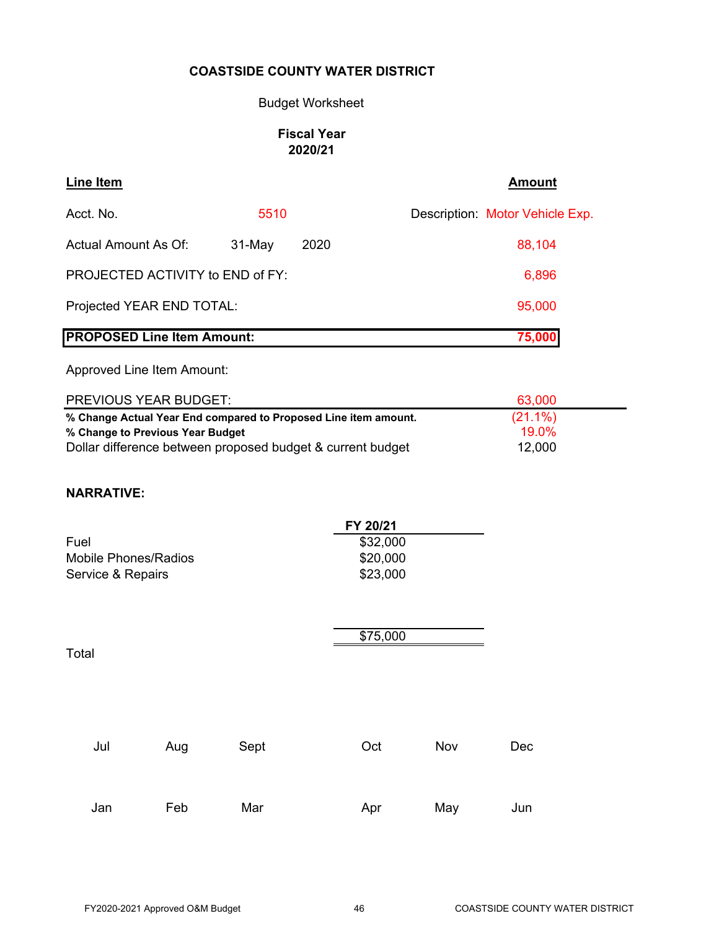# Budget Worksheet

# **Fiscal Year 2020/21**

| Line Item                         |          |      | <b>Amount</b>                   |
|-----------------------------------|----------|------|---------------------------------|
| Acct. No.                         | 5510     |      | Description: Motor Vehicle Exp. |
| Actual Amount As Of:              | $31-May$ | 2020 | 88,104                          |
| PROJECTED ACTIVITY to END of FY:  |          |      | 6,896                           |
| Projected YEAR END TOTAL:         |          |      | 95,000                          |
| <b>PROPOSED Line Item Amount:</b> |          |      | 75,000                          |

Approved Line Item Amount:

| <b>PREVIOUS YEAR BUDGET:</b>                                    | 63.000     |
|-----------------------------------------------------------------|------------|
| % Change Actual Year End compared to Proposed Line item amount. | $(21.1\%)$ |
| % Change to Previous Year Budget                                | 19 በ%      |
| Dollar difference between proposed budget & current budget      | 12,000     |

# **NARRATIVE:**

|                      | FY 20/21 |  |  |  |  |
|----------------------|----------|--|--|--|--|
| Fuel                 | \$32,000 |  |  |  |  |
| Mobile Phones/Radios | \$20,000 |  |  |  |  |
| Service & Repairs    | \$23,000 |  |  |  |  |

Total

\$75,000

| Jul | Aug | Sept | Oct | Nov | Dec |
|-----|-----|------|-----|-----|-----|
| Jan | Feb | Mar  | Apr | May | Jun |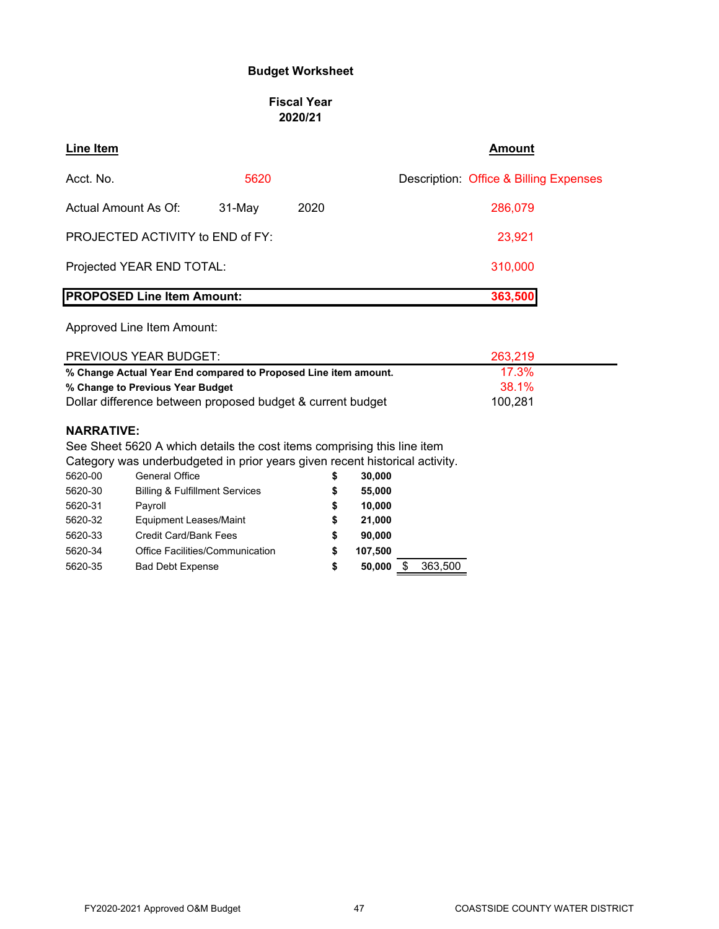# **Budget Worksheet**

#### **Fiscal Year 2020/21**

| <b>Line Item</b>     |                                                                                                |        |      | <b>Amount</b>                                                               |
|----------------------|------------------------------------------------------------------------------------------------|--------|------|-----------------------------------------------------------------------------|
| Acct. No.            |                                                                                                | 5620   |      | Description: Office & Billing Expenses                                      |
| Actual Amount As Of: |                                                                                                | 31-May | 2020 | 286.079                                                                     |
|                      | PROJECTED ACTIVITY to END of FY:                                                               |        |      | 23,921                                                                      |
|                      | Projected YEAR END TOTAL:                                                                      |        |      | 310,000                                                                     |
|                      | <b>PROPOSED Line Item Amount:</b>                                                              |        |      | 363,500                                                                     |
|                      | Approved Line Item Amount:<br>PREVIOUS YEAR BUDGET:                                            |        |      |                                                                             |
|                      |                                                                                                |        |      | 263,219                                                                     |
|                      | % Change Actual Year End compared to Proposed Line item amount.                                |        |      | 17.3%<br>38.1%                                                              |
|                      | % Change to Previous Year Budget<br>Dollar difference between proposed budget & current budget |        |      | 100,281                                                                     |
|                      |                                                                                                |        |      |                                                                             |
| <b>NARRATIVE:</b>    |                                                                                                |        |      |                                                                             |
|                      |                                                                                                |        |      | See Sheet 5620 A which details the cost items comprising this line item     |
|                      |                                                                                                |        |      | Category was underbudgeted in prior years given recent historical activity. |
| 5620-00              | General Office                                                                                 |        | S    | 30,000                                                                      |
| 5620-30              | <b>Billing &amp; Fulfillment Services</b>                                                      |        | \$   | 55,000                                                                      |
| 5620-31              | Payroll                                                                                        |        |      | 10,000                                                                      |
| 5620-32              | <b>Equipment Leases/Maint</b>                                                                  |        | \$   | 21,000                                                                      |

5620-33 Credit Card/Bank Fees **\$ 90,000** 5620-34 Office Facilities/Communication **\$ 107,500**

5620-35 Bad Debt Expense **\$ 50,000** \$ 363,500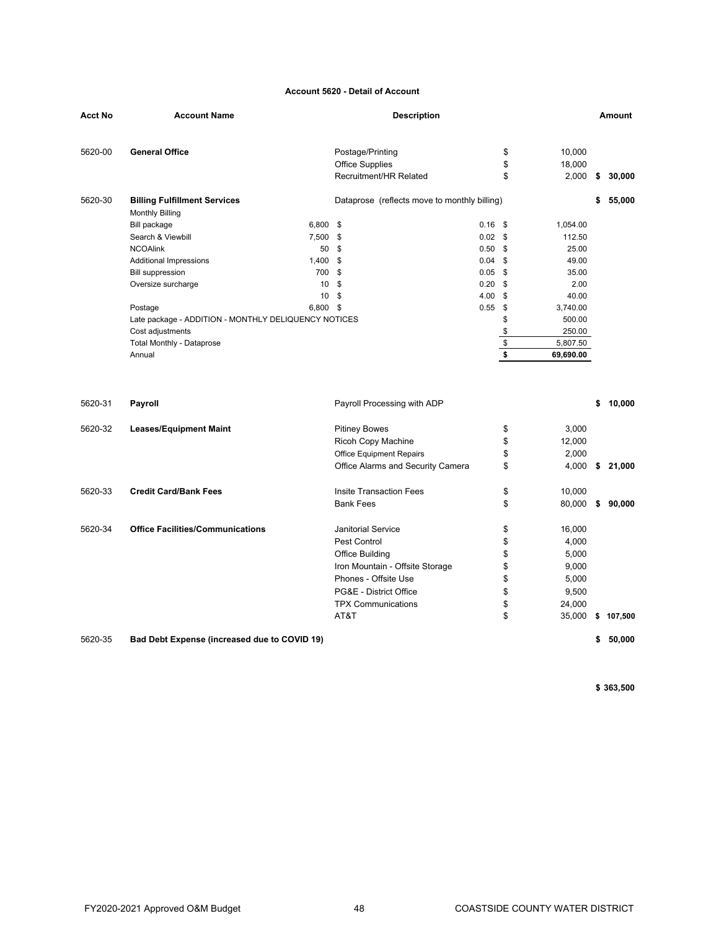#### **Account 5620 - Detail of Account**

| Acct No | <b>Account Name</b>                                           | <b>Description</b> |                                              |           |            |                  |    |           |
|---------|---------------------------------------------------------------|--------------------|----------------------------------------------|-----------|------------|------------------|----|-----------|
| 5620-00 | <b>General Office</b>                                         |                    | Postage/Printing<br><b>Office Supplies</b>   |           | \$<br>\$   | 10,000<br>18,000 |    |           |
|         |                                                               |                    | Recruitment/HR Related                       |           | \$         | 2,000            | \$ | 30,000    |
| 5620-30 | <b>Billing Fulfillment Services</b><br><b>Monthly Billing</b> |                    | Dataprose (reflects move to monthly billing) |           |            |                  | \$ | 55,000    |
|         | 6,800 \$<br>Bill package                                      |                    |                                              | $0.16$ \$ |            | 1,054.00         |    |           |
|         | Search & Viewbill<br>7,500                                    |                    | \$                                           | 0.02      | \$         | 112.50           |    |           |
|         | <b>NCOAlink</b>                                               | 50                 | \$                                           | 0.50      | \$         | 25.00            |    |           |
|         | 1,400<br><b>Additional Impressions</b>                        |                    | \$                                           | 0.04      | \$         | 49.00            |    |           |
|         | <b>Bill suppression</b>                                       | 700                | \$                                           | 0.05      | \$         | 35.00            |    |           |
|         | Oversize surcharge                                            | 10                 | \$                                           | 0.20      | \$         | 2.00             |    |           |
|         |                                                               | 10                 | \$                                           | 4.00      | \$         | 40.00            |    |           |
|         | 6,800 \$<br>Postage                                           |                    |                                              | 0.55      | \$         | 3,740.00         |    |           |
|         | Late package - ADDITION - MONTHLY DELIQUENCY NOTICES          |                    |                                              |           | \$         | 500.00           |    |           |
|         | Cost adjustments                                              |                    |                                              |           | \$         | 250.00           |    |           |
|         | <b>Total Monthly - Dataprose</b>                              |                    |                                              |           | \$         | 5,807.50         |    |           |
|         | Annual                                                        |                    |                                              |           | $\sqrt{2}$ | 69,690.00        |    |           |
| 5620-31 | Payroll                                                       |                    | Payroll Processing with ADP                  |           |            |                  | \$ | 10,000    |
| 5620-32 | <b>Leases/Equipment Maint</b>                                 |                    | <b>Pitiney Bowes</b>                         |           | \$         | 3,000            |    |           |
|         |                                                               |                    | Ricoh Copy Machine                           |           | \$         | 12,000           |    |           |
|         |                                                               |                    | <b>Office Equipment Repairs</b>              |           | \$         | 2,000            |    |           |
|         |                                                               |                    | Office Alarms and Security Camera            |           | \$         | 4,000            |    | \$21,000  |
|         |                                                               |                    |                                              |           |            |                  |    |           |
| 5620-33 | <b>Credit Card/Bank Fees</b>                                  |                    | <b>Insite Transaction Fees</b>               |           | \$         | 10,000           |    |           |
|         |                                                               |                    | <b>Bank Fees</b>                             |           | \$         | 80,000           |    | \$90,000  |
| 5620-34 | <b>Office Facilities/Communications</b>                       |                    | <b>Janitorial Service</b>                    |           | \$         | 16,000           |    |           |
|         |                                                               |                    | Pest Control                                 |           | \$         | 4,000            |    |           |
|         |                                                               |                    | Office Building                              |           | \$         | 5,000            |    |           |
|         |                                                               |                    | Iron Mountain - Offsite Storage              |           | \$         | 9,000            |    |           |
|         |                                                               |                    | Phones - Offsite Use                         |           | \$         | 5,000            |    |           |
|         |                                                               |                    | PG&E - District Office                       |           | \$         | 9,500            |    |           |
|         |                                                               |                    | <b>TPX Communications</b>                    |           | \$         | 24,000           |    |           |
|         |                                                               |                    | AT&T                                         |           | \$         | 35,000           |    | \$107,500 |
| 5620-35 | Bad Debt Expense (increased due to COVID 19)                  |                    |                                              |           |            |                  | \$ | 50.000    |

**\$ 363,500**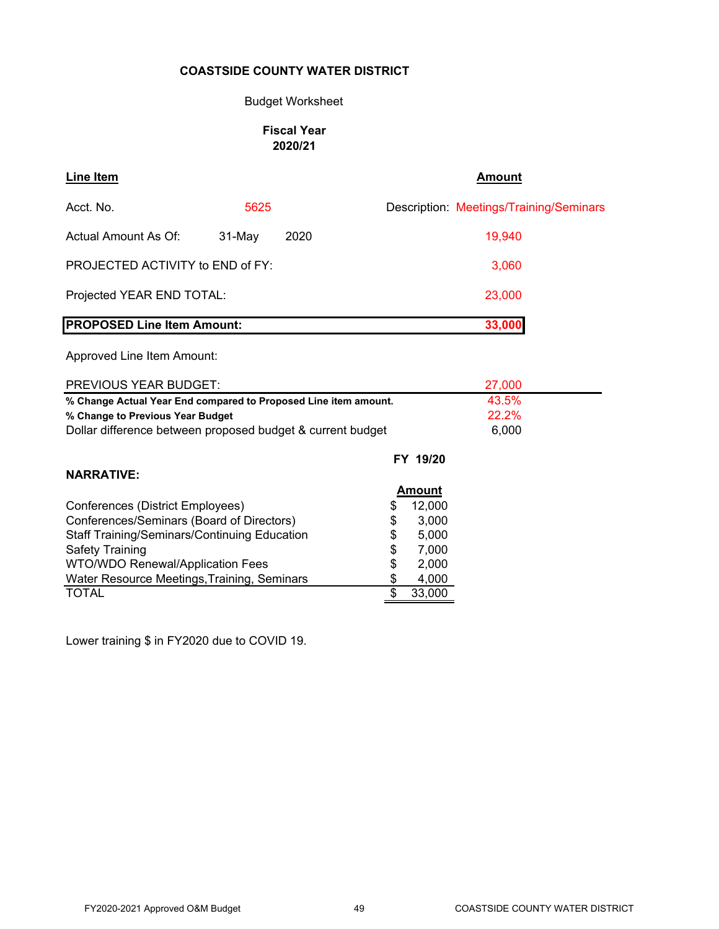# Budget Worksheet

# **Fiscal Year 2020/21**

| <b>Line Item</b>                                                                                                                                                  |        |      | <b>Amount</b>                           |
|-------------------------------------------------------------------------------------------------------------------------------------------------------------------|--------|------|-----------------------------------------|
| Acct. No.                                                                                                                                                         | 5625   |      | Description: Meetings/Training/Seminars |
| Actual Amount As Of:                                                                                                                                              | 31-May | 2020 | 19,940                                  |
| PROJECTED ACTIVITY to END of FY:                                                                                                                                  |        |      | 3,060                                   |
| Projected YEAR END TOTAL:                                                                                                                                         |        |      | 23,000                                  |
| <b>PROPOSED Line Item Amount:</b>                                                                                                                                 |        |      | 33,000                                  |
| Approved Line Item Amount:                                                                                                                                        |        |      |                                         |
| <b>PREVIOUS YEAR BUDGET:</b>                                                                                                                                      |        |      | 27,000                                  |
| % Change Actual Year End compared to Proposed Line item amount.<br>% Change to Previous Year Budget<br>Dollar difference between proposed budget & current budget |        |      | 43.5%<br>22.2%<br>6,000                 |
|                                                                                                                                                                   |        |      | FY 19/20                                |
| <b>NARRATIVE:</b>                                                                                                                                                 |        |      |                                         |
| Conferences (District Employees)                                                                                                                                  |        |      | <b>Amount</b><br>12.000                 |

| Conferences/Seminars (Board of Directors)<br>S<br><b>Staff Training/Seminars/Continuing Education</b><br>S |        |
|------------------------------------------------------------------------------------------------------------|--------|
|                                                                                                            | 3,000  |
|                                                                                                            | 5,000  |
| <b>Safety Training</b><br>\$                                                                               | 7,000  |
| WTO/WDO Renewal/Application Fees<br>\$                                                                     | 2,000  |
| Water Resource Meetings, Training, Seminars<br>S                                                           | 4,000  |
| <b>TOTAL</b>                                                                                               | 33,000 |

Lower training \$ in FY2020 due to COVID 19.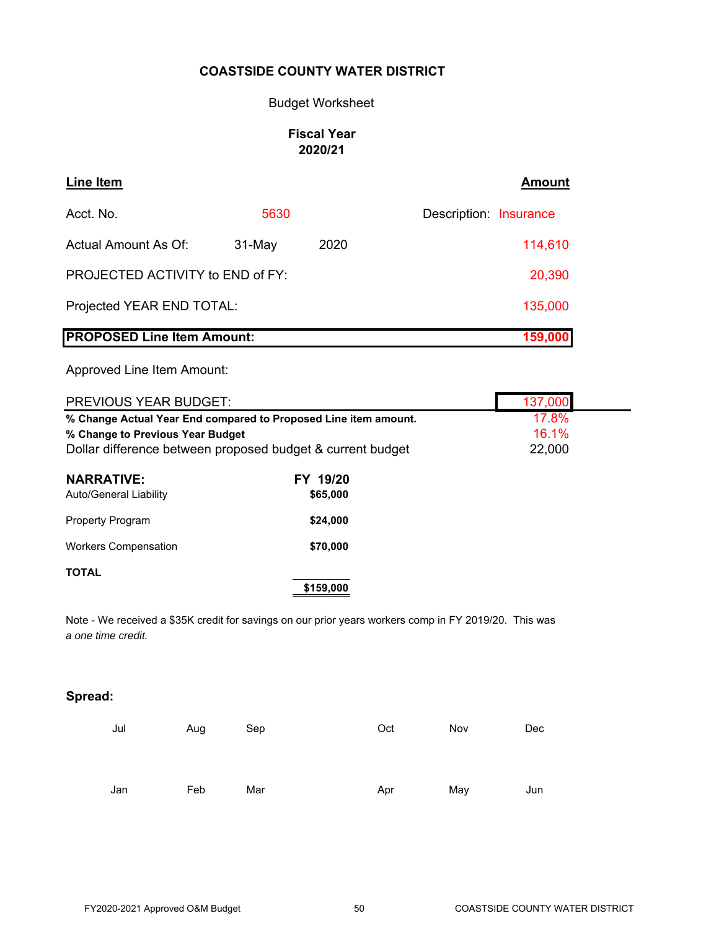### Budget Worksheet

# **Fiscal Year 2020/21**

| Line Item                         |          |      | <b>Amount</b>          |
|-----------------------------------|----------|------|------------------------|
| Acct. No.                         | 5630     |      | Description: Insurance |
| Actual Amount As Of:              | $31-May$ | 2020 | 114,610                |
| PROJECTED ACTIVITY to END of FY:  |          |      | 20,390                 |
| Projected YEAR END TOTAL:         |          |      | 135,000                |
| <b>PROPOSED Line Item Amount:</b> |          |      | 159,000                |

Approved Line Item Amount:

| <b>PREVIOUS YEAR BUDGET:</b>                                    |                      | 137,000 |
|-----------------------------------------------------------------|----------------------|---------|
| % Change Actual Year End compared to Proposed Line item amount. | 17.8%                |         |
| % Change to Previous Year Budget                                |                      | 16.1%   |
| Dollar difference between proposed budget & current budget      | 22,000               |         |
| <b>NARRATIVE:</b><br>Auto/General Liability                     | FY 19/20<br>\$65,000 |         |

| <b>Workers Compensation</b> |  |
|-----------------------------|--|

### **TOTAL**

Property Program

**\$159,000**

**\$24,000**

**\$70,000**

Note - We received a \$35K credit for savings on our prior years workers comp in FY 2019/20. This was *a one time credit.*

# **Spread:**

| Jul | Aug | Sep | Oct | Nov | Dec |
|-----|-----|-----|-----|-----|-----|
|     |     |     |     |     |     |
|     |     |     |     |     |     |
|     |     |     |     |     |     |
| Jan | Feb | Mar | Apr | May | Jun |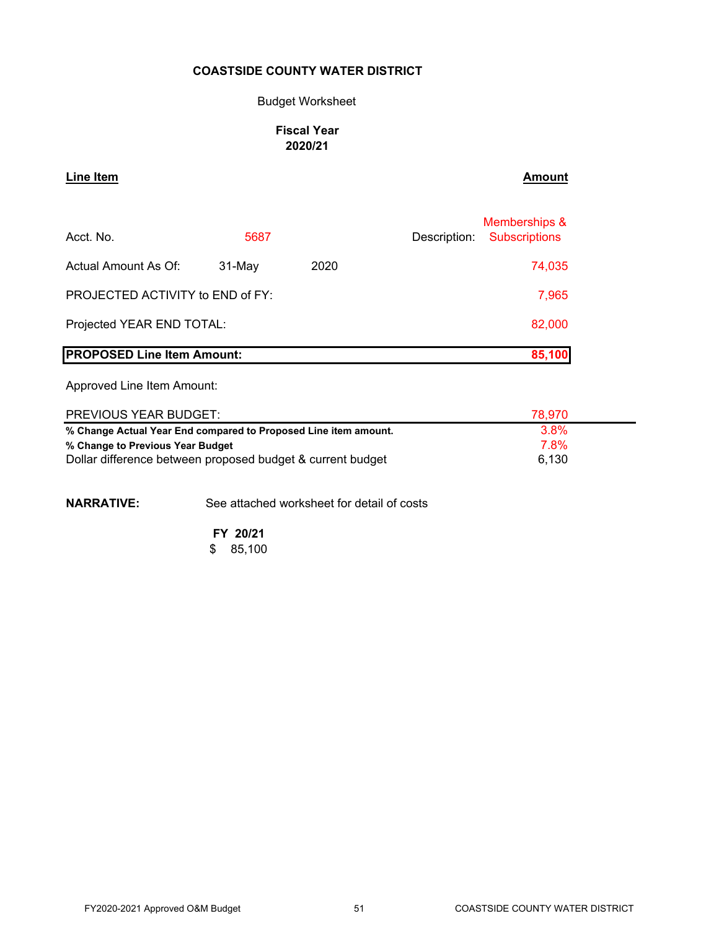### Budget Worksheet

# **Fiscal Year 2020/21**

**Line Item Amount** 

| Acct. No.                         | 5687   |      | Description: | Memberships &<br><b>Subscriptions</b> |
|-----------------------------------|--------|------|--------------|---------------------------------------|
| Actual Amount As Of:              | 31-May | 2020 |              | 74,035                                |
| PROJECTED ACTIVITY to END of FY:  |        |      |              | 7,965                                 |
| Projected YEAR END TOTAL:         |        |      |              | 82,000                                |
| <b>PROPOSED Line Item Amount:</b> |        |      |              | 85,100                                |

Approved Line Item Amount:

| <b>PREVIOUS YEAR BUDGET:</b>                                    | 78.970 |  |
|-----------------------------------------------------------------|--------|--|
| % Change Actual Year End compared to Proposed Line item amount. | 3.8%   |  |
| % Change to Previous Year Budget                                | 7.8%   |  |
| Dollar difference between proposed budget & current budget      | 6,130  |  |

**NARRATIVE:** See attached worksheet for detail of costs

**FY 20/21**  $$85,100$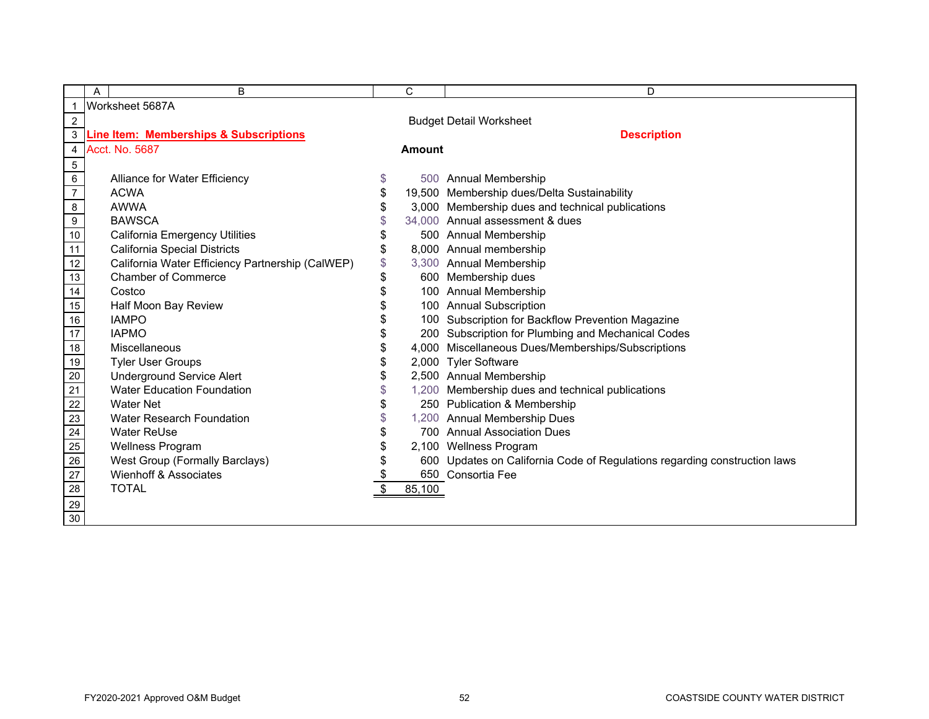|                                                       | B<br>A                                                                       |    | C             | D                                                                         |  |  |  |
|-------------------------------------------------------|------------------------------------------------------------------------------|----|---------------|---------------------------------------------------------------------------|--|--|--|
| $\mathbf{1}$                                          | Worksheet 5687A                                                              |    |               |                                                                           |  |  |  |
| $\overline{c}$                                        | <b>Budget Detail Worksheet</b>                                               |    |               |                                                                           |  |  |  |
|                                                       | <b>Description</b><br>3<br><b>Line Item: Memberships &amp; Subscriptions</b> |    |               |                                                                           |  |  |  |
|                                                       | 4 Acct. No. 5687                                                             |    | <b>Amount</b> |                                                                           |  |  |  |
| $5\phantom{.0}$                                       |                                                                              |    |               |                                                                           |  |  |  |
| 6                                                     | Alliance for Water Efficiency                                                | \$ |               | 500 Annual Membership                                                     |  |  |  |
| $\overline{7}$                                        | <b>ACWA</b>                                                                  | \$ |               | 19,500 Membership dues/Delta Sustainability                               |  |  |  |
| 8                                                     | <b>AWWA</b>                                                                  | \$ |               | 3,000 Membership dues and technical publications                          |  |  |  |
| $9\,$                                                 | <b>BAWSCA</b>                                                                | \$ |               | 34,000 Annual assessment & dues                                           |  |  |  |
| 10                                                    | <b>California Emergency Utilities</b>                                        | \$ |               | 500 Annual Membership                                                     |  |  |  |
| 11                                                    | California Special Districts                                                 | \$ |               | 8,000 Annual membership                                                   |  |  |  |
| 12                                                    | California Water Efficiency Partnership (CalWEP)                             | \$ |               | 3,300 Annual Membership                                                   |  |  |  |
| 13                                                    | <b>Chamber of Commerce</b>                                                   | \$ |               | 600 Membership dues                                                       |  |  |  |
| 14                                                    | Costco                                                                       |    |               | 100 Annual Membership                                                     |  |  |  |
| 15                                                    | Half Moon Bay Review                                                         |    |               | 100 Annual Subscription                                                   |  |  |  |
| $\frac{16}{17}$                                       | <b>IAMPO</b>                                                                 |    |               | 100 Subscription for Backflow Prevention Magazine                         |  |  |  |
|                                                       | <b>IAPMO</b>                                                                 |    |               | 200 Subscription for Plumbing and Mechanical Codes                        |  |  |  |
| 18                                                    | Miscellaneous                                                                | \$ |               | 4,000 Miscellaneous Dues/Memberships/Subscriptions                        |  |  |  |
|                                                       | <b>Tyler User Groups</b>                                                     | \$ |               | 2,000 Tyler Software                                                      |  |  |  |
| $\frac{19}{20}$                                       | <b>Underground Service Alert</b>                                             | \$ |               | 2,500 Annual Membership                                                   |  |  |  |
|                                                       | <b>Water Education Foundation</b>                                            | \$ |               | 1,200 Membership dues and technical publications                          |  |  |  |
|                                                       | <b>Water Net</b>                                                             | \$ |               | 250 Publication & Membership                                              |  |  |  |
|                                                       | Water Research Foundation                                                    |    |               | 1,200 Annual Membership Dues                                              |  |  |  |
|                                                       | <b>Water ReUse</b>                                                           | \$ |               | 700 Annual Association Dues                                               |  |  |  |
| $\frac{21}{23}$<br>$\frac{23}{25}$<br>$\frac{24}{25}$ | <b>Wellness Program</b>                                                      | \$ |               | 2,100 Wellness Program                                                    |  |  |  |
|                                                       | West Group (Formally Barclays)                                               | \$ |               | 600 Updates on California Code of Regulations regarding construction laws |  |  |  |
| $\frac{27}{28}$                                       | <b>Wienhoff &amp; Associates</b>                                             |    |               | 650 Consortia Fee                                                         |  |  |  |
|                                                       | <b>TOTAL</b>                                                                 | \$ | 85,100        |                                                                           |  |  |  |
| $\frac{29}{30}$                                       |                                                                              |    |               |                                                                           |  |  |  |
|                                                       |                                                                              |    |               |                                                                           |  |  |  |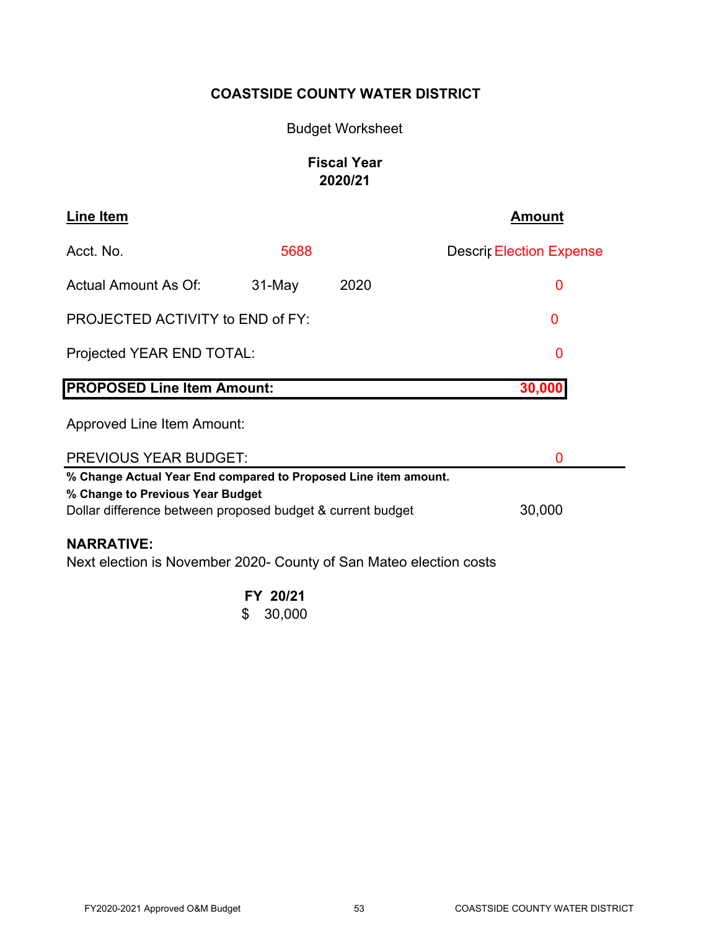# Budget Worksheet

# **Fiscal Year 2020/21**

| Line Item                                                                                                                                                                   |          |      | Amount                          |  |  |
|-----------------------------------------------------------------------------------------------------------------------------------------------------------------------------|----------|------|---------------------------------|--|--|
| Acct. No.                                                                                                                                                                   | 5688     |      | <b>Descrif Election Expense</b> |  |  |
| Actual Amount As Of:                                                                                                                                                        | $31-May$ | 2020 | 0                               |  |  |
| PROJECTED ACTIVITY to END of FY:                                                                                                                                            |          |      | 0                               |  |  |
| Projected YEAR END TOTAL:                                                                                                                                                   |          |      | 0                               |  |  |
| <b>PROPOSED Line Item Amount:</b><br>30,00                                                                                                                                  |          |      |                                 |  |  |
| Approved Line Item Amount:                                                                                                                                                  |          |      |                                 |  |  |
| <b>PREVIOUS YEAR BUDGET:</b><br>0                                                                                                                                           |          |      |                                 |  |  |
| % Change Actual Year End compared to Proposed Line item amount.<br>% Change to Previous Year Budget<br>30,000<br>Dollar difference between proposed budget & current budget |          |      |                                 |  |  |
| <b>NARRATIVE:</b><br>Next election is November 2020- County of San Mateo election costs                                                                                     |          |      |                                 |  |  |
|                                                                                                                                                                             | FY 20/21 |      |                                 |  |  |

 $$30,000$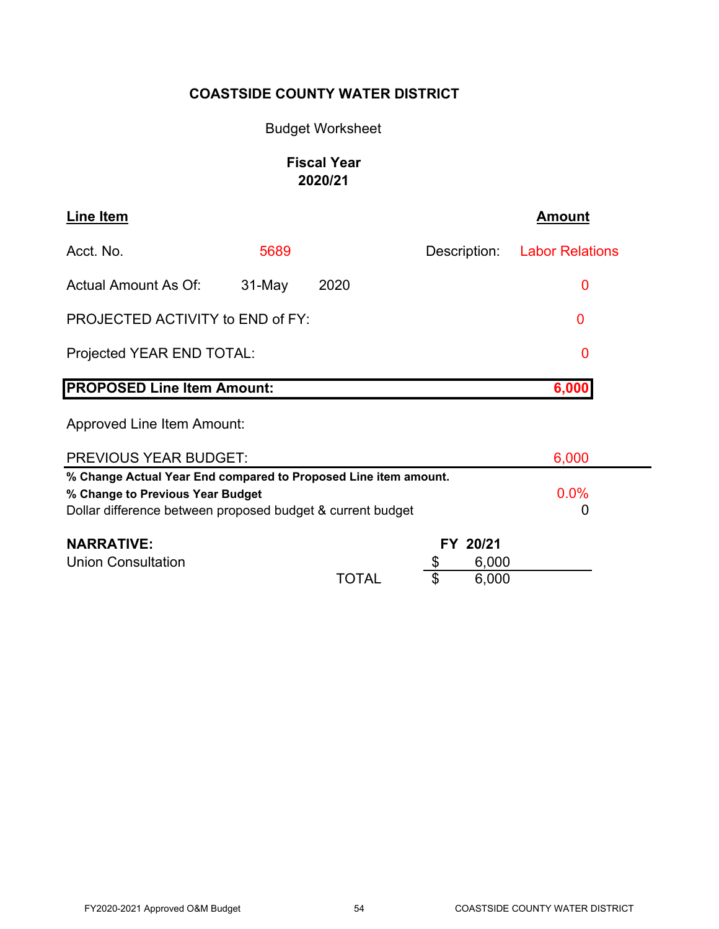# Budget Worksheet

# **Fiscal Year 2020/21**

| Line Item                                                       |          |       |              | <b>Amount</b>          |
|-----------------------------------------------------------------|----------|-------|--------------|------------------------|
| Acct. No.                                                       | 5689     |       | Description: | <b>Labor Relations</b> |
| <b>Actual Amount As Of:</b>                                     | $31-May$ | 2020  |              | 0                      |
| PROJECTED ACTIVITY to END of FY:                                |          |       |              | 0                      |
| Projected YEAR END TOTAL:                                       |          |       |              | 0                      |
| <b>PROPOSED Line Item Amount:</b>                               |          |       |              | 6,000                  |
| <b>Approved Line Item Amount:</b>                               |          |       |              |                        |
| <b>PREVIOUS YEAR BUDGET:</b>                                    |          |       |              | 6,000                  |
| % Change Actual Year End compared to Proposed Line item amount. |          |       |              |                        |
| % Change to Previous Year Budget                                |          |       |              | 0.0%                   |
| Dollar difference between proposed budget & current budget      |          |       |              | 0                      |
| <b>NARRATIVE:</b>                                               |          |       | FY 20/21     |                        |
| <b>Union Consultation</b>                                       |          |       | 6,000        |                        |
|                                                                 |          | TOTAL | \$<br>6,000  |                        |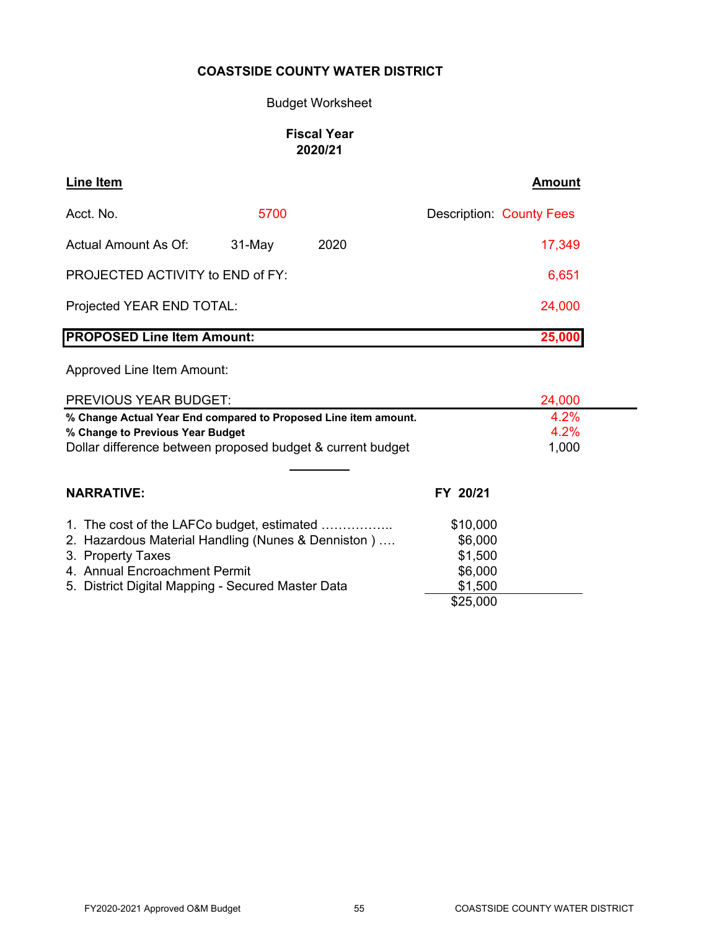# Budget Worksheet

# **Fiscal Year 2020/21**

| Line Item                         |           |      | <b>Amount</b>                   |
|-----------------------------------|-----------|------|---------------------------------|
| Acct. No.                         | 5700      |      | <b>Description: County Fees</b> |
| Actual Amount As Of:              | $31$ -May | 2020 | 17,349                          |
| PROJECTED ACTIVITY to END of FY:  |           |      | 6,651                           |
| Projected YEAR END TOTAL:         |           |      | 24,000                          |
| <b>PROPOSED Line Item Amount:</b> |           |      | 25,000                          |

| PREVIOUS YEAR BUDGET:                                           |          | 24,000 |
|-----------------------------------------------------------------|----------|--------|
| % Change Actual Year End compared to Proposed Line item amount. |          | 4.2%   |
| % Change to Previous Year Budget                                |          | 4.2%   |
| Dollar difference between proposed budget & current budget      |          | 1,000  |
|                                                                 |          |        |
| <b>NARRATIVE:</b>                                               | FY 20/21 |        |
| 1. The cost of the LAFCo budget, estimated                      | \$10,000 |        |
| 2. Hazardous Material Handling (Nunes & Denniston)              | \$6,000  |        |
| 3. Property Taxes                                               | \$1,500  |        |
| 4. Annual Encroachment Permit                                   | \$6,000  |        |
| 5. District Digital Mapping - Secured Master Data               | \$1,500  |        |
|                                                                 | \$25,000 |        |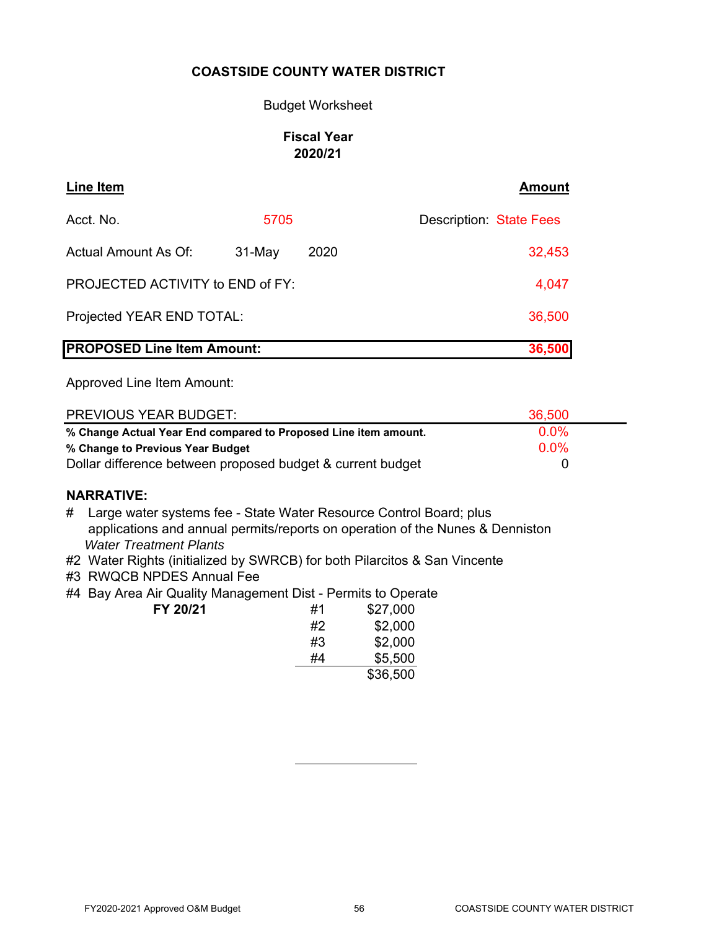# Budget Worksheet

# **Fiscal Year 2020/21**

| <b>Line Item</b>                  |          |      | <b>Amount</b>                  |
|-----------------------------------|----------|------|--------------------------------|
| Acct. No.                         | 5705     |      | <b>Description: State Fees</b> |
| Actual Amount As Of:              | $31-May$ | 2020 | 32,453                         |
| PROJECTED ACTIVITY to END of FY:  |          |      | 4,047                          |
| Projected YEAR END TOTAL:         |          |      | 36,500                         |
| <b>PROPOSED Line Item Amount:</b> |          |      | 36,500                         |

Approved Line Item Amount:

| <b>PREVIOUS YEAR BUDGET:</b>                                    | 36,500  |
|-----------------------------------------------------------------|---------|
| % Change Actual Year End compared to Proposed Line item amount. | $0.0\%$ |
| % Change to Previous Year Budget                                | $0.0\%$ |
| Dollar difference between proposed budget & current budget      |         |

# **NARRATIVE:**

- # Large water systems fee State Water Resource Control Board; plus applications and annual permits/reports on operation of the Nunes & Denniston  *Water Treatment Plants*
- #2 Water Rights (initialized by SWRCB) for both Pilarcitos & San Vincente
- #3 RWQCB NPDES Annual Fee
- #4 Bay Area Air Quality Management Dist Permits to Operate **FY 20/21**

| #1 | \$27,000 |
|----|----------|
| #2 | \$2,000  |
| #3 | \$2,000  |
| #4 | \$5,500  |
|    | \$36,500 |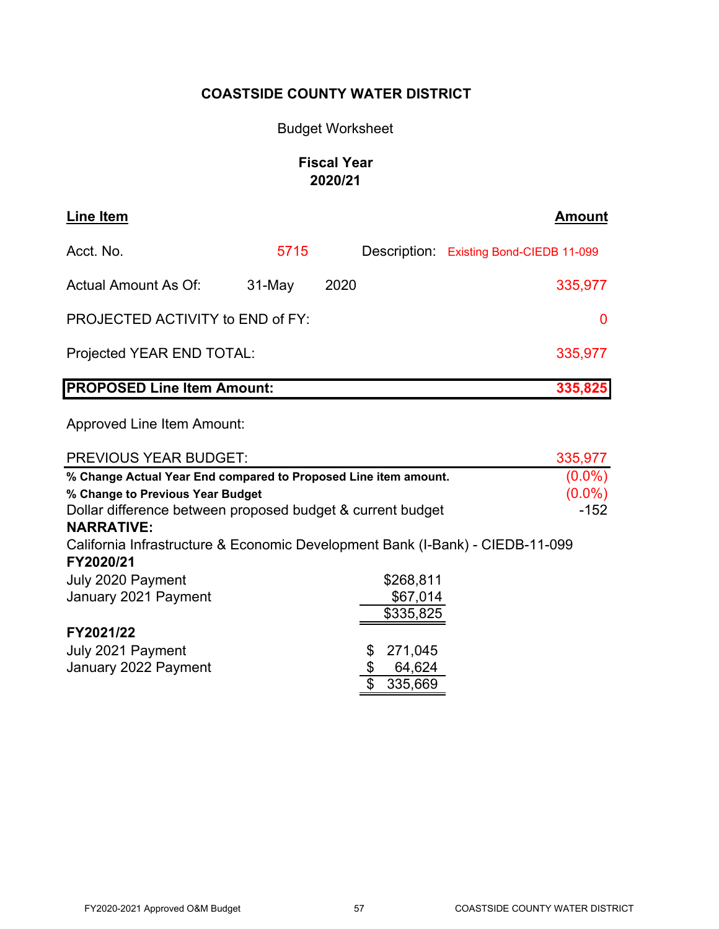# Budget Worksheet

# **Fiscal Year 2020/21**

| Line Item                               |          |      | <b>Amount</b>                           |
|-----------------------------------------|----------|------|-----------------------------------------|
| Acct. No.                               | 5715     |      | Description: Existing Bond-CIEDB 11-099 |
| Actual Amount As Of:                    | $31-May$ | 2020 | 335,977                                 |
| <b>PROJECTED ACTIVITY to END of FY:</b> |          |      | 0                                       |
| Projected YEAR END TOTAL:               |          |      | 335,977                                 |
| <b>PROPOSED Line Item Amount:</b>       |          |      | 335,825                                 |

| <b>PREVIOUS YEAR BUDGET:</b>                                                  |               | 335,977   |
|-------------------------------------------------------------------------------|---------------|-----------|
| % Change Actual Year End compared to Proposed Line item amount.               |               | $(0.0\%)$ |
| % Change to Previous Year Budget                                              |               | $(0.0\%)$ |
| Dollar difference between proposed budget & current budget                    |               | $-152$    |
| <b>NARRATIVE:</b>                                                             |               |           |
| California Infrastructure & Economic Development Bank (I-Bank) - CIEDB-11-099 |               |           |
| FY2020/21                                                                     |               |           |
| July 2020 Payment                                                             | \$268,811     |           |
| January 2021 Payment                                                          | \$67,014      |           |
|                                                                               | \$335,825     |           |
| FY2021/22                                                                     |               |           |
| July 2021 Payment                                                             | 271,045<br>\$ |           |
| January 2022 Payment                                                          | 64,624        |           |
|                                                                               | \$<br>335,669 |           |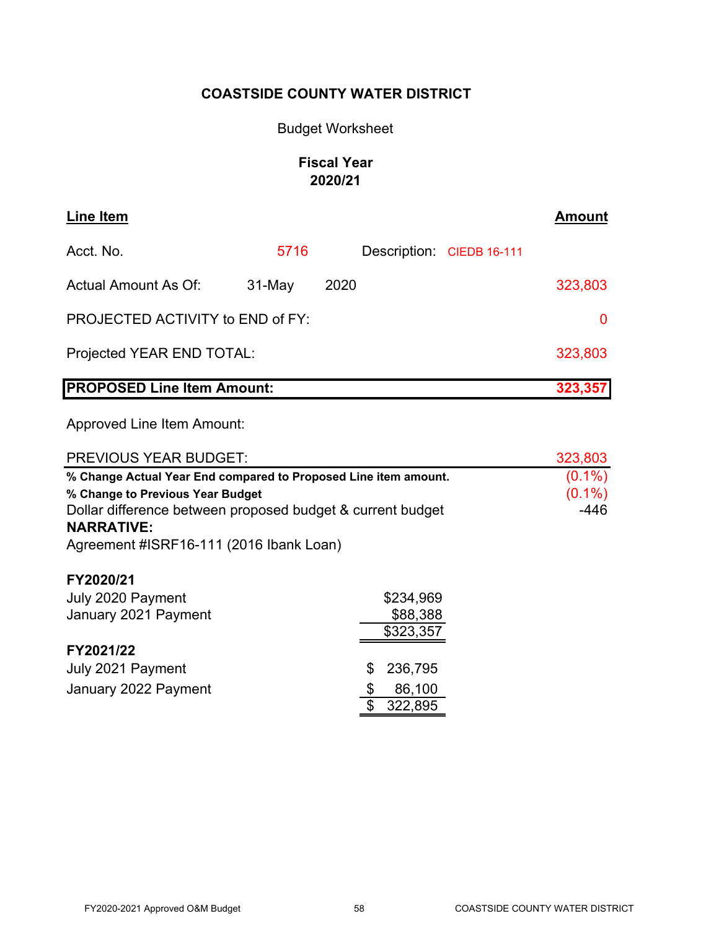# Budget Worksheet

# **Fiscal Year 2020/21**

| Line Item                         |          |      |                           | <b>Amount</b> |
|-----------------------------------|----------|------|---------------------------|---------------|
| Acct. No.                         | 5716     |      | Description: CIEDB 16-111 |               |
| <b>Actual Amount As Of:</b>       | $31-May$ | 2020 |                           | 323,803       |
| PROJECTED ACTIVITY to END of FY:  |          |      |                           | 0             |
| Projected YEAR END TOTAL:         |          |      |                           | 323,803       |
| <b>PROPOSED Line Item Amount:</b> |          |      |                           | 323,357       |

| <b>PREVIOUS YEAR BUDGET:</b>                                    |               | 323,803   |
|-----------------------------------------------------------------|---------------|-----------|
| % Change Actual Year End compared to Proposed Line item amount. |               | $(0.1\%)$ |
| % Change to Previous Year Budget                                |               | $(0.1\%)$ |
| Dollar difference between proposed budget & current budget      |               | $-446$    |
| <b>NARRATIVE:</b>                                               |               |           |
| Agreement #ISRF16-111 (2016 Ibank Loan)                         |               |           |
| FY2020/21                                                       |               |           |
| July 2020 Payment                                               | \$234,969     |           |
| January 2021 Payment                                            | \$88,388      |           |
|                                                                 | \$323,357     |           |
| FY2021/22                                                       |               |           |
| July 2021 Payment                                               | 236,795<br>\$ |           |
| January 2022 Payment                                            | \$<br>86,100  |           |
|                                                                 | \$<br>322,895 |           |